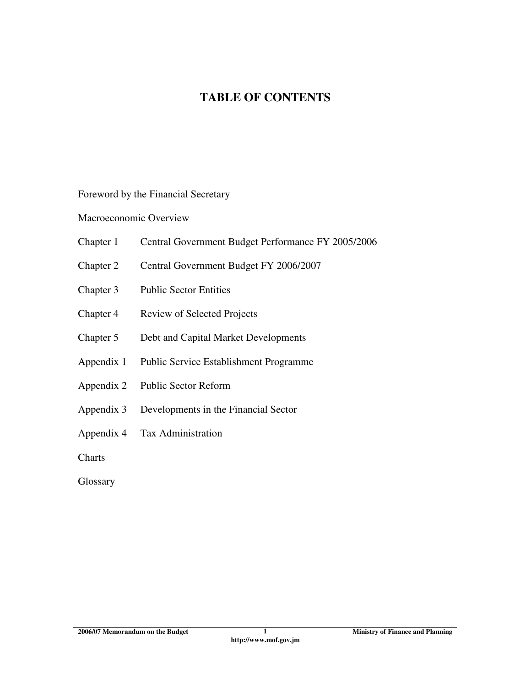# **TABLE OF CONTENTS**

Foreword by the Financial Secretary

Macroeconomic Overview

- Chapter 1 Central Government Budget Performance FY 2005/2006
- Chapter 2 Central Government Budget FY 2006/2007
- Chapter 3 Public Sector Entities
- Chapter 4 Review of Selected Projects
- Chapter 5 Debt and Capital Market Developments
- Appendix 1 Public Service Establishment Programme
- Appendix 2 Public Sector Reform
- Appendix 3 Developments in the Financial Sector
- Appendix 4 Tax Administration

**Charts** 

**Glossary**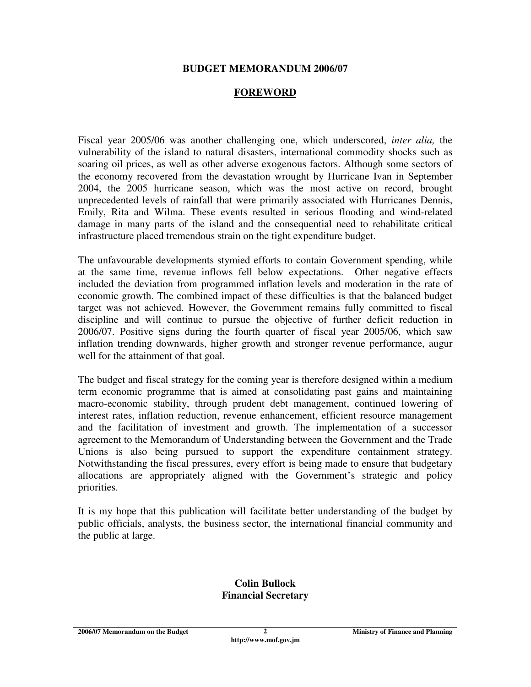#### **BUDGET MEMORANDUM 2006/07**

#### **FOREWORD**

Fiscal year 2005/06 was another challenging one, which underscored, *inter alia,* the vulnerability of the island to natural disasters, international commodity shocks such as soaring oil prices, as well as other adverse exogenous factors. Although some sectors of the economy recovered from the devastation wrought by Hurricane Ivan in September 2004, the 2005 hurricane season, which was the most active on record, brought unprecedented levels of rainfall that were primarily associated with Hurricanes Dennis, Emily, Rita and Wilma. These events resulted in serious flooding and wind-related damage in many parts of the island and the consequential need to rehabilitate critical infrastructure placed tremendous strain on the tight expenditure budget.

The unfavourable developments stymied efforts to contain Government spending, while at the same time, revenue inflows fell below expectations. Other negative effects included the deviation from programmed inflation levels and moderation in the rate of economic growth. The combined impact of these difficulties is that the balanced budget target was not achieved. However, the Government remains fully committed to fiscal discipline and will continue to pursue the objective of further deficit reduction in 2006/07. Positive signs during the fourth quarter of fiscal year 2005/06, which saw inflation trending downwards, higher growth and stronger revenue performance, augur well for the attainment of that goal.

The budget and fiscal strategy for the coming year is therefore designed within a medium term economic programme that is aimed at consolidating past gains and maintaining macro-economic stability, through prudent debt management, continued lowering of interest rates, inflation reduction, revenue enhancement, efficient resource management and the facilitation of investment and growth. The implementation of a successor agreement to the Memorandum of Understanding between the Government and the Trade Unions is also being pursued to support the expenditure containment strategy. Notwithstanding the fiscal pressures, every effort is being made to ensure that budgetary allocations are appropriately aligned with the Government's strategic and policy priorities.

It is my hope that this publication will facilitate better understanding of the budget by public officials, analysts, the business sector, the international financial community and the public at large.

#### **Colin Bullock Financial Secretary**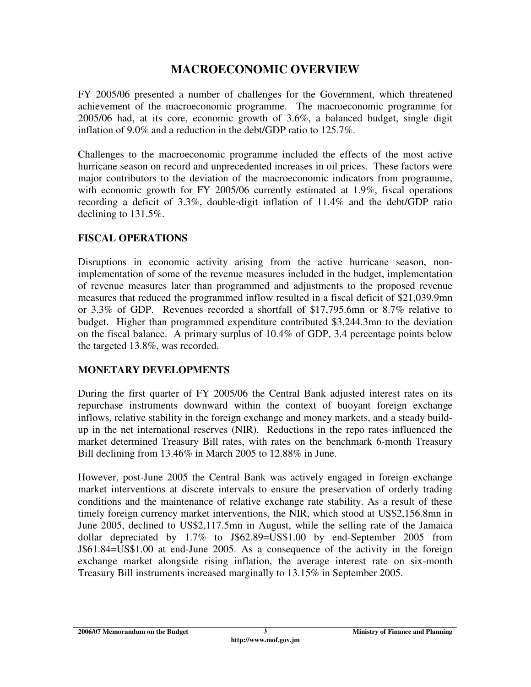# **MACROECONOMIC OVERVIEW**

FY 2005/06 presented a number of challenges for the Government, which threatened achievement of the macroeconomic programme. The macroeconomic programme for 2005/06 had, at its core, economic growth of 3.6%, a balanced budget, single digit inflation of 9.0% and a reduction in the debt/GDP ratio to 125.7%.

Challenges to the macroeconomic programme included the effects of the most active hurricane season on record and unprecedented increases in oil prices. These factors were major contributors to the deviation of the macroeconomic indicators from programme, with economic growth for FY 2005/06 currently estimated at 1.9%, fiscal operations recording a deficit of 3.3%, double-digit inflation of 11.4% and the debt/GDP ratio declining to 131.5%.

### **FISCAL OPERATIONS**

Disruptions in economic activity arising from the active hurricane season, nonimplementation of some of the revenue measures included in the budget, implementation of revenue measures later than programmed and adjustments to the proposed revenue measures that reduced the programmed inflow resulted in a fiscal deficit of \$21,039.9mn or 3.3% of GDP. Revenues recorded a shortfall of \$17,795.6mn or 8.7% relative to budget. Higher than programmed expenditure contributed \$3,244.3mn to the deviation on the fiscal balance. A primary surplus of 10.4% of GDP, 3.4 percentage points below the targeted 13.8%, was recorded.

#### **MONETARY DEVELOPMENTS**

During the first quarter of FY 2005/06 the Central Bank adjusted interest rates on its repurchase instruments downward within the context of buoyant foreign exchange inflows, relative stability in the foreign exchange and money markets, and a steady buildup in the net international reserves (NIR). Reductions in the repo rates influenced the market determined Treasury Bill rates, with rates on the benchmark 6-month Treasury Bill declining from 13.46% in March 2005 to 12.88% in June.

However, post-June 2005 the Central Bank was actively engaged in foreign exchange market interventions at discrete intervals to ensure the preservation of orderly trading conditions and the maintenance of relative exchange rate stability. As a result of these timely foreign currency market interventions, the NIR, which stood at US\$2,156.8mn in June 2005, declined to US\$2,117.5mn in August, while the selling rate of the Jamaica dollar depreciated by 1.7% to J\$62.89=US\$1.00 by end-September 2005 from J\$61.84=US\$1.00 at end-June 2005. As a consequence of the activity in the foreign exchange market alongside rising inflation, the average interest rate on six-month Treasury Bill instruments increased marginally to 13.15% in September 2005.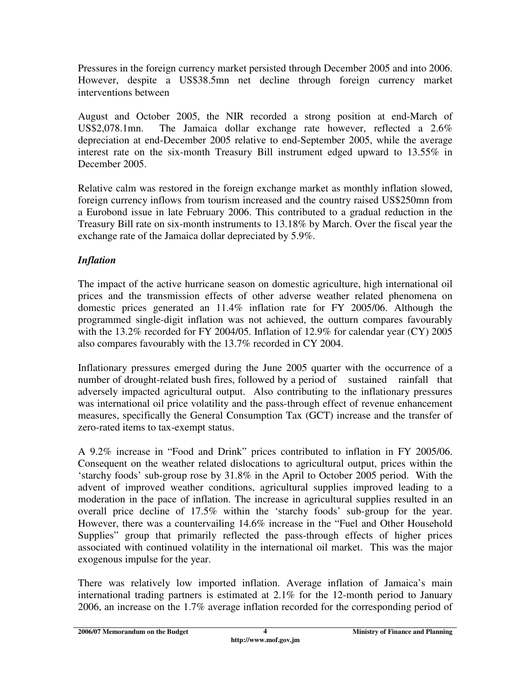Pressures in the foreign currency market persisted through December 2005 and into 2006. However, despite a US\$38.5mn net decline through foreign currency market interventions between

August and October 2005, the NIR recorded a strong position at end-March of US\$2,078.1mn. The Jamaica dollar exchange rate however, reflected a 2.6% depreciation at end-December 2005 relative to end-September 2005, while the average interest rate on the six-month Treasury Bill instrument edged upward to 13.55% in December 2005.

Relative calm was restored in the foreign exchange market as monthly inflation slowed, foreign currency inflows from tourism increased and the country raised US\$250mn from a Eurobond issue in late February 2006. This contributed to a gradual reduction in the Treasury Bill rate on six-month instruments to 13.18% by March. Over the fiscal year the exchange rate of the Jamaica dollar depreciated by 5.9%.

# *Inflation*

The impact of the active hurricane season on domestic agriculture, high international oil prices and the transmission effects of other adverse weather related phenomena on domestic prices generated an 11.4% inflation rate for FY 2005/06. Although the programmed single-digit inflation was not achieved, the outturn compares favourably with the 13.2% recorded for FY 2004/05. Inflation of 12.9% for calendar year (CY) 2005 also compares favourably with the 13.7% recorded in CY 2004.

Inflationary pressures emerged during the June 2005 quarter with the occurrence of a number of drought-related bush fires, followed by a period of sustained rainfall that adversely impacted agricultural output. Also contributing to the inflationary pressures was international oil price volatility and the pass-through effect of revenue enhancement measures, specifically the General Consumption Tax (GCT) increase and the transfer of zero-rated items to tax-exempt status.

A 9.2% increase in "Food and Drink" prices contributed to inflation in FY 2005/06. Consequent on the weather related dislocations to agricultural output, prices within the 'starchy foods' sub-group rose by 31.8% in the April to October 2005 period. With the advent of improved weather conditions, agricultural supplies improved leading to a moderation in the pace of inflation. The increase in agricultural supplies resulted in an overall price decline of 17.5% within the 'starchy foods' sub-group for the year. However, there was a countervailing 14.6% increase in the "Fuel and Other Household Supplies" group that primarily reflected the pass-through effects of higher prices associated with continued volatility in the international oil market. This was the major exogenous impulse for the year.

There was relatively low imported inflation. Average inflation of Jamaica's main international trading partners is estimated at 2.1% for the 12-month period to January 2006, an increase on the 1.7% average inflation recorded for the corresponding period of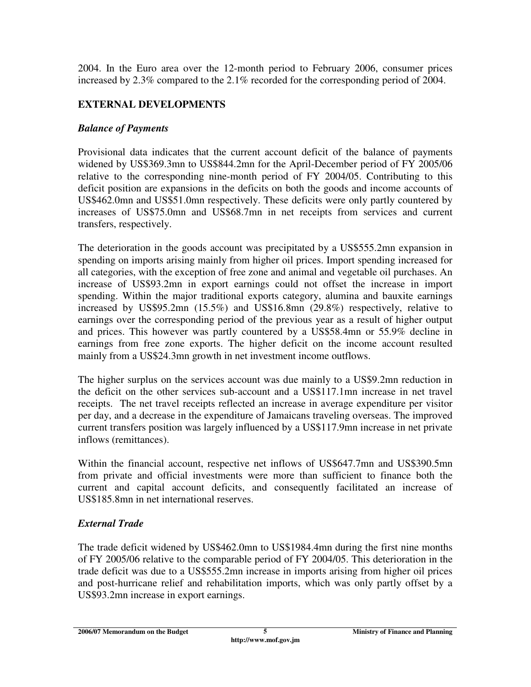2004. In the Euro area over the 12-month period to February 2006, consumer prices increased by 2.3% compared to the 2.1% recorded for the corresponding period of 2004.

### **EXTERNAL DEVELOPMENTS**

#### *Balance of Payments*

Provisional data indicates that the current account deficit of the balance of payments widened by US\$369.3mn to US\$844.2mn for the April-December period of FY 2005/06 relative to the corresponding nine-month period of FY 2004/05. Contributing to this deficit position are expansions in the deficits on both the goods and income accounts of US\$462.0mn and US\$51.0mn respectively. These deficits were only partly countered by increases of US\$75.0mn and US\$68.7mn in net receipts from services and current transfers, respectively.

The deterioration in the goods account was precipitated by a US\$555.2mn expansion in spending on imports arising mainly from higher oil prices. Import spending increased for all categories, with the exception of free zone and animal and vegetable oil purchases. An increase of US\$93.2mn in export earnings could not offset the increase in import spending. Within the major traditional exports category, alumina and bauxite earnings increased by US\$95.2mn (15.5%) and US\$16.8mn (29.8%) respectively, relative to earnings over the corresponding period of the previous year as a result of higher output and prices. This however was partly countered by a US\$58.4mn or 55.9% decline in earnings from free zone exports. The higher deficit on the income account resulted mainly from a US\$24.3mn growth in net investment income outflows.

The higher surplus on the services account was due mainly to a US\$9.2mn reduction in the deficit on the other services sub-account and a US\$117.1mn increase in net travel receipts. The net travel receipts reflected an increase in average expenditure per visitor per day, and a decrease in the expenditure of Jamaicans traveling overseas. The improved current transfers position was largely influenced by a US\$117.9mn increase in net private inflows (remittances).

Within the financial account, respective net inflows of US\$647.7mn and US\$390.5mn from private and official investments were more than sufficient to finance both the current and capital account deficits, and consequently facilitated an increase of US\$185.8mn in net international reserves.

### *External Trade*

The trade deficit widened by US\$462.0mn to US\$1984.4mn during the first nine months of FY 2005/06 relative to the comparable period of FY 2004/05. This deterioration in the trade deficit was due to a US\$555.2mn increase in imports arising from higher oil prices and post-hurricane relief and rehabilitation imports, which was only partly offset by a US\$93.2mn increase in export earnings.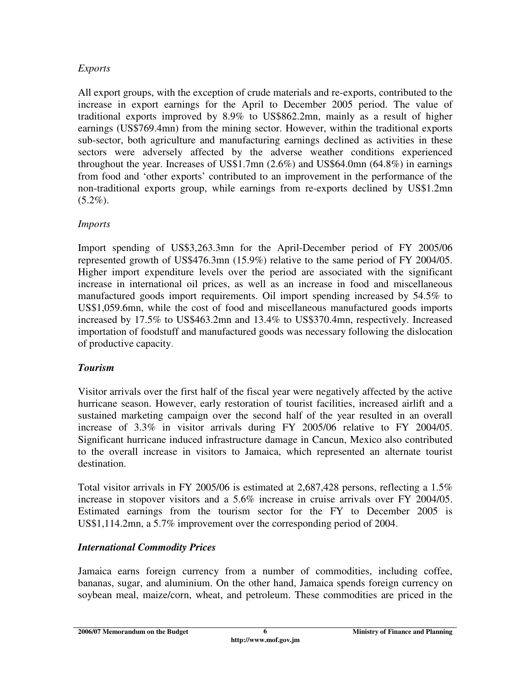### *Exports*

All export groups, with the exception of crude materials and re-exports, contributed to the increase in export earnings for the April to December 2005 period. The value of traditional exports improved by 8.9% to US\$862.2mn, mainly as a result of higher earnings (US\$769.4mn) from the mining sector. However, within the traditional exports sub-sector, both agriculture and manufacturing earnings declined as activities in these sectors were adversely affected by the adverse weather conditions experienced throughout the year. Increases of US\$1.7mn (2.6%) and US\$64.0mn (64.8%) in earnings from food and 'other exports' contributed to an improvement in the performance of the non-traditional exports group, while earnings from re-exports declined by US\$1.2mn  $(5.2\%)$ .

### *Imports*

Import spending of US\$3,263.3mn for the April-December period of FY 2005/06 represented growth of US\$476.3mn (15.9%) relative to the same period of FY 2004/05. Higher import expenditure levels over the period are associated with the significant increase in international oil prices, as well as an increase in food and miscellaneous manufactured goods import requirements. Oil import spending increased by 54.5% to US\$1,059.6mn, while the cost of food and miscellaneous manufactured goods imports increased by 17.5% to US\$463.2mn and 13.4% to US\$370.4mn, respectively. Increased importation of foodstuff and manufactured goods was necessary following the dislocation of productive capacity.

### *Tourism*

Visitor arrivals over the first half of the fiscal year were negatively affected by the active hurricane season. However, early restoration of tourist facilities, increased airlift and a sustained marketing campaign over the second half of the year resulted in an overall increase of 3.3% in visitor arrivals during FY 2005/06 relative to FY 2004/05. Significant hurricane induced infrastructure damage in Cancun, Mexico also contributed to the overall increase in visitors to Jamaica, which represented an alternate tourist destination.

Total visitor arrivals in FY 2005/06 is estimated at 2,687,428 persons, reflecting a 1.5% increase in stopover visitors and a 5.6% increase in cruise arrivals over FY 2004/05. Estimated earnings from the tourism sector for the FY to December 2005 is US\$1,114.2mn, a 5.7% improvement over the corresponding period of 2004.

### *International Commodity Prices*

Jamaica earns foreign currency from a number of commodities, including coffee, bananas, sugar, and aluminium. On the other hand, Jamaica spends foreign currency on soybean meal, maize/corn, wheat, and petroleum. These commodities are priced in the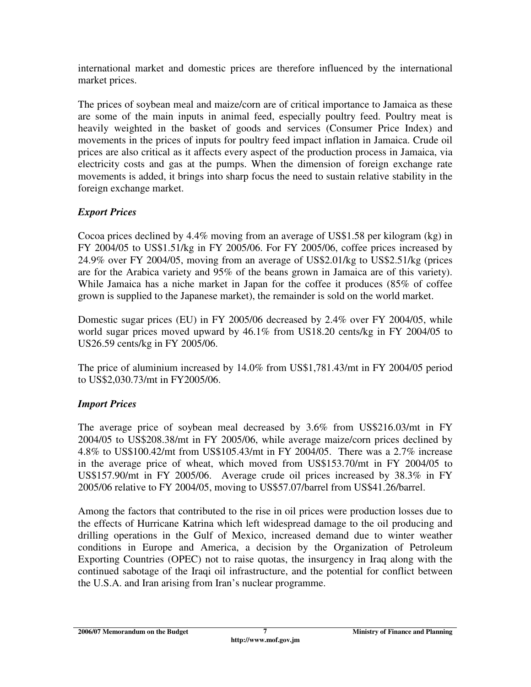international market and domestic prices are therefore influenced by the international market prices.

The prices of soybean meal and maize/corn are of critical importance to Jamaica as these are some of the main inputs in animal feed, especially poultry feed. Poultry meat is heavily weighted in the basket of goods and services (Consumer Price Index) and movements in the prices of inputs for poultry feed impact inflation in Jamaica. Crude oil prices are also critical as it affects every aspect of the production process in Jamaica, via electricity costs and gas at the pumps. When the dimension of foreign exchange rate movements is added, it brings into sharp focus the need to sustain relative stability in the foreign exchange market.

### *Export Prices*

Cocoa prices declined by 4.4% moving from an average of US\$1.58 per kilogram (kg) in FY 2004/05 to US\$1.51/kg in FY 2005/06. For FY 2005/06, coffee prices increased by 24.9% over FY 2004/05, moving from an average of US\$2.01/kg to US\$2.51/kg (prices are for the Arabica variety and 95% of the beans grown in Jamaica are of this variety). While Jamaica has a niche market in Japan for the coffee it produces (85% of coffee grown is supplied to the Japanese market), the remainder is sold on the world market.

Domestic sugar prices (EU) in FY 2005/06 decreased by 2.4% over FY 2004/05, while world sugar prices moved upward by 46.1% from US18.20 cents/kg in FY 2004/05 to US26.59 cents/kg in FY 2005/06.

The price of aluminium increased by 14.0% from US\$1,781.43/mt in FY 2004/05 period to US\$2,030.73/mt in FY2005/06.

# *Import Prices*

The average price of soybean meal decreased by 3.6% from US\$216.03/mt in FY 2004/05 to US\$208.38/mt in FY 2005/06, while average maize/corn prices declined by 4.8% to US\$100.42/mt from US\$105.43/mt in FY 2004/05. There was a 2.7% increase in the average price of wheat, which moved from US\$153.70/mt in FY 2004/05 to US\$157.90/mt in FY 2005/06. Average crude oil prices increased by 38.3% in FY 2005/06 relative to FY 2004/05, moving to US\$57.07/barrel from US\$41.26/barrel.

Among the factors that contributed to the rise in oil prices were production losses due to the effects of Hurricane Katrina which left widespread damage to the oil producing and drilling operations in the Gulf of Mexico, increased demand due to winter weather conditions in Europe and America, a decision by the Organization of Petroleum Exporting Countries (OPEC) not to raise quotas, the insurgency in Iraq along with the continued sabotage of the Iraqi oil infrastructure, and the potential for conflict between the U.S.A. and Iran arising from Iran's nuclear programme.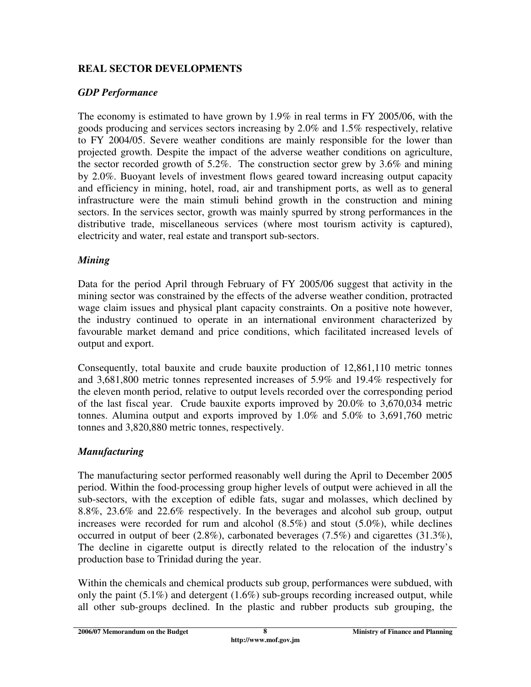### **REAL SECTOR DEVELOPMENTS**

### *GDP Performance*

The economy is estimated to have grown by 1.9% in real terms in FY 2005/06, with the goods producing and services sectors increasing by 2.0% and 1.5% respectively, relative to FY 2004/05. Severe weather conditions are mainly responsible for the lower than projected growth. Despite the impact of the adverse weather conditions on agriculture, the sector recorded growth of 5.2%. The construction sector grew by 3.6% and mining by 2.0%. Buoyant levels of investment flows geared toward increasing output capacity and efficiency in mining, hotel, road, air and transhipment ports, as well as to general infrastructure were the main stimuli behind growth in the construction and mining sectors. In the services sector, growth was mainly spurred by strong performances in the distributive trade, miscellaneous services (where most tourism activity is captured), electricity and water, real estate and transport sub-sectors.

### *Mining*

Data for the period April through February of FY 2005/06 suggest that activity in the mining sector was constrained by the effects of the adverse weather condition, protracted wage claim issues and physical plant capacity constraints. On a positive note however, the industry continued to operate in an international environment characterized by favourable market demand and price conditions, which facilitated increased levels of output and export.

Consequently, total bauxite and crude bauxite production of 12,861,110 metric tonnes and 3,681,800 metric tonnes represented increases of 5.9% and 19.4% respectively for the eleven month period, relative to output levels recorded over the corresponding period of the last fiscal year. Crude bauxite exports improved by 20.0% to 3,670,034 metric tonnes. Alumina output and exports improved by 1.0% and 5.0% to 3,691,760 metric tonnes and 3,820,880 metric tonnes, respectively.

# *Manufacturing*

The manufacturing sector performed reasonably well during the April to December 2005 period. Within the food-processing group higher levels of output were achieved in all the sub-sectors, with the exception of edible fats, sugar and molasses, which declined by 8.8%, 23.6% and 22.6% respectively. In the beverages and alcohol sub group, output increases were recorded for rum and alcohol (8.5%) and stout (5.0%), while declines occurred in output of beer (2.8%), carbonated beverages (7.5%) and cigarettes (31.3%), The decline in cigarette output is directly related to the relocation of the industry's production base to Trinidad during the year.

Within the chemicals and chemical products sub group, performances were subdued, with only the paint  $(5.1\%)$  and detergent  $(1.6\%)$  sub-groups recording increased output, while all other sub-groups declined. In the plastic and rubber products sub grouping, the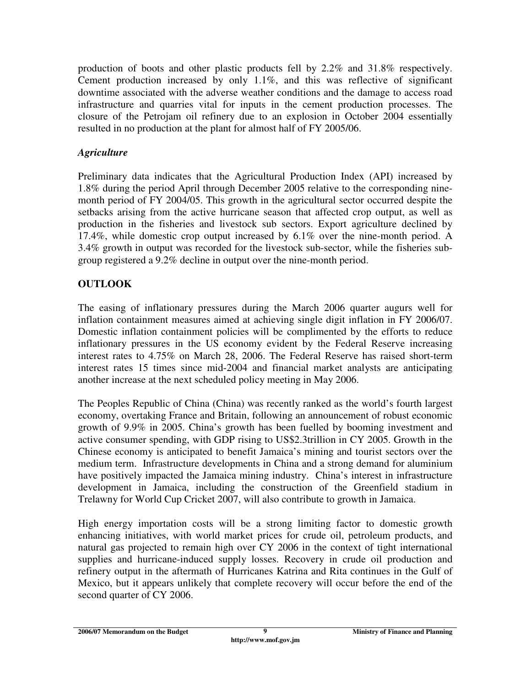production of boots and other plastic products fell by 2.2% and 31.8% respectively. Cement production increased by only 1.1%, and this was reflective of significant downtime associated with the adverse weather conditions and the damage to access road infrastructure and quarries vital for inputs in the cement production processes. The closure of the Petrojam oil refinery due to an explosion in October 2004 essentially resulted in no production at the plant for almost half of FY 2005/06.

### *Agriculture*

Preliminary data indicates that the Agricultural Production Index (API) increased by 1.8% during the period April through December 2005 relative to the corresponding ninemonth period of FY 2004/05. This growth in the agricultural sector occurred despite the setbacks arising from the active hurricane season that affected crop output, as well as production in the fisheries and livestock sub sectors. Export agriculture declined by 17.4%, while domestic crop output increased by 6.1% over the nine-month period. A 3.4% growth in output was recorded for the livestock sub-sector, while the fisheries subgroup registered a 9.2% decline in output over the nine-month period.

# **OUTLOOK**

The easing of inflationary pressures during the March 2006 quarter augurs well for inflation containment measures aimed at achieving single digit inflation in FY 2006/07. Domestic inflation containment policies will be complimented by the efforts to reduce inflationary pressures in the US economy evident by the Federal Reserve increasing interest rates to 4.75% on March 28, 2006. The Federal Reserve has raised short-term interest rates 15 times since mid-2004 and financial market analysts are anticipating another increase at the next scheduled policy meeting in May 2006.

The Peoples Republic of China (China) was recently ranked as the world's fourth largest economy, overtaking France and Britain, following an announcement of robust economic growth of 9.9% in 2005. China's growth has been fuelled by booming investment and active consumer spending, with GDP rising to US\$2.3trillion in CY 2005. Growth in the Chinese economy is anticipated to benefit Jamaica's mining and tourist sectors over the medium term. Infrastructure developments in China and a strong demand for aluminium have positively impacted the Jamaica mining industry. China's interest in infrastructure development in Jamaica, including the construction of the Greenfield stadium in Trelawny for World Cup Cricket 2007, will also contribute to growth in Jamaica.

High energy importation costs will be a strong limiting factor to domestic growth enhancing initiatives, with world market prices for crude oil, petroleum products, and natural gas projected to remain high over CY 2006 in the context of tight international supplies and hurricane-induced supply losses. Recovery in crude oil production and refinery output in the aftermath of Hurricanes Katrina and Rita continues in the Gulf of Mexico, but it appears unlikely that complete recovery will occur before the end of the second quarter of CY 2006.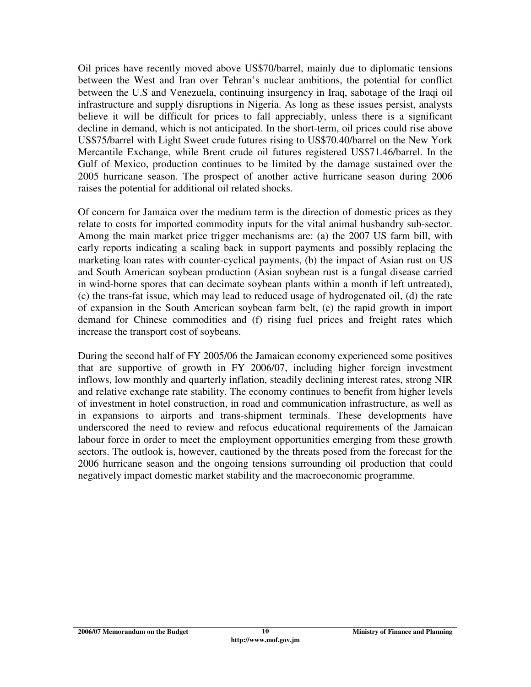Oil prices have recently moved above US\$70/barrel, mainly due to diplomatic tensions between the West and Iran over Tehran's nuclear ambitions, the potential for conflict between the U.S and Venezuela, continuing insurgency in Iraq, sabotage of the Iraqi oil infrastructure and supply disruptions in Nigeria. As long as these issues persist, analysts believe it will be difficult for prices to fall appreciably, unless there is a significant decline in demand, which is not anticipated. In the short-term, oil prices could rise above US\$75/barrel with Light Sweet crude futures rising to US\$70.40/barrel on the New York Mercantile Exchange, while Brent crude oil futures registered US\$71.46/barrel. In the Gulf of Mexico, production continues to be limited by the damage sustained over the 2005 hurricane season. The prospect of another active hurricane season during 2006 raises the potential for additional oil related shocks.

Of concern for Jamaica over the medium term is the direction of domestic prices as they relate to costs for imported commodity inputs for the vital animal husbandry sub-sector. Among the main market price trigger mechanisms are: (a) the 2007 US farm bill, with early reports indicating a scaling back in support payments and possibly replacing the marketing loan rates with counter-cyclical payments, (b) the impact of Asian rust on US and South American soybean production (Asian soybean rust is a fungal disease carried in wind-borne spores that can decimate soybean plants within a month if left untreated), (c) the trans-fat issue, which may lead to reduced usage of hydrogenated oil, (d) the rate of expansion in the South American soybean farm belt, (e) the rapid growth in import demand for Chinese commodities and (f) rising fuel prices and freight rates which increase the transport cost of soybeans.

During the second half of FY 2005/06 the Jamaican economy experienced some positives that are supportive of growth in FY 2006/07, including higher foreign investment inflows, low monthly and quarterly inflation, steadily declining interest rates, strong NIR and relative exchange rate stability. The economy continues to benefit from higher levels of investment in hotel construction, in road and communication infrastructure, as well as in expansions to airports and trans-shipment terminals. These developments have underscored the need to review and refocus educational requirements of the Jamaican labour force in order to meet the employment opportunities emerging from these growth sectors. The outlook is, however, cautioned by the threats posed from the forecast for the 2006 hurricane season and the ongoing tensions surrounding oil production that could negatively impact domestic market stability and the macroeconomic programme.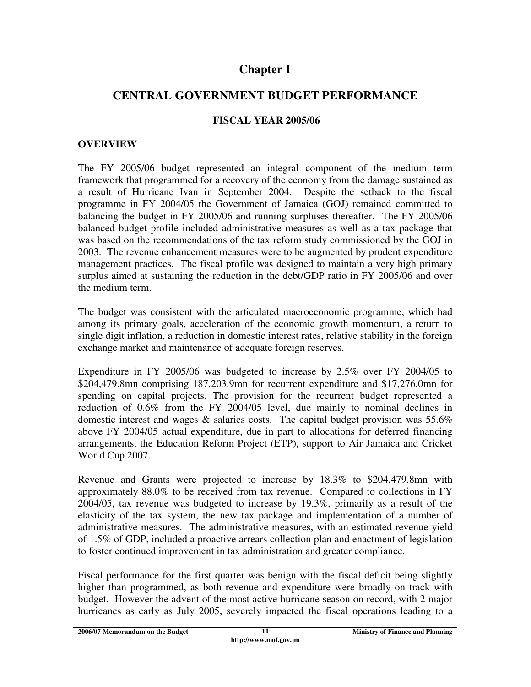# **Chapter 1**

# **CENTRAL GOVERNMENT BUDGET PERFORMANCE**

#### **FISCAL YEAR 2005/06**

#### **OVERVIEW**

The FY 2005/06 budget represented an integral component of the medium term framework that programmed for a recovery of the economy from the damage sustained as a result of Hurricane Ivan in September 2004. Despite the setback to the fiscal programme in FY 2004/05 the Government of Jamaica (GOJ) remained committed to balancing the budget in FY 2005/06 and running surpluses thereafter. The FY 2005/06 balanced budget profile included administrative measures as well as a tax package that was based on the recommendations of the tax reform study commissioned by the GOJ in 2003. The revenue enhancement measures were to be augmented by prudent expenditure management practices. The fiscal profile was designed to maintain a very high primary surplus aimed at sustaining the reduction in the debt/GDP ratio in FY 2005/06 and over the medium term.

The budget was consistent with the articulated macroeconomic programme, which had among its primary goals, acceleration of the economic growth momentum, a return to single digit inflation, a reduction in domestic interest rates, relative stability in the foreign exchange market and maintenance of adequate foreign reserves.

Expenditure in FY 2005/06 was budgeted to increase by 2.5% over FY 2004/05 to \$204,479.8mn comprising 187,203.9mn for recurrent expenditure and \$17,276.0mn for spending on capital projects. The provision for the recurrent budget represented a reduction of 0.6% from the FY 2004/05 level, due mainly to nominal declines in domestic interest and wages & salaries costs. The capital budget provision was 55.6% above FY 2004/05 actual expenditure, due in part to allocations for deferred financing arrangements, the Education Reform Project (ETP), support to Air Jamaica and Cricket World Cup 2007.

Revenue and Grants were projected to increase by 18.3% to \$204,479.8mn with approximately 88.0% to be received from tax revenue. Compared to collections in FY 2004/05, tax revenue was budgeted to increase by 19.3%, primarily as a result of the elasticity of the tax system, the new tax package and implementation of a number of administrative measures. The administrative measures, with an estimated revenue yield of 1.5% of GDP, included a proactive arrears collection plan and enactment of legislation to foster continued improvement in tax administration and greater compliance.

Fiscal performance for the first quarter was benign with the fiscal deficit being slightly higher than programmed, as both revenue and expenditure were broadly on track with budget. However the advent of the most active hurricane season on record, with 2 major hurricanes as early as July 2005, severely impacted the fiscal operations leading to a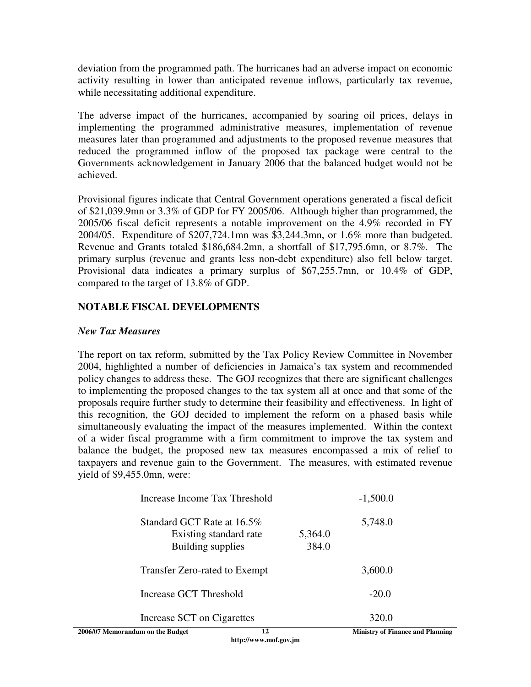deviation from the programmed path. The hurricanes had an adverse impact on economic activity resulting in lower than anticipated revenue inflows, particularly tax revenue, while necessitating additional expenditure.

The adverse impact of the hurricanes, accompanied by soaring oil prices, delays in implementing the programmed administrative measures, implementation of revenue measures later than programmed and adjustments to the proposed revenue measures that reduced the programmed inflow of the proposed tax package were central to the Governments acknowledgement in January 2006 that the balanced budget would not be achieved.

Provisional figures indicate that Central Government operations generated a fiscal deficit of \$21,039.9mn or 3.3% of GDP for FY 2005/06. Although higher than programmed, the 2005/06 fiscal deficit represents a notable improvement on the 4.9% recorded in FY 2004/05. Expenditure of \$207,724.1mn was \$3,244.3mn, or 1.6% more than budgeted. Revenue and Grants totaled \$186,684.2mn, a shortfall of \$17,795.6mn, or 8.7%. The primary surplus (revenue and grants less non-debt expenditure) also fell below target. Provisional data indicates a primary surplus of \$67,255.7mn, or 10.4% of GDP, compared to the target of 13.8% of GDP.

#### **NOTABLE FISCAL DEVELOPMENTS**

#### *New Tax Measures*

The report on tax reform, submitted by the Tax Policy Review Committee in November 2004, highlighted a number of deficiencies in Jamaica's tax system and recommended policy changes to address these. The GOJ recognizes that there are significant challenges to implementing the proposed changes to the tax system all at once and that some of the proposals require further study to determine their feasibility and effectiveness. In light of this recognition, the GOJ decided to implement the reform on a phased basis while simultaneously evaluating the impact of the measures implemented. Within the context of a wider fiscal programme with a firm commitment to improve the tax system and balance the budget, the proposed new tax measures encompassed a mix of relief to taxpayers and revenue gain to the Government. The measures, with estimated revenue yield of \$9,455.0mn, were:

| 12<br>2006/07 Memorandum on the Budget                                    |                  | <b>Ministry of Finance and Planning</b> |  |
|---------------------------------------------------------------------------|------------------|-----------------------------------------|--|
| Increase SCT on Cigarettes                                                |                  | 320.0                                   |  |
| Increase GCT Threshold                                                    |                  | $-20.0$                                 |  |
| Transfer Zero-rated to Exempt                                             |                  | 3,600.0                                 |  |
| Standard GCT Rate at 16.5%<br>Existing standard rate<br>Building supplies | 5,364.0<br>384.0 | 5,748.0                                 |  |
| Increase Income Tax Threshold                                             |                  | $-1,500.0$                              |  |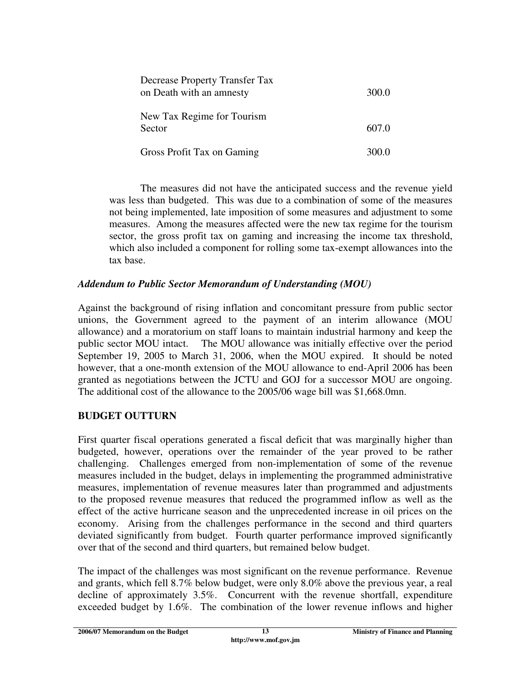| Decrease Property Transfer Tax<br>on Death with an amnesty | 300.0 |
|------------------------------------------------------------|-------|
| New Tax Regime for Tourism<br>Sector                       | 607.0 |
| Gross Profit Tax on Gaming                                 | 300.0 |

The measures did not have the anticipated success and the revenue yield was less than budgeted. This was due to a combination of some of the measures not being implemented, late imposition of some measures and adjustment to some measures. Among the measures affected were the new tax regime for the tourism sector, the gross profit tax on gaming and increasing the income tax threshold, which also included a component for rolling some tax-exempt allowances into the tax base.

#### *Addendum to Public Sector Memorandum of Understanding (MOU)*

Against the background of rising inflation and concomitant pressure from public sector unions, the Government agreed to the payment of an interim allowance (MOU allowance) and a moratorium on staff loans to maintain industrial harmony and keep the public sector MOU intact. The MOU allowance was initially effective over the period September 19, 2005 to March 31, 2006, when the MOU expired. It should be noted however, that a one-month extension of the MOU allowance to end-April 2006 has been granted as negotiations between the JCTU and GOJ for a successor MOU are ongoing. The additional cost of the allowance to the 2005/06 wage bill was \$1,668.0mn.

### **BUDGET OUTTURN**

First quarter fiscal operations generated a fiscal deficit that was marginally higher than budgeted, however, operations over the remainder of the year proved to be rather challenging. Challenges emerged from non-implementation of some of the revenue measures included in the budget, delays in implementing the programmed administrative measures, implementation of revenue measures later than programmed and adjustments to the proposed revenue measures that reduced the programmed inflow as well as the effect of the active hurricane season and the unprecedented increase in oil prices on the economy. Arising from the challenges performance in the second and third quarters deviated significantly from budget. Fourth quarter performance improved significantly over that of the second and third quarters, but remained below budget.

The impact of the challenges was most significant on the revenue performance. Revenue and grants, which fell 8.7% below budget, were only 8.0% above the previous year, a real decline of approximately 3.5%. Concurrent with the revenue shortfall, expenditure exceeded budget by 1.6%. The combination of the lower revenue inflows and higher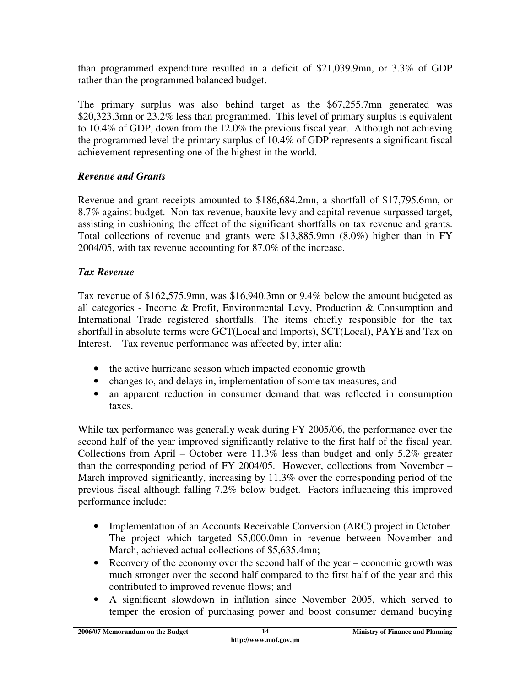than programmed expenditure resulted in a deficit of \$21,039.9mn, or 3.3% of GDP rather than the programmed balanced budget.

The primary surplus was also behind target as the \$67,255.7mn generated was \$20,323.3mn or 23.2% less than programmed. This level of primary surplus is equivalent to 10.4% of GDP, down from the 12.0% the previous fiscal year. Although not achieving the programmed level the primary surplus of 10.4% of GDP represents a significant fiscal achievement representing one of the highest in the world.

### *Revenue and Grants*

Revenue and grant receipts amounted to \$186,684.2mn, a shortfall of \$17,795.6mn, or 8.7% against budget. Non-tax revenue, bauxite levy and capital revenue surpassed target, assisting in cushioning the effect of the significant shortfalls on tax revenue and grants. Total collections of revenue and grants were \$13,885.9mn (8.0%) higher than in FY 2004/05, with tax revenue accounting for 87.0% of the increase.

### *Tax Revenue*

Tax revenue of \$162,575.9mn, was \$16,940.3mn or 9.4% below the amount budgeted as all categories - Income & Profit, Environmental Levy, Production & Consumption and International Trade registered shortfalls. The items chiefly responsible for the tax shortfall in absolute terms were GCT(Local and Imports), SCT(Local), PAYE and Tax on Interest. Tax revenue performance was affected by, inter alia:

- the active hurricane season which impacted economic growth
- changes to, and delays in, implementation of some tax measures, and
- an apparent reduction in consumer demand that was reflected in consumption taxes.

While tax performance was generally weak during FY 2005/06, the performance over the second half of the year improved significantly relative to the first half of the fiscal year. Collections from April – October were  $11.3\%$  less than budget and only 5.2% greater than the corresponding period of FY 2004/05. However, collections from November – March improved significantly, increasing by 11.3% over the corresponding period of the previous fiscal although falling 7.2% below budget. Factors influencing this improved performance include:

- Implementation of an Accounts Receivable Conversion (ARC) project in October. The project which targeted \$5,000.0mn in revenue between November and March, achieved actual collections of \$5,635.4mn;
- Recovery of the economy over the second half of the year economic growth was much stronger over the second half compared to the first half of the year and this contributed to improved revenue flows; and
- A significant slowdown in inflation since November 2005, which served to temper the erosion of purchasing power and boost consumer demand buoying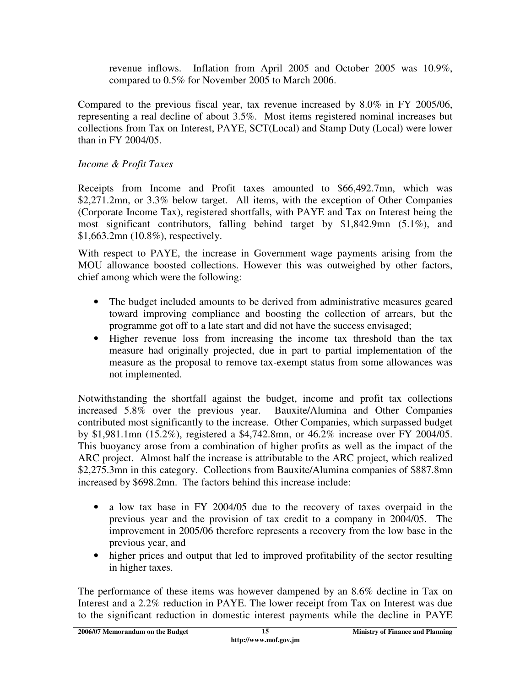revenue inflows. Inflation from April 2005 and October 2005 was 10.9%, compared to 0.5% for November 2005 to March 2006.

Compared to the previous fiscal year, tax revenue increased by 8.0% in FY 2005/06, representing a real decline of about 3.5%. Most items registered nominal increases but collections from Tax on Interest, PAYE, SCT(Local) and Stamp Duty (Local) were lower than in FY 2004/05.

### *Income & Profit Taxes*

Receipts from Income and Profit taxes amounted to \$66,492.7mn, which was \$2,271.2mn, or 3.3% below target. All items, with the exception of Other Companies (Corporate Income Tax), registered shortfalls, with PAYE and Tax on Interest being the most significant contributors, falling behind target by \$1,842.9mn (5.1%), and \$1,663.2mn (10.8%), respectively.

With respect to PAYE, the increase in Government wage payments arising from the MOU allowance boosted collections. However this was outweighed by other factors, chief among which were the following:

- The budget included amounts to be derived from administrative measures geared toward improving compliance and boosting the collection of arrears, but the programme got off to a late start and did not have the success envisaged;
- Higher revenue loss from increasing the income tax threshold than the tax measure had originally projected, due in part to partial implementation of the measure as the proposal to remove tax-exempt status from some allowances was not implemented.

Notwithstanding the shortfall against the budget, income and profit tax collections increased 5.8% over the previous year. Bauxite/Alumina and Other Companies contributed most significantly to the increase. Other Companies, which surpassed budget by \$1,981.1mn (15.2%), registered a \$4,742.8mn, or 46.2% increase over FY 2004/05. This buoyancy arose from a combination of higher profits as well as the impact of the ARC project. Almost half the increase is attributable to the ARC project, which realized \$2,275.3mn in this category. Collections from Bauxite/Alumina companies of \$887.8mn increased by \$698.2mn. The factors behind this increase include:

- a low tax base in FY 2004/05 due to the recovery of taxes overpaid in the previous year and the provision of tax credit to a company in 2004/05. The improvement in 2005/06 therefore represents a recovery from the low base in the previous year, and
- higher prices and output that led to improved profitability of the sector resulting in higher taxes.

The performance of these items was however dampened by an 8.6% decline in Tax on Interest and a 2.2% reduction in PAYE. The lower receipt from Tax on Interest was due to the significant reduction in domestic interest payments while the decline in PAYE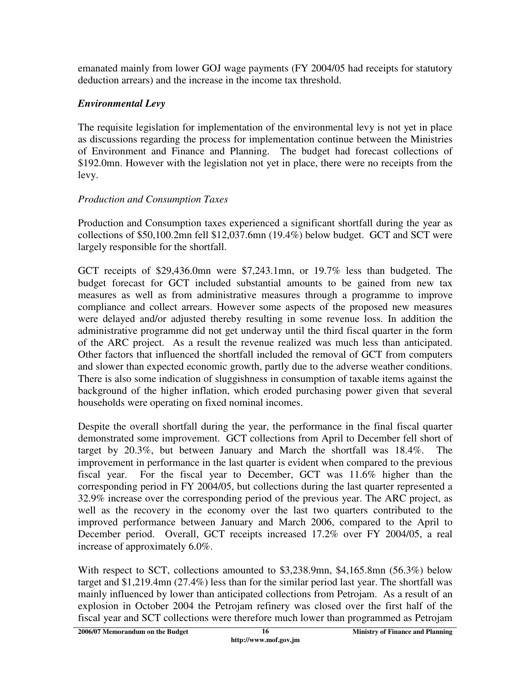emanated mainly from lower GOJ wage payments (FY 2004/05 had receipts for statutory deduction arrears) and the increase in the income tax threshold.

### *Environmental Levy*

The requisite legislation for implementation of the environmental levy is not yet in place as discussions regarding the process for implementation continue between the Ministries of Environment and Finance and Planning. The budget had forecast collections of \$192.0mn. However with the legislation not yet in place, there were no receipts from the levy.

### *Production and Consumption Taxes*

Production and Consumption taxes experienced a significant shortfall during the year as collections of \$50,100.2mn fell \$12,037.6mn (19.4%) below budget. GCT and SCT were largely responsible for the shortfall.

GCT receipts of \$29,436.0mn were \$7,243.1mn, or 19.7% less than budgeted. The budget forecast for GCT included substantial amounts to be gained from new tax measures as well as from administrative measures through a programme to improve compliance and collect arrears. However some aspects of the proposed new measures were delayed and/or adjusted thereby resulting in some revenue loss. In addition the administrative programme did not get underway until the third fiscal quarter in the form of the ARC project. As a result the revenue realized was much less than anticipated. Other factors that influenced the shortfall included the removal of GCT from computers and slower than expected economic growth, partly due to the adverse weather conditions. There is also some indication of sluggishness in consumption of taxable items against the background of the higher inflation, which eroded purchasing power given that several households were operating on fixed nominal incomes.

Despite the overall shortfall during the year, the performance in the final fiscal quarter demonstrated some improvement. GCT collections from April to December fell short of target by 20.3%, but between January and March the shortfall was 18.4%. The improvement in performance in the last quarter is evident when compared to the previous fiscal year. For the fiscal year to December, GCT was 11.6% higher than the corresponding period in FY 2004/05, but collections during the last quarter represented a 32.9% increase over the corresponding period of the previous year. The ARC project, as well as the recovery in the economy over the last two quarters contributed to the improved performance between January and March 2006, compared to the April to December period. Overall, GCT receipts increased 17.2% over FY 2004/05, a real increase of approximately 6.0%.

With respect to SCT, collections amounted to \$3,238.9mn, \$4,165.8mn (56.3%) below target and \$1,219.4mn (27.4%) less than for the similar period last year. The shortfall was mainly influenced by lower than anticipated collections from Petrojam. As a result of an explosion in October 2004 the Petrojam refinery was closed over the first half of the fiscal year and SCT collections were therefore much lower than programmed as Petrojam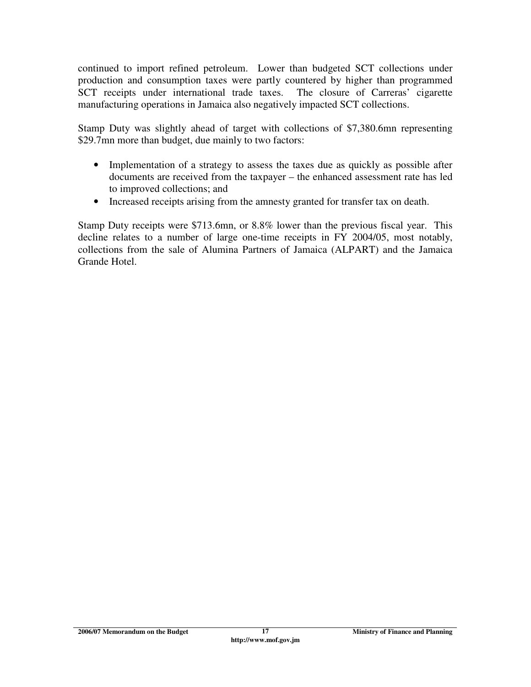continued to import refined petroleum. Lower than budgeted SCT collections under production and consumption taxes were partly countered by higher than programmed SCT receipts under international trade taxes. The closure of Carreras' cigarette manufacturing operations in Jamaica also negatively impacted SCT collections.

Stamp Duty was slightly ahead of target with collections of \$7,380.6mn representing \$29.7mn more than budget, due mainly to two factors:

- Implementation of a strategy to assess the taxes due as quickly as possible after documents are received from the taxpayer – the enhanced assessment rate has led to improved collections; and
- Increased receipts arising from the amnesty granted for transfer tax on death.

Stamp Duty receipts were \$713.6mn, or 8.8% lower than the previous fiscal year. This decline relates to a number of large one-time receipts in FY 2004/05, most notably, collections from the sale of Alumina Partners of Jamaica (ALPART) and the Jamaica Grande Hotel.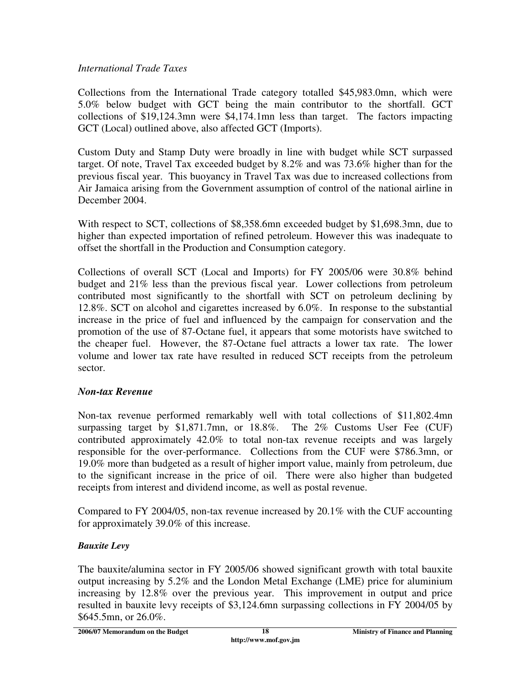#### *International Trade Taxes*

Collections from the International Trade category totalled \$45,983.0mn, which were 5.0% below budget with GCT being the main contributor to the shortfall. GCT collections of \$19,124.3mn were \$4,174.1mn less than target. The factors impacting GCT (Local) outlined above, also affected GCT (Imports).

Custom Duty and Stamp Duty were broadly in line with budget while SCT surpassed target. Of note, Travel Tax exceeded budget by 8.2% and was 73.6% higher than for the previous fiscal year. This buoyancy in Travel Tax was due to increased collections from Air Jamaica arising from the Government assumption of control of the national airline in December 2004.

With respect to SCT, collections of \$8,358.6mn exceeded budget by \$1,698.3mn, due to higher than expected importation of refined petroleum. However this was inadequate to offset the shortfall in the Production and Consumption category.

Collections of overall SCT (Local and Imports) for FY 2005/06 were 30.8% behind budget and 21% less than the previous fiscal year. Lower collections from petroleum contributed most significantly to the shortfall with SCT on petroleum declining by 12.8%. SCT on alcohol and cigarettes increased by 6.0%. In response to the substantial increase in the price of fuel and influenced by the campaign for conservation and the promotion of the use of 87-Octane fuel, it appears that some motorists have switched to the cheaper fuel. However, the 87-Octane fuel attracts a lower tax rate. The lower volume and lower tax rate have resulted in reduced SCT receipts from the petroleum sector.

### *Non-tax Revenue*

Non-tax revenue performed remarkably well with total collections of \$11,802.4mn surpassing target by \$1,871.7mn, or 18.8%. The 2% Customs User Fee (CUF) contributed approximately 42.0% to total non-tax revenue receipts and was largely responsible for the over-performance. Collections from the CUF were \$786.3mn, or 19.0% more than budgeted as a result of higher import value, mainly from petroleum, due to the significant increase in the price of oil. There were also higher than budgeted receipts from interest and dividend income, as well as postal revenue.

Compared to FY 2004/05, non-tax revenue increased by 20.1% with the CUF accounting for approximately 39.0% of this increase.

### *Bauxite Levy*

The bauxite/alumina sector in FY 2005/06 showed significant growth with total bauxite output increasing by 5.2% and the London Metal Exchange (LME) price for aluminium increasing by 12.8% over the previous year. This improvement in output and price resulted in bauxite levy receipts of \$3,124.6mn surpassing collections in FY 2004/05 by \$645.5mn, or 26.0%.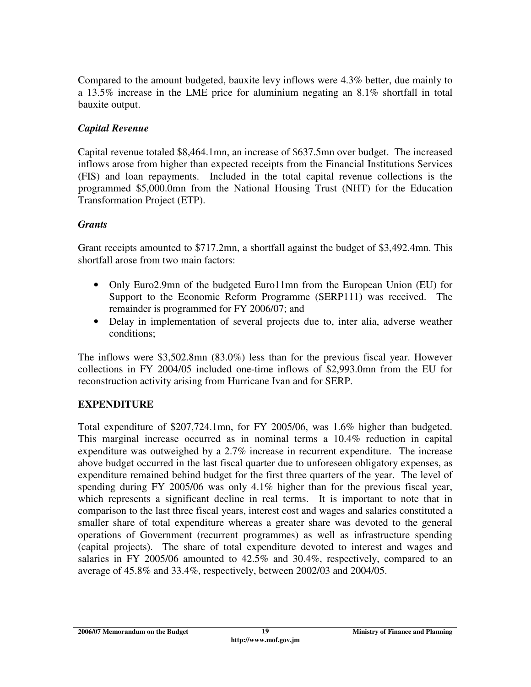Compared to the amount budgeted, bauxite levy inflows were 4.3% better, due mainly to a 13.5% increase in the LME price for aluminium negating an 8.1% shortfall in total bauxite output.

### *Capital Revenue*

Capital revenue totaled \$8,464.1mn, an increase of \$637.5mn over budget. The increased inflows arose from higher than expected receipts from the Financial Institutions Services (FIS) and loan repayments. Included in the total capital revenue collections is the programmed \$5,000.0mn from the National Housing Trust (NHT) for the Education Transformation Project (ETP).

### *Grants*

Grant receipts amounted to \$717.2mn, a shortfall against the budget of \$3,492.4mn. This shortfall arose from two main factors:

- Only Euro2.9mn of the budgeted Euro11mn from the European Union (EU) for Support to the Economic Reform Programme (SERP111) was received. The remainder is programmed for FY 2006/07; and
- Delay in implementation of several projects due to, inter alia, adverse weather conditions;

The inflows were \$3,502.8mn (83.0%) less than for the previous fiscal year. However collections in FY 2004/05 included one-time inflows of \$2,993.0mn from the EU for reconstruction activity arising from Hurricane Ivan and for SERP.

### **EXPENDITURE**

Total expenditure of \$207,724.1mn, for FY 2005/06, was 1.6% higher than budgeted. This marginal increase occurred as in nominal terms a 10.4% reduction in capital expenditure was outweighed by a 2.7% increase in recurrent expenditure. The increase above budget occurred in the last fiscal quarter due to unforeseen obligatory expenses, as expenditure remained behind budget for the first three quarters of the year. The level of spending during FY 2005/06 was only 4.1% higher than for the previous fiscal year, which represents a significant decline in real terms. It is important to note that in comparison to the last three fiscal years, interest cost and wages and salaries constituted a smaller share of total expenditure whereas a greater share was devoted to the general operations of Government (recurrent programmes) as well as infrastructure spending (capital projects). The share of total expenditure devoted to interest and wages and salaries in FY 2005/06 amounted to 42.5% and 30.4%, respectively, compared to an average of 45.8% and 33.4%, respectively, between 2002/03 and 2004/05.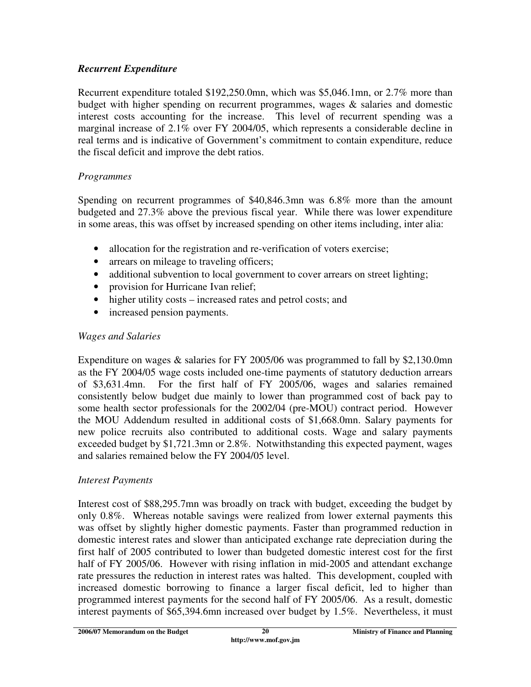### *Recurrent Expenditure*

Recurrent expenditure totaled \$192,250.0mn, which was \$5,046.1mn, or 2.7% more than budget with higher spending on recurrent programmes, wages & salaries and domestic interest costs accounting for the increase. This level of recurrent spending was a marginal increase of 2.1% over FY 2004/05, which represents a considerable decline in real terms and is indicative of Government's commitment to contain expenditure, reduce the fiscal deficit and improve the debt ratios.

### *Programmes*

Spending on recurrent programmes of \$40,846.3mn was 6.8% more than the amount budgeted and 27.3% above the previous fiscal year. While there was lower expenditure in some areas, this was offset by increased spending on other items including, inter alia:

- allocation for the registration and re-verification of voters exercise;
- arrears on mileage to traveling officers;
- additional subvention to local government to cover arrears on street lighting;
- provision for Hurricane Ivan relief;
- higher utility costs increased rates and petrol costs; and
- increased pension payments.

### *Wages and Salaries*

Expenditure on wages & salaries for FY 2005/06 was programmed to fall by \$2,130.0mn as the FY 2004/05 wage costs included one-time payments of statutory deduction arrears of \$3,631.4mn. For the first half of FY 2005/06, wages and salaries remained consistently below budget due mainly to lower than programmed cost of back pay to some health sector professionals for the 2002/04 (pre-MOU) contract period. However the MOU Addendum resulted in additional costs of \$1,668.0mn. Salary payments for new police recruits also contributed to additional costs. Wage and salary payments exceeded budget by \$1,721.3mn or 2.8%. Notwithstanding this expected payment, wages and salaries remained below the FY 2004/05 level.

### *Interest Payments*

Interest cost of \$88,295.7mn was broadly on track with budget, exceeding the budget by only 0.8%. Whereas notable savings were realized from lower external payments this was offset by slightly higher domestic payments. Faster than programmed reduction in domestic interest rates and slower than anticipated exchange rate depreciation during the first half of 2005 contributed to lower than budgeted domestic interest cost for the first half of FY 2005/06. However with rising inflation in mid-2005 and attendant exchange rate pressures the reduction in interest rates was halted. This development, coupled with increased domestic borrowing to finance a larger fiscal deficit, led to higher than programmed interest payments for the second half of FY 2005/06. As a result, domestic interest payments of \$65,394.6mn increased over budget by 1.5%. Nevertheless, it must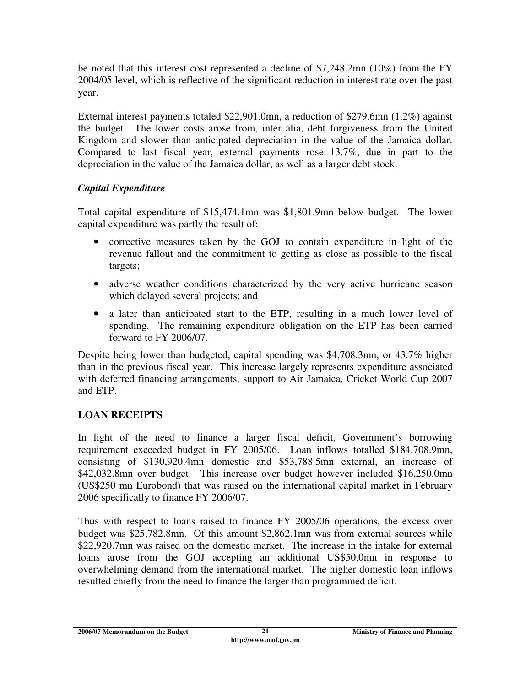be noted that this interest cost represented a decline of \$7,248.2mn (10%) from the FY 2004/05 level, which is reflective of the significant reduction in interest rate over the past year.

External interest payments totaled \$22,901.0mn, a reduction of \$279.6mn (1.2%) against the budget. The lower costs arose from, inter alia, debt forgiveness from the United Kingdom and slower than anticipated depreciation in the value of the Jamaica dollar. Compared to last fiscal year, external payments rose 13.7%, due in part to the depreciation in the value of the Jamaica dollar, as well as a larger debt stock.

# *Capital Expenditure*

Total capital expenditure of \$15,474.1mn was \$1,801.9mn below budget. The lower capital expenditure was partly the result of:

- corrective measures taken by the GOJ to contain expenditure in light of the revenue fallout and the commitment to getting as close as possible to the fiscal targets;
- adverse weather conditions characterized by the very active hurricane season which delayed several projects; and
- a later than anticipated start to the ETP, resulting in a much lower level of spending. The remaining expenditure obligation on the ETP has been carried forward to FY 2006/07.

Despite being lower than budgeted, capital spending was \$4,708.3mn, or 43.7% higher than in the previous fiscal year. This increase largely represents expenditure associated with deferred financing arrangements, support to Air Jamaica, Cricket World Cup 2007 and ETP.

# **LOAN RECEIPTS**

In light of the need to finance a larger fiscal deficit, Government's borrowing requirement exceeded budget in FY 2005/06. Loan inflows totalled \$184,708.9mn, consisting of \$130,920.4mn domestic and \$53,788.5mn external, an increase of \$42,032.8mn over budget. This increase over budget however included \$16,250.0mn (US\$250 mn Eurobond) that was raised on the international capital market in February 2006 specifically to finance FY 2006/07.

Thus with respect to loans raised to finance FY 2005/06 operations, the excess over budget was \$25,782.8mn. Of this amount \$2,862.1mn was from external sources while \$22,920.7mn was raised on the domestic market. The increase in the intake for external loans arose from the GOJ accepting an additional US\$50.0mn in response to overwhelming demand from the international market. The higher domestic loan inflows resulted chiefly from the need to finance the larger than programmed deficit.

**<sup>2006/07</sup> Memorandum on the Budget Ministry of Finance and Planning**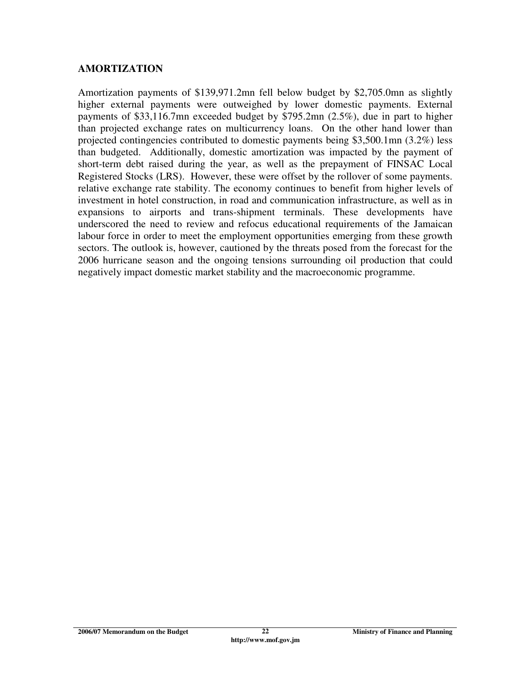#### **AMORTIZATION**

Amortization payments of \$139,971.2mn fell below budget by \$2,705.0mn as slightly higher external payments were outweighed by lower domestic payments. External payments of \$33,116.7mn exceeded budget by \$795.2mn (2.5%), due in part to higher than projected exchange rates on multicurrency loans. On the other hand lower than projected contingencies contributed to domestic payments being \$3,500.1mn (3.2%) less than budgeted. Additionally, domestic amortization was impacted by the payment of short-term debt raised during the year, as well as the prepayment of FINSAC Local Registered Stocks (LRS). However, these were offset by the rollover of some payments. relative exchange rate stability. The economy continues to benefit from higher levels of investment in hotel construction, in road and communication infrastructure, as well as in expansions to airports and trans-shipment terminals. These developments have underscored the need to review and refocus educational requirements of the Jamaican labour force in order to meet the employment opportunities emerging from these growth sectors. The outlook is, however, cautioned by the threats posed from the forecast for the 2006 hurricane season and the ongoing tensions surrounding oil production that could negatively impact domestic market stability and the macroeconomic programme.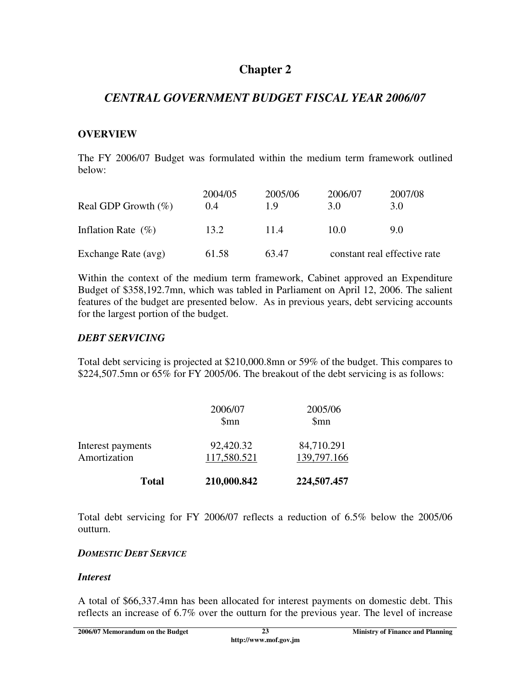# **Chapter 2**

# *CENTRAL GOVERNMENT BUDGET FISCAL YEAR 2006/07*

#### **OVERVIEW**

The FY 2006/07 Budget was formulated within the medium term framework outlined below:

| Real GDP Growth $(\%)$ | 2004/05<br>0.4 | 2005/06<br>19 | 2006/07<br>3.0               | 2007/08<br>3.0 |
|------------------------|----------------|---------------|------------------------------|----------------|
| Inflation Rate $(\% )$ | 13.2           | 11.4          | 10.0                         | 9.0            |
| Exchange Rate (avg)    | 61.58          | 63.47         | constant real effective rate |                |

Within the context of the medium term framework, Cabinet approved an Expenditure Budget of \$358,192.7mn, which was tabled in Parliament on April 12, 2006. The salient features of the budget are presented below. As in previous years, debt servicing accounts for the largest portion of the budget.

#### *DEBT SERVICING*

Total debt servicing is projected at \$210,000.8mn or 59% of the budget. This compares to \$224,507.5mn or 65% for FY 2005/06. The breakout of the debt servicing is as follows:

| <b>Total</b>                      | 210,000.842                 | 224,507.457               |
|-----------------------------------|-----------------------------|---------------------------|
| Interest payments<br>Amortization | 92,420.32<br>117,580.521    | 84,710.291<br>139,797.166 |
|                                   | 2006/07<br>\$ <sub>mn</sub> | 2005/06<br>\$mn           |

Total debt servicing for FY 2006/07 reflects a reduction of 6.5% below the 2005/06 outturn.

### *DOMESTIC DEBT SERVICE*

### *Interest*

A total of \$66,337.4mn has been allocated for interest payments on domestic debt. This reflects an increase of 6.7% over the outturn for the previous year. The level of increase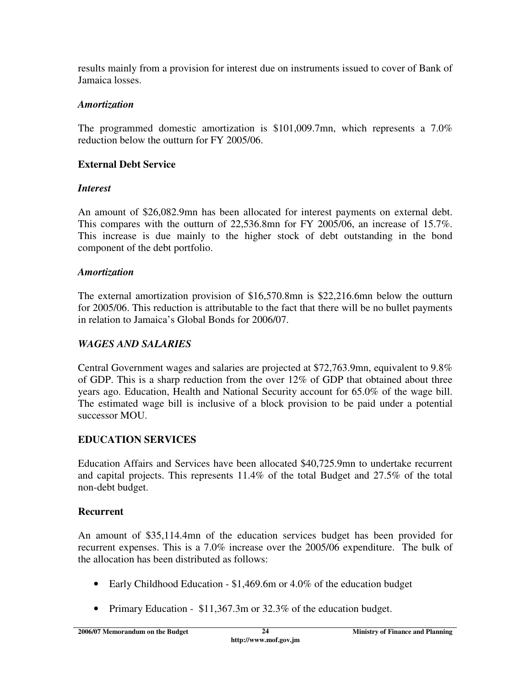results mainly from a provision for interest due on instruments issued to cover of Bank of Jamaica losses.

### *Amortization*

The programmed domestic amortization is \$101,009.7mn, which represents a 7.0% reduction below the outturn for FY 2005/06.

# **External Debt Service**

# *Interest*

An amount of \$26,082.9mn has been allocated for interest payments on external debt. This compares with the outturn of 22,536.8mn for FY 2005/06, an increase of 15.7%. This increase is due mainly to the higher stock of debt outstanding in the bond component of the debt portfolio.

# *Amortization*

The external amortization provision of \$16,570.8mn is \$22,216.6mn below the outturn for 2005/06. This reduction is attributable to the fact that there will be no bullet payments in relation to Jamaica's Global Bonds for 2006/07.

# *WAGES AND SALARIES*

Central Government wages and salaries are projected at \$72,763.9mn, equivalent to 9.8% of GDP. This is a sharp reduction from the over 12% of GDP that obtained about three years ago. Education, Health and National Security account for 65.0% of the wage bill. The estimated wage bill is inclusive of a block provision to be paid under a potential successor MOU.

# **EDUCATION SERVICES**

Education Affairs and Services have been allocated \$40,725.9mn to undertake recurrent and capital projects. This represents 11.4% of the total Budget and 27.5% of the total non-debt budget.

# **Recurrent**

An amount of \$35,114.4mn of the education services budget has been provided for recurrent expenses. This is a 7.0% increase over the 2005/06 expenditure. The bulk of the allocation has been distributed as follows:

- Early Childhood Education \$1,469.6m or 4.0% of the education budget
- Primary Education \$11,367.3m or 32.3% of the education budget.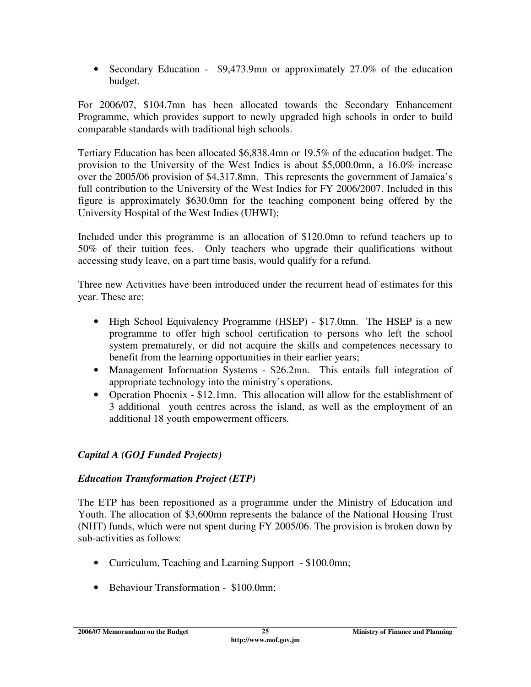• Secondary Education - \$9,473.9mn or approximately 27.0% of the education budget.

For 2006/07, \$104.7mn has been allocated towards the Secondary Enhancement Programme, which provides support to newly upgraded high schools in order to build comparable standards with traditional high schools.

Tertiary Education has been allocated \$6,838.4mn or 19.5% of the education budget. The provision to the University of the West Indies is about \$5,000.0mn, a 16.0% increase over the 2005/06 provision of \$4,317.8mn. This represents the government of Jamaica's full contribution to the University of the West Indies for FY 2006/2007. Included in this figure is approximately \$630.0mn for the teaching component being offered by the University Hospital of the West Indies (UHWI);

Included under this programme is an allocation of \$120.0mn to refund teachers up to 50% of their tuition fees. Only teachers who upgrade their qualifications without accessing study leave, on a part time basis, would qualify for a refund.

Three new Activities have been introduced under the recurrent head of estimates for this year. These are:

- High School Equivalency Programme (HSEP) \$17.0mn. The HSEP is a new programme to offer high school certification to persons who left the school system prematurely, or did not acquire the skills and competences necessary to benefit from the learning opportunities in their earlier years;
- Management Information Systems \$26.2mn. This entails full integration of appropriate technology into the ministry's operations.
- Operation Phoenix \$12.1mn. This allocation will allow for the establishment of 3 additional youth centres across the island, as well as the employment of an additional 18 youth empowerment officers.

# *Capital A (GOJ Funded Projects)*

### *Education Transformation Project (ETP)*

The ETP has been repositioned as a programme under the Ministry of Education and Youth. The allocation of \$3,600mn represents the balance of the National Housing Trust (NHT) funds, which were not spent during FY 2005/06. The provision is broken down by sub-activities as follows:

- Curriculum, Teaching and Learning Support \$100.0mn;
- Behaviour Transformation \$100.0mn;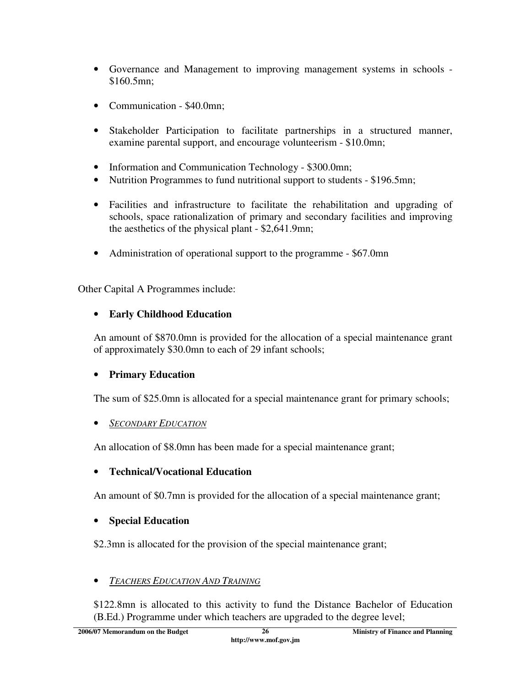- Governance and Management to improving management systems in schools \$160.5mn;
- Communication \$40.0mn;
- Stakeholder Participation to facilitate partnerships in a structured manner, examine parental support, and encourage volunteerism - \$10.0mn;
- Information and Communication Technology \$300.0mn;
- Nutrition Programmes to fund nutritional support to students \$196.5mn;
- Facilities and infrastructure to facilitate the rehabilitation and upgrading of schools, space rationalization of primary and secondary facilities and improving the aesthetics of the physical plant - \$2,641.9mn;
- Administration of operational support to the programme \$67.0mn

Other Capital A Programmes include:

# • **Early Childhood Education**

An amount of \$870.0mn is provided for the allocation of a special maintenance grant of approximately \$30.0mn to each of 29 infant schools;

# • **Primary Education**

The sum of \$25.0mn is allocated for a special maintenance grant for primary schools;

# • *SECONDARY EDUCATION*

An allocation of \$8.0mn has been made for a special maintenance grant;

# • **Technical/Vocational Education**

An amount of \$0.7mn is provided for the allocation of a special maintenance grant;

# • **Special Education**

\$2.3mn is allocated for the provision of the special maintenance grant;

# • *TEACHERS EDUCATION AND TRAINING*

\$122.8mn is allocated to this activity to fund the Distance Bachelor of Education (B.Ed.) Programme under which teachers are upgraded to the degree level;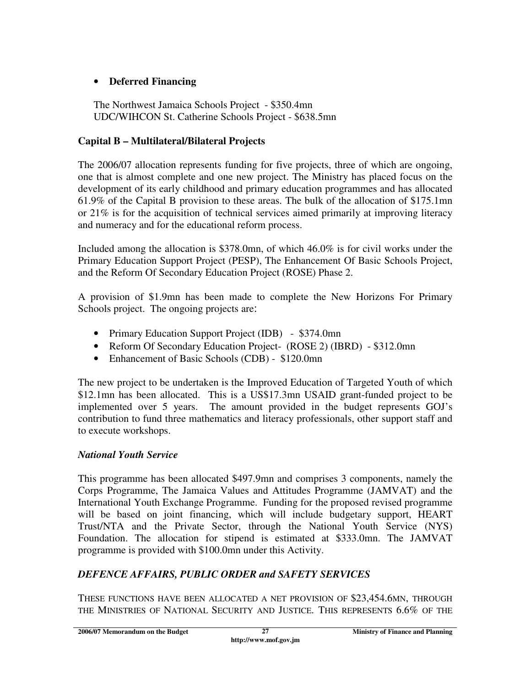# • **Deferred Financing**

The Northwest Jamaica Schools Project - \$350.4mn UDC/WIHCON St. Catherine Schools Project - \$638.5mn

### **Capital B – Multilateral/Bilateral Projects**

The 2006/07 allocation represents funding for five projects, three of which are ongoing, one that is almost complete and one new project. The Ministry has placed focus on the development of its early childhood and primary education programmes and has allocated 61.9% of the Capital B provision to these areas. The bulk of the allocation of \$175.1mn or  $21\%$  is for the acquisition of technical services aimed primarily at improving literacy and numeracy and for the educational reform process.

Included among the allocation is \$378.0mn, of which 46.0% is for civil works under the Primary Education Support Project (PESP), The Enhancement Of Basic Schools Project, and the Reform Of Secondary Education Project (ROSE) Phase 2.

A provision of \$1.9mn has been made to complete the New Horizons For Primary Schools project. The ongoing projects are:

- Primary Education Support Project (IDB) \$374.0mn
- Reform Of Secondary Education Project- (ROSE 2) (IBRD) \$312.0mn
- Enhancement of Basic Schools (CDB) \$120.0mn

The new project to be undertaken is the Improved Education of Targeted Youth of which \$12.1mn has been allocated. This is a US\$17.3mn USAID grant-funded project to be implemented over 5 years. The amount provided in the budget represents GOJ's contribution to fund three mathematics and literacy professionals, other support staff and to execute workshops.

### *National Youth Service*

This programme has been allocated \$497.9mn and comprises 3 components, namely the Corps Programme, The Jamaica Values and Attitudes Programme (JAMVAT) and the International Youth Exchange Programme. Funding for the proposed revised programme will be based on joint financing, which will include budgetary support, HEART Trust/NTA and the Private Sector, through the National Youth Service (NYS) Foundation. The allocation for stipend is estimated at \$333.0mn. The JAMVAT programme is provided with \$100.0mn under this Activity.

# *DEFENCE AFFAIRS, PUBLIC ORDER and SAFETY SERVICES*

THESE FUNCTIONS HAVE BEEN ALLOCATED A NET PROVISION OF \$23,454.6MN, THROUGH THE MINISTRIES OF NATIONAL SECURITY AND JUSTICE. THIS REPRESENTS 6.6% OF THE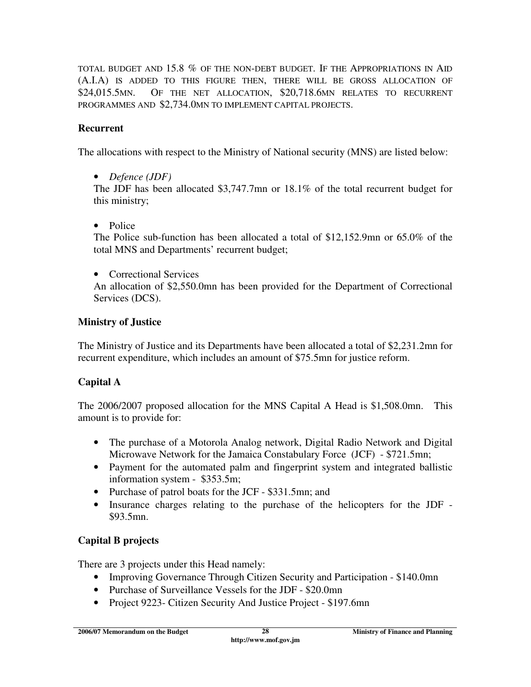TOTAL BUDGET AND 15.8 % OF THE NON-DEBT BUDGET. IF THE APPROPRIATIONS IN AID (A.I.A) IS ADDED TO THIS FIGURE THEN, THERE WILL BE GROSS ALLOCATION OF \$24,015.5MN. OF THE NET ALLOCATION, \$20,718.6MN RELATES TO RECURRENT PROGRAMMES AND \$2,734.0MN TO IMPLEMENT CAPITAL PROJECTS.

# **Recurrent**

The allocations with respect to the Ministry of National security (MNS) are listed below:

• *Defence (JDF)* 

The JDF has been allocated \$3,747.7mn or 18.1% of the total recurrent budget for this ministry;

• Police

The Police sub-function has been allocated a total of \$12,152.9mn or 65.0% of the total MNS and Departments' recurrent budget;

• Correctional Services

An allocation of \$2,550.0mn has been provided for the Department of Correctional Services (DCS).

# **Ministry of Justice**

The Ministry of Justice and its Departments have been allocated a total of \$2,231.2mn for recurrent expenditure, which includes an amount of \$75.5mn for justice reform.

# **Capital A**

The 2006/2007 proposed allocation for the MNS Capital A Head is \$1,508.0mn. This amount is to provide for:

- The purchase of a Motorola Analog network, Digital Radio Network and Digital Microwave Network for the Jamaica Constabulary Force (JCF) - \$721.5mn;
- Payment for the automated palm and fingerprint system and integrated ballistic information system - \$353.5m;
- Purchase of patrol boats for the JCF \$331.5mn; and
- Insurance charges relating to the purchase of the helicopters for the JDF \$93.5mn.

# **Capital B projects**

There are 3 projects under this Head namely:

- Improving Governance Through Citizen Security and Participation \$140.0mn
- Purchase of Surveillance Vessels for the JDF \$20.0mn
- Project 9223- Citizen Security And Justice Project \$197.6mn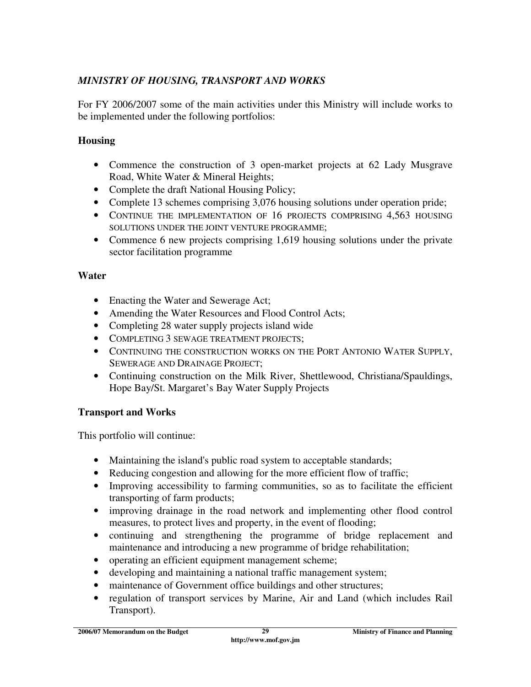### *MINISTRY OF HOUSING, TRANSPORT AND WORKS*

For FY 2006/2007 some of the main activities under this Ministry will include works to be implemented under the following portfolios:

#### **Housing**

- Commence the construction of 3 open-market projects at 62 Lady Musgrave Road, White Water & Mineral Heights;
- Complete the draft National Housing Policy;
- Complete 13 schemes comprising 3,076 housing solutions under operation pride;
- CONTINUE THE IMPLEMENTATION OF 16 PROJECTS COMPRISING 4,563 HOUSING SOLUTIONS UNDER THE JOINT VENTURE PROGRAMME;
- Commence 6 new projects comprising 1,619 housing solutions under the private sector facilitation programme

#### **Water**

- Enacting the Water and Sewerage Act;
- Amending the Water Resources and Flood Control Acts;
- Completing 28 water supply projects island wide
- COMPLETING 3 SEWAGE TREATMENT PROJECTS;
- CONTINUING THE CONSTRUCTION WORKS ON THE PORT ANTONIO WATER SUPPLY, SEWERAGE AND DRAINAGE PROJECT;
- Continuing construction on the Milk River, Shettlewood, Christiana/Spauldings, Hope Bay/St. Margaret's Bay Water Supply Projects

### **Transport and Works**

This portfolio will continue:

- Maintaining the island's public road system to acceptable standards;
- Reducing congestion and allowing for the more efficient flow of traffic;
- Improving accessibility to farming communities, so as to facilitate the efficient transporting of farm products;
- improving drainage in the road network and implementing other flood control measures, to protect lives and property, in the event of flooding;
- continuing and strengthening the programme of bridge replacement and maintenance and introducing a new programme of bridge rehabilitation;
- operating an efficient equipment management scheme;
- developing and maintaining a national traffic management system;
- maintenance of Government office buildings and other structures;
- regulation of transport services by Marine, Air and Land (which includes Rail Transport).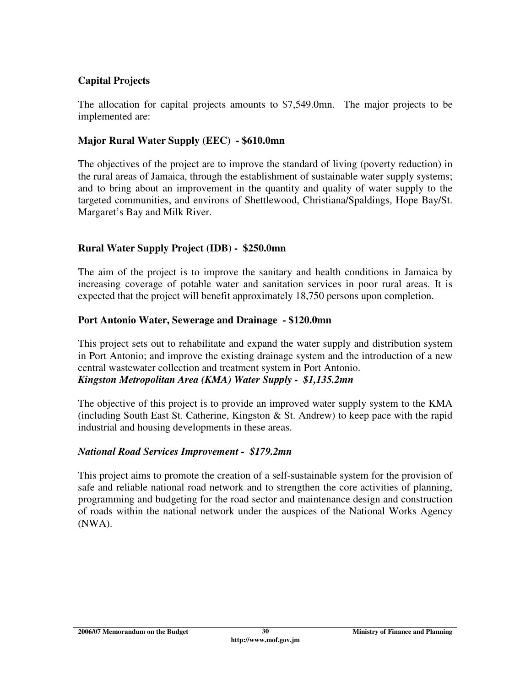#### **Capital Projects**

The allocation for capital projects amounts to \$7,549.0mn. The major projects to be implemented are:

#### **Major Rural Water Supply (EEC) - \$610.0mn**

The objectives of the project are to improve the standard of living (poverty reduction) in the rural areas of Jamaica, through the establishment of sustainable water supply systems; and to bring about an improvement in the quantity and quality of water supply to the targeted communities, and environs of Shettlewood, Christiana/Spaldings, Hope Bay/St. Margaret's Bay and Milk River.

#### **Rural Water Supply Project (IDB) - \$250.0mn**

The aim of the project is to improve the sanitary and health conditions in Jamaica by increasing coverage of potable water and sanitation services in poor rural areas. It is expected that the project will benefit approximately 18,750 persons upon completion.

#### **Port Antonio Water, Sewerage and Drainage - \$120.0mn**

This project sets out to rehabilitate and expand the water supply and distribution system in Port Antonio; and improve the existing drainage system and the introduction of a new central wastewater collection and treatment system in Port Antonio. *Kingston Metropolitan Area (KMA) Water Supply - \$1,135.2mn* 

The objective of this project is to provide an improved water supply system to the KMA (including South East St. Catherine, Kingston  $\&$  St. Andrew) to keep pace with the rapid industrial and housing developments in these areas.

#### *National Road Services Improvement - \$179.2mn*

This project aims to promote the creation of a self-sustainable system for the provision of safe and reliable national road network and to strengthen the core activities of planning, programming and budgeting for the road sector and maintenance design and construction of roads within the national network under the auspices of the National Works Agency (NWA).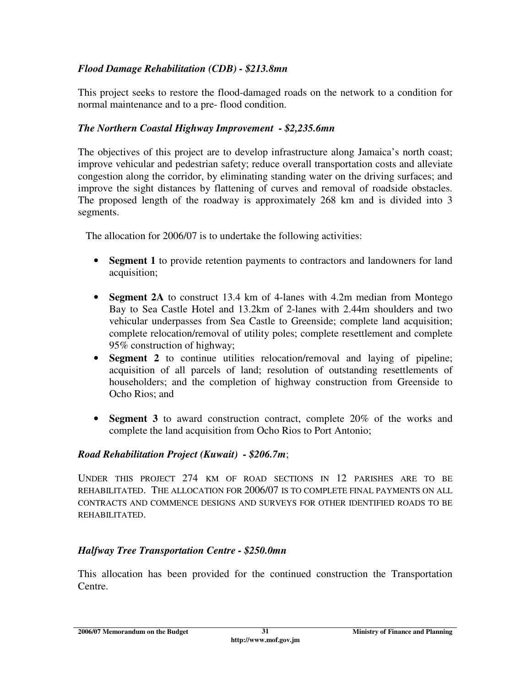### *Flood Damage Rehabilitation (CDB) - \$213.8mn*

This project seeks to restore the flood-damaged roads on the network to a condition for normal maintenance and to a pre- flood condition.

#### *The Northern Coastal Highway Improvement - \$2,235.6mn*

The objectives of this project are to develop infrastructure along Jamaica's north coast; improve vehicular and pedestrian safety; reduce overall transportation costs and alleviate congestion along the corridor, by eliminating standing water on the driving surfaces; and improve the sight distances by flattening of curves and removal of roadside obstacles. The proposed length of the roadway is approximately 268 km and is divided into 3 segments.

The allocation for 2006/07 is to undertake the following activities:

- **Segment 1** to provide retention payments to contractors and landowners for land acquisition;
- **Segment 2A** to construct 13.4 km of 4-lanes with 4.2m median from Montego Bay to Sea Castle Hotel and 13.2km of 2-lanes with 2.44m shoulders and two vehicular underpasses from Sea Castle to Greenside; complete land acquisition; complete relocation/removal of utility poles; complete resettlement and complete 95% construction of highway;
- **Segment 2** to continue utilities relocation/removal and laying of pipeline; acquisition of all parcels of land; resolution of outstanding resettlements of householders; and the completion of highway construction from Greenside to Ocho Rios; and
- **Segment 3** to award construction contract, complete 20% of the works and complete the land acquisition from Ocho Rios to Port Antonio;

#### *Road Rehabilitation Project (Kuwait) - \$206.7m*;

UNDER THIS PROJECT 274 KM OF ROAD SECTIONS IN 12 PARISHES ARE TO BE REHABILITATED. THE ALLOCATION FOR 2006/07 IS TO COMPLETE FINAL PAYMENTS ON ALL CONTRACTS AND COMMENCE DESIGNS AND SURVEYS FOR OTHER IDENTIFIED ROADS TO BE REHABILITATED.

#### *Halfway Tree Transportation Centre - \$250.0mn*

This allocation has been provided for the continued construction the Transportation Centre.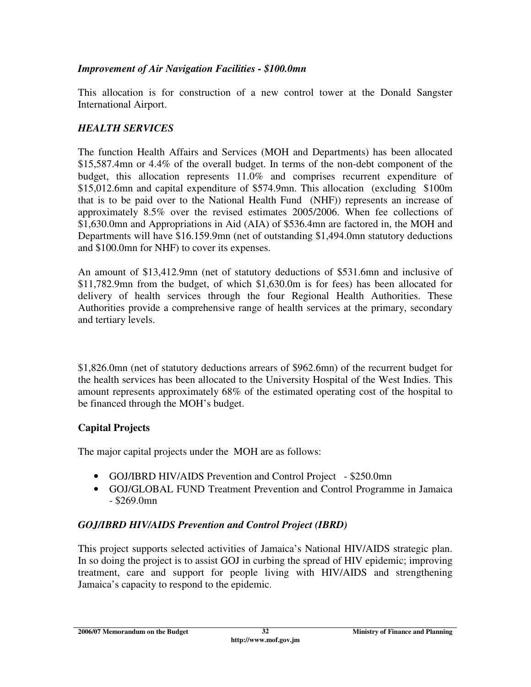#### *Improvement of Air Navigation Facilities - \$100.0mn*

This allocation is for construction of a new control tower at the Donald Sangster International Airport.

### *HEALTH SERVICES*

The function Health Affairs and Services (MOH and Departments) has been allocated \$15,587.4mn or 4.4% of the overall budget. In terms of the non-debt component of the budget, this allocation represents 11.0% and comprises recurrent expenditure of \$15,012.6mn and capital expenditure of \$574.9mn. This allocation (excluding \$100m that is to be paid over to the National Health Fund (NHF)) represents an increase of approximately 8.5% over the revised estimates 2005/2006. When fee collections of \$1,630.0mn and Appropriations in Aid (AIA) of \$536.4mn are factored in, the MOH and Departments will have \$16.159.9mn (net of outstanding \$1,494.0mn statutory deductions and \$100.0mn for NHF) to cover its expenses.

An amount of \$13,412.9mn (net of statutory deductions of \$531.6mn and inclusive of \$11,782.9mn from the budget, of which \$1,630.0m is for fees) has been allocated for delivery of health services through the four Regional Health Authorities. These Authorities provide a comprehensive range of health services at the primary, secondary and tertiary levels.

\$1,826.0mn (net of statutory deductions arrears of \$962.6mn) of the recurrent budget for the health services has been allocated to the University Hospital of the West Indies. This amount represents approximately 68% of the estimated operating cost of the hospital to be financed through the MOH's budget.

### **Capital Projects**

The major capital projects under the MOH are as follows:

- GOJ/IBRD HIV/AIDS Prevention and Control Project \$250.0mn
- GOJ/GLOBAL FUND Treatment Prevention and Control Programme in Jamaica - \$269.0mn

# *GOJ/IBRD HIV/AIDS Prevention and Control Project (IBRD)*

This project supports selected activities of Jamaica's National HIV/AIDS strategic plan. In so doing the project is to assist GOJ in curbing the spread of HIV epidemic; improving treatment, care and support for people living with HIV/AIDS and strengthening Jamaica's capacity to respond to the epidemic.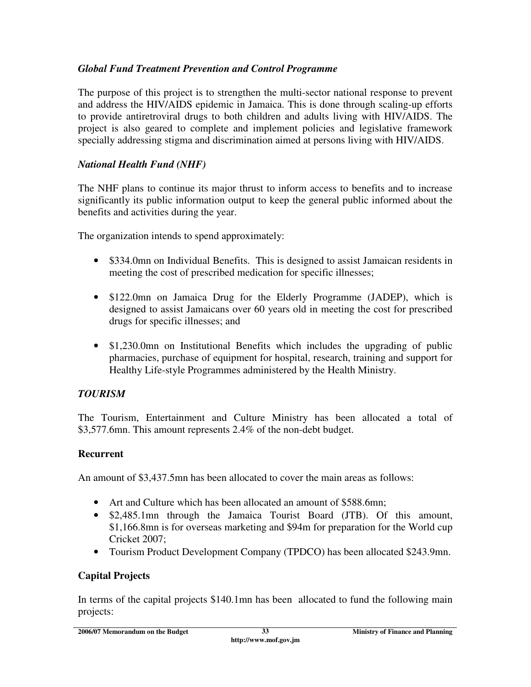### *Global Fund Treatment Prevention and Control Programme*

The purpose of this project is to strengthen the multi-sector national response to prevent and address the HIV/AIDS epidemic in Jamaica. This is done through scaling-up efforts to provide antiretroviral drugs to both children and adults living with HIV/AIDS. The project is also geared to complete and implement policies and legislative framework specially addressing stigma and discrimination aimed at persons living with HIV/AIDS.

#### *National Health Fund (NHF)*

The NHF plans to continue its major thrust to inform access to benefits and to increase significantly its public information output to keep the general public informed about the benefits and activities during the year.

The organization intends to spend approximately:

- \$334.0mn on Individual Benefits. This is designed to assist Jamaican residents in meeting the cost of prescribed medication for specific illnesses;
- \$122.0mn on Jamaica Drug for the Elderly Programme (JADEP), which is designed to assist Jamaicans over 60 years old in meeting the cost for prescribed drugs for specific illnesses; and
- \$1,230.0mn on Institutional Benefits which includes the upgrading of public pharmacies, purchase of equipment for hospital, research, training and support for Healthy Life-style Programmes administered by the Health Ministry.

### *TOURISM*

The Tourism, Entertainment and Culture Ministry has been allocated a total of \$3,577.6mn. This amount represents 2.4% of the non-debt budget.

### **Recurrent**

An amount of \$3,437.5mn has been allocated to cover the main areas as follows:

- Art and Culture which has been allocated an amount of \$588.6mn;
- \$2,485.1mn through the Jamaica Tourist Board (JTB). Of this amount, \$1,166.8mn is for overseas marketing and \$94m for preparation for the World cup Cricket 2007;
- Tourism Product Development Company (TPDCO) has been allocated \$243.9mn.

### **Capital Projects**

In terms of the capital projects \$140.1mn has been allocated to fund the following main projects: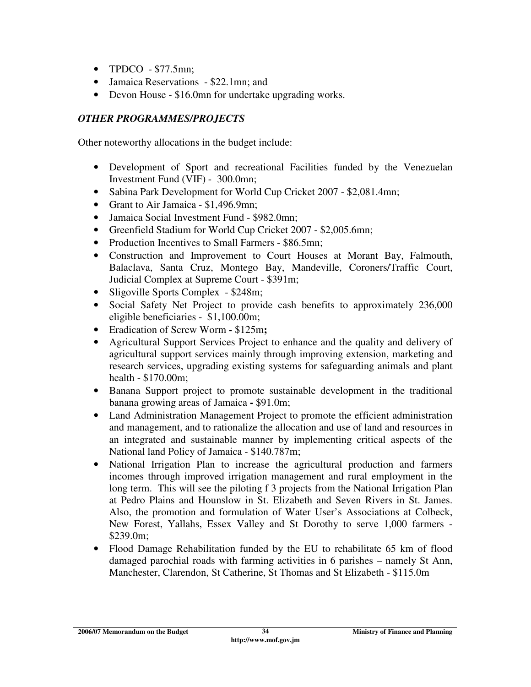- TPDCO \$77.5mn;
- Jamaica Reservations \$22.1mn; and
- Devon House \$16.0mn for undertake upgrading works.

### *OTHER PROGRAMMES/PROJECTS*

Other noteworthy allocations in the budget include:

- Development of Sport and recreational Facilities funded by the Venezuelan Investment Fund (VIF) - 300.0mn;
- Sabina Park Development for World Cup Cricket 2007 \$2,081.4mn;
- Grant to Air Jamaica \$1,496.9mn;
- Jamaica Social Investment Fund \$982.0mn;
- Greenfield Stadium for World Cup Cricket 2007 \$2,005.6mn;
- Production Incentives to Small Farmers \$86.5mn;
- Construction and Improvement to Court Houses at Morant Bay, Falmouth, Balaclava, Santa Cruz, Montego Bay, Mandeville, Coroners/Traffic Court, Judicial Complex at Supreme Court - \$391m;
- Sligoville Sports Complex \$248m;
- Social Safety Net Project to provide cash benefits to approximately 236,000 eligible beneficiaries - \$1,100.00m;
- Eradication of Screw Worm\$125m**;**
- Agricultural Support Services Project to enhance and the quality and delivery of agricultural support services mainly through improving extension, marketing and research services, upgrading existing systems for safeguarding animals and plant health - \$170.00m;
- Banana Support project to promote sustainable development in the traditional banana growing areas of Jamaica **-** \$91.0m;
- Land Administration Management Project to promote the efficient administration and management, and to rationalize the allocation and use of land and resources in an integrated and sustainable manner by implementing critical aspects of the National land Policy of Jamaica - \$140.787m;
- National Irrigation Plan to increase the agricultural production and farmers incomes through improved irrigation management and rural employment in the long term. This will see the piloting f 3 projects from the National Irrigation Plan at Pedro Plains and Hounslow in St. Elizabeth and Seven Rivers in St. James. Also, the promotion and formulation of Water User's Associations at Colbeck, New Forest, Yallahs, Essex Valley and St Dorothy to serve 1,000 farmers - \$239.0m;
- Flood Damage Rehabilitation funded by the EU to rehabilitate 65 km of flood damaged parochial roads with farming activities in 6 parishes – namely St Ann, Manchester, Clarendon, St Catherine, St Thomas and St Elizabeth - \$115.0m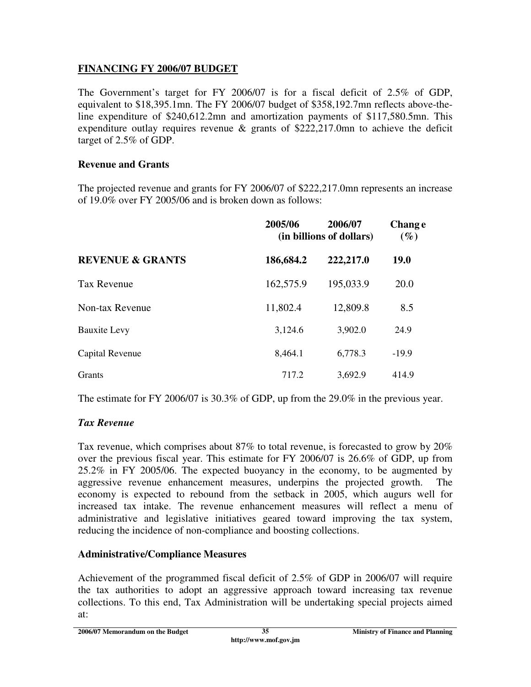### **FINANCING FY 2006/07 BUDGET**

The Government's target for FY 2006/07 is for a fiscal deficit of 2.5% of GDP, equivalent to \$18,395.1mn. The FY 2006/07 budget of \$358,192.7mn reflects above-theline expenditure of \$240,612.2mn and amortization payments of \$117,580.5mn. This expenditure outlay requires revenue & grants of \$222,217.0mn to achieve the deficit target of 2.5% of GDP.

#### **Revenue and Grants**

The projected revenue and grants for FY 2006/07 of \$222,217.0mn represents an increase of 19.0% over FY 2005/06 and is broken down as follows:

|                             | 2005/06   | 2006/07<br>(in billions of dollars) | <b>Change</b><br>$(\%)$ |
|-----------------------------|-----------|-------------------------------------|-------------------------|
| <b>REVENUE &amp; GRANTS</b> | 186,684.2 | 222,217.0                           | <b>19.0</b>             |
| <b>Tax Revenue</b>          | 162,575.9 | 195,033.9                           | 20.0                    |
| Non-tax Revenue             | 11,802.4  | 12,809.8                            | 8.5                     |
| <b>Bauxite Levy</b>         | 3,124.6   | 3,902.0                             | 24.9                    |
| Capital Revenue             | 8,464.1   | 6,778.3                             | $-19.9$                 |
| <b>Grants</b>               | 717.2     | 3,692.9                             | 414.9                   |

The estimate for FY 2006/07 is 30.3% of GDP, up from the 29.0% in the previous year.

### *Tax Revenue*

Tax revenue, which comprises about 87% to total revenue, is forecasted to grow by 20% over the previous fiscal year. This estimate for FY 2006/07 is 26.6% of GDP, up from 25.2% in FY 2005/06. The expected buoyancy in the economy, to be augmented by aggressive revenue enhancement measures, underpins the projected growth. The economy is expected to rebound from the setback in 2005, which augurs well for increased tax intake. The revenue enhancement measures will reflect a menu of administrative and legislative initiatives geared toward improving the tax system, reducing the incidence of non-compliance and boosting collections.

### **Administrative/Compliance Measures**

Achievement of the programmed fiscal deficit of 2.5% of GDP in 2006/07 will require the tax authorities to adopt an aggressive approach toward increasing tax revenue collections. To this end, Tax Administration will be undertaking special projects aimed at: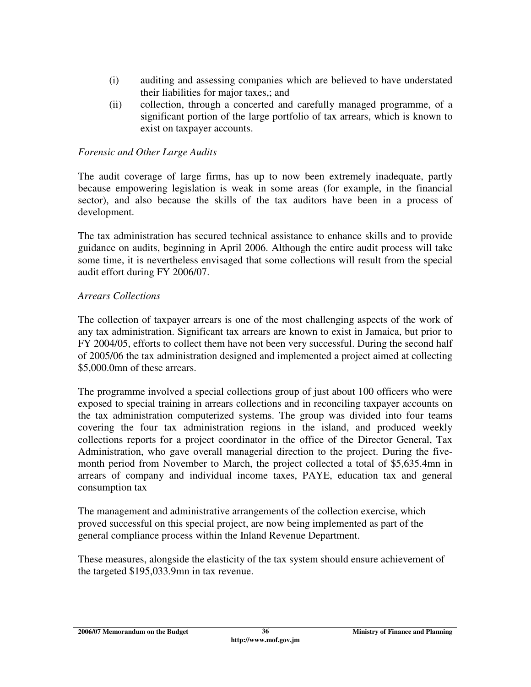- (i) auditing and assessing companies which are believed to have understated their liabilities for major taxes,; and
- (ii) collection, through a concerted and carefully managed programme, of a significant portion of the large portfolio of tax arrears, which is known to exist on taxpayer accounts.

#### *Forensic and Other Large Audits*

The audit coverage of large firms, has up to now been extremely inadequate, partly because empowering legislation is weak in some areas (for example, in the financial sector), and also because the skills of the tax auditors have been in a process of development.

The tax administration has secured technical assistance to enhance skills and to provide guidance on audits, beginning in April 2006. Although the entire audit process will take some time, it is nevertheless envisaged that some collections will result from the special audit effort during FY 2006/07.

#### *Arrears Collections*

The collection of taxpayer arrears is one of the most challenging aspects of the work of any tax administration. Significant tax arrears are known to exist in Jamaica, but prior to FY 2004/05, efforts to collect them have not been very successful. During the second half of 2005/06 the tax administration designed and implemented a project aimed at collecting \$5,000.0mn of these arrears.

The programme involved a special collections group of just about 100 officers who were exposed to special training in arrears collections and in reconciling taxpayer accounts on the tax administration computerized systems. The group was divided into four teams covering the four tax administration regions in the island, and produced weekly collections reports for a project coordinator in the office of the Director General, Tax Administration, who gave overall managerial direction to the project. During the fivemonth period from November to March, the project collected a total of \$5,635.4mn in arrears of company and individual income taxes, PAYE, education tax and general consumption tax

The management and administrative arrangements of the collection exercise, which proved successful on this special project, are now being implemented as part of the general compliance process within the Inland Revenue Department.

These measures, alongside the elasticity of the tax system should ensure achievement of the targeted \$195,033.9mn in tax revenue.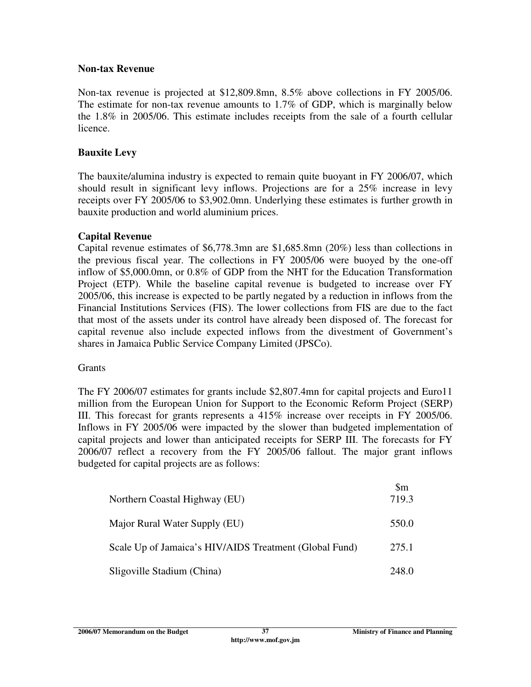#### **Non-tax Revenue**

Non-tax revenue is projected at \$12,809.8mn, 8.5% above collections in FY 2005/06. The estimate for non-tax revenue amounts to 1.7% of GDP, which is marginally below the 1.8% in 2005/06. This estimate includes receipts from the sale of a fourth cellular licence.

### **Bauxite Levy**

The bauxite/alumina industry is expected to remain quite buoyant in FY 2006/07, which should result in significant levy inflows. Projections are for a 25% increase in levy receipts over FY 2005/06 to \$3,902.0mn. Underlying these estimates is further growth in bauxite production and world aluminium prices.

### **Capital Revenue**

Capital revenue estimates of \$6,778.3mn are \$1,685.8mn (20%) less than collections in the previous fiscal year. The collections in FY 2005/06 were buoyed by the one-off inflow of \$5,000.0mn, or 0.8% of GDP from the NHT for the Education Transformation Project (ETP). While the baseline capital revenue is budgeted to increase over FY 2005/06, this increase is expected to be partly negated by a reduction in inflows from the Financial Institutions Services (FIS). The lower collections from FIS are due to the fact that most of the assets under its control have already been disposed of. The forecast for capital revenue also include expected inflows from the divestment of Government's shares in Jamaica Public Service Company Limited (JPSCo).

### **Grants**

The FY 2006/07 estimates for grants include \$2,807.4mn for capital projects and Euro11 million from the European Union for Support to the Economic Reform Project (SERP) III. This forecast for grants represents a 415% increase over receipts in FY 2005/06. Inflows in FY 2005/06 were impacted by the slower than budgeted implementation of capital projects and lower than anticipated receipts for SERP III. The forecasts for FY 2006/07 reflect a recovery from the FY 2005/06 fallout. The major grant inflows budgeted for capital projects are as follows:

| Northern Coastal Highway (EU)                          | $\mathbb{S}_{m}$<br>719.3 |
|--------------------------------------------------------|---------------------------|
| Major Rural Water Supply (EU)                          | 550.0                     |
| Scale Up of Jamaica's HIV/AIDS Treatment (Global Fund) | 275.1                     |
| Sligoville Stadium (China)                             | 248.0                     |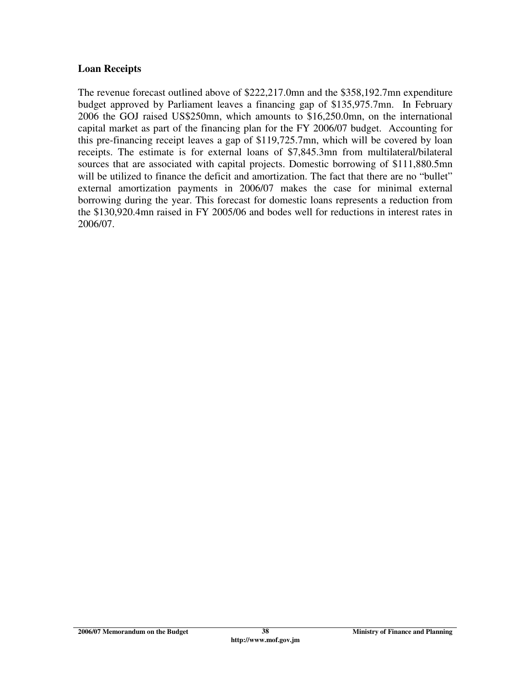#### **Loan Receipts**

The revenue forecast outlined above of \$222,217.0mn and the \$358,192.7mn expenditure budget approved by Parliament leaves a financing gap of \$135,975.7mn. In February 2006 the GOJ raised US\$250mn, which amounts to \$16,250.0mn, on the international capital market as part of the financing plan for the FY 2006/07 budget. Accounting for this pre-financing receipt leaves a gap of \$119,725.7mn, which will be covered by loan receipts. The estimate is for external loans of \$7,845.3mn from multilateral/bilateral sources that are associated with capital projects. Domestic borrowing of \$111,880.5mn will be utilized to finance the deficit and amortization. The fact that there are no "bullet" external amortization payments in 2006/07 makes the case for minimal external borrowing during the year. This forecast for domestic loans represents a reduction from the \$130,920.4mn raised in FY 2005/06 and bodes well for reductions in interest rates in 2006/07.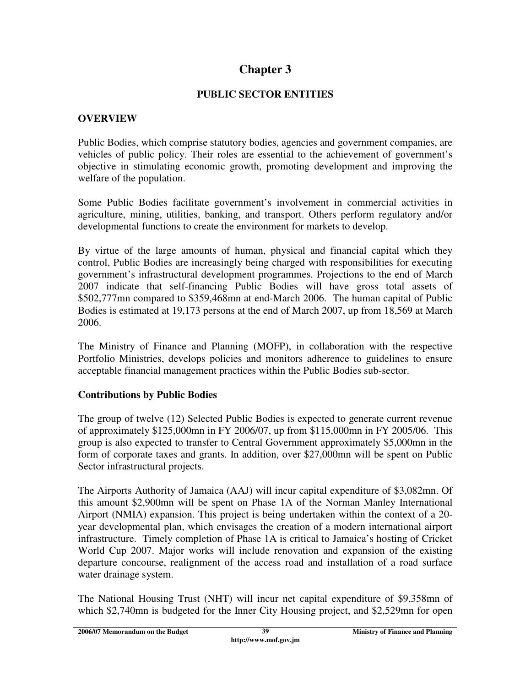# **Chapter 3**

### **PUBLIC SECTOR ENTITIES**

### **OVERVIEW**

Public Bodies, which comprise statutory bodies, agencies and government companies, are vehicles of public policy. Their roles are essential to the achievement of government's objective in stimulating economic growth, promoting development and improving the welfare of the population.

Some Public Bodies facilitate government's involvement in commercial activities in agriculture, mining, utilities, banking, and transport. Others perform regulatory and/or developmental functions to create the environment for markets to develop.

By virtue of the large amounts of human, physical and financial capital which they control, Public Bodies are increasingly being charged with responsibilities for executing government's infrastructural development programmes. Projections to the end of March 2007 indicate that self-financing Public Bodies will have gross total assets of \$502,777mn compared to \$359,468mn at end-March 2006. The human capital of Public Bodies is estimated at 19,173 persons at the end of March 2007, up from 18,569 at March 2006.

The Ministry of Finance and Planning (MOFP), in collaboration with the respective Portfolio Ministries, develops policies and monitors adherence to guidelines to ensure acceptable financial management practices within the Public Bodies sub-sector.

### **Contributions by Public Bodies**

The group of twelve (12) Selected Public Bodies is expected to generate current revenue of approximately \$125,000mn in FY 2006/07, up from \$115,000mn in FY 2005/06. This group is also expected to transfer to Central Government approximately \$5,000mn in the form of corporate taxes and grants. In addition, over \$27,000mn will be spent on Public Sector infrastructural projects.

The Airports Authority of Jamaica (AAJ) will incur capital expenditure of \$3,082mn. Of this amount \$2,900mn will be spent on Phase 1A of the Norman Manley International Airport (NMIA) expansion. This project is being undertaken within the context of a 20 year developmental plan, which envisages the creation of a modern international airport infrastructure. Timely completion of Phase 1A is critical to Jamaica's hosting of Cricket World Cup 2007. Major works will include renovation and expansion of the existing departure concourse, realignment of the access road and installation of a road surface water drainage system.

The National Housing Trust (NHT) will incur net capital expenditure of \$9,358mn of which \$2,740mn is budgeted for the Inner City Housing project, and \$2,529mn for open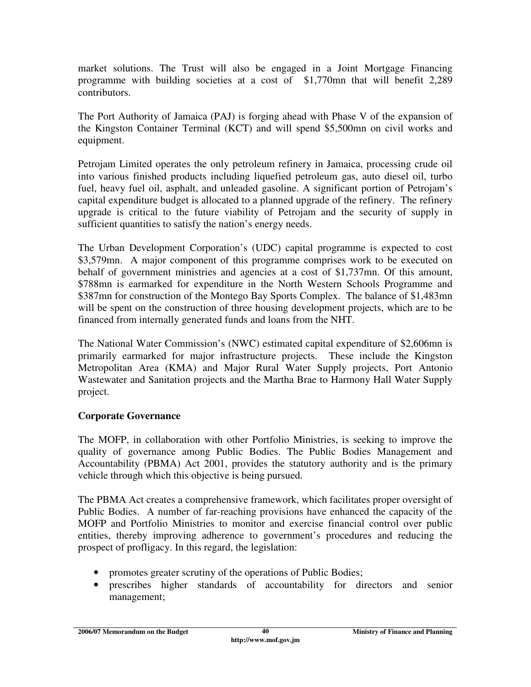market solutions. The Trust will also be engaged in a Joint Mortgage Financing programme with building societies at a cost of \$1,770mn that will benefit 2,289 contributors.

The Port Authority of Jamaica (PAJ) is forging ahead with Phase V of the expansion of the Kingston Container Terminal (KCT) and will spend \$5,500mn on civil works and equipment.

Petrojam Limited operates the only petroleum refinery in Jamaica, processing crude oil into various finished products including liquefied petroleum gas, auto diesel oil, turbo fuel, heavy fuel oil, asphalt, and unleaded gasoline. A significant portion of Petrojam's capital expenditure budget is allocated to a planned upgrade of the refinery. The refinery upgrade is critical to the future viability of Petrojam and the security of supply in sufficient quantities to satisfy the nation's energy needs.

The Urban Development Corporation's (UDC) capital programme is expected to cost \$3,579mn. A major component of this programme comprises work to be executed on behalf of government ministries and agencies at a cost of \$1,737mn. Of this amount, \$788mn is earmarked for expenditure in the North Western Schools Programme and \$387mn for construction of the Montego Bay Sports Complex. The balance of \$1,483mn will be spent on the construction of three housing development projects, which are to be financed from internally generated funds and loans from the NHT.

The National Water Commission's (NWC) estimated capital expenditure of \$2,606mn is primarily earmarked for major infrastructure projects. These include the Kingston Metropolitan Area (KMA) and Major Rural Water Supply projects, Port Antonio Wastewater and Sanitation projects and the Martha Brae to Harmony Hall Water Supply project.

## **Corporate Governance**

The MOFP, in collaboration with other Portfolio Ministries, is seeking to improve the quality of governance among Public Bodies. The Public Bodies Management and Accountability (PBMA) Act 2001, provides the statutory authority and is the primary vehicle through which this objective is being pursued.

The PBMA Act creates a comprehensive framework, which facilitates proper oversight of Public Bodies. A number of far-reaching provisions have enhanced the capacity of the MOFP and Portfolio Ministries to monitor and exercise financial control over public entities, thereby improving adherence to government's procedures and reducing the prospect of profligacy. In this regard, the legislation:

- promotes greater scrutiny of the operations of Public Bodies;
- prescribes higher standards of accountability for directors and senior management;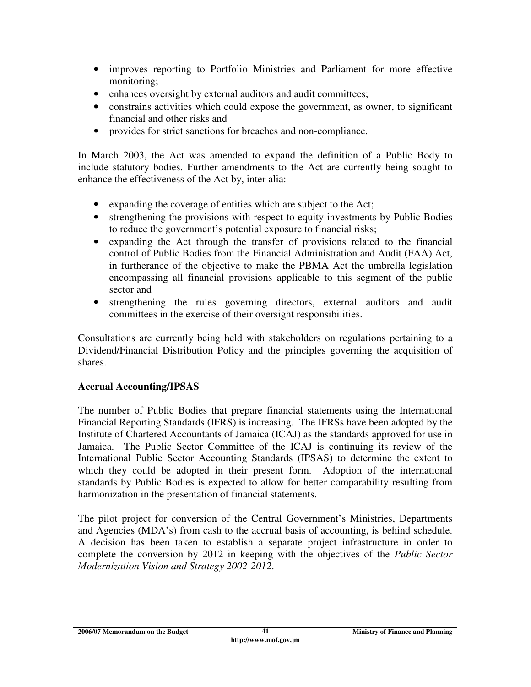- improves reporting to Portfolio Ministries and Parliament for more effective monitoring;
- enhances oversight by external auditors and audit committees;
- constrains activities which could expose the government, as owner, to significant financial and other risks and
- provides for strict sanctions for breaches and non-compliance.

In March 2003, the Act was amended to expand the definition of a Public Body to include statutory bodies. Further amendments to the Act are currently being sought to enhance the effectiveness of the Act by, inter alia:

- expanding the coverage of entities which are subject to the Act;
- strengthening the provisions with respect to equity investments by Public Bodies to reduce the government's potential exposure to financial risks;
- expanding the Act through the transfer of provisions related to the financial control of Public Bodies from the Financial Administration and Audit (FAA) Act, in furtherance of the objective to make the PBMA Act the umbrella legislation encompassing all financial provisions applicable to this segment of the public sector and
- strengthening the rules governing directors, external auditors and audit committees in the exercise of their oversight responsibilities.

Consultations are currently being held with stakeholders on regulations pertaining to a Dividend/Financial Distribution Policy and the principles governing the acquisition of shares.

## **Accrual Accounting/IPSAS**

The number of Public Bodies that prepare financial statements using the International Financial Reporting Standards (IFRS) is increasing. The IFRSs have been adopted by the Institute of Chartered Accountants of Jamaica (ICAJ) as the standards approved for use in Jamaica. The Public Sector Committee of the ICAJ is continuing its review of the International Public Sector Accounting Standards (IPSAS) to determine the extent to which they could be adopted in their present form. Adoption of the international standards by Public Bodies is expected to allow for better comparability resulting from harmonization in the presentation of financial statements.

The pilot project for conversion of the Central Government's Ministries, Departments and Agencies (MDA's) from cash to the accrual basis of accounting, is behind schedule. A decision has been taken to establish a separate project infrastructure in order to complete the conversion by 2012 in keeping with the objectives of the *Public Sector Modernization Vision and Strategy 2002-2012*.

**2006/07 Memorandum on the Budget 41 12006/07 Ministry of Finance and Planning**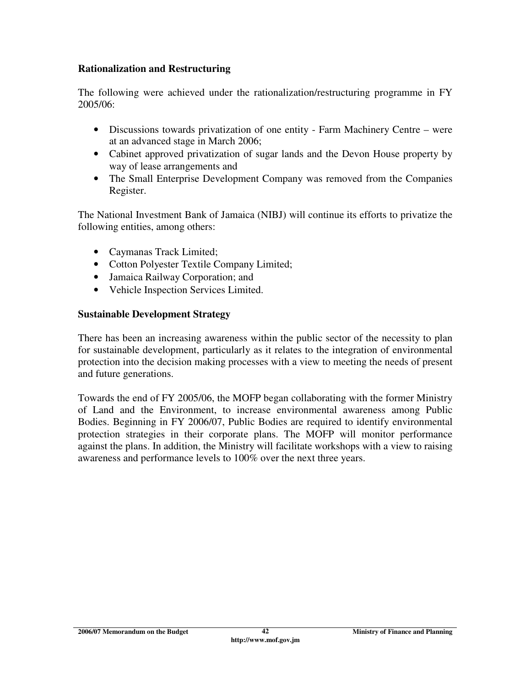#### **Rationalization and Restructuring**

The following were achieved under the rationalization/restructuring programme in FY 2005/06:

- Discussions towards privatization of one entity Farm Machinery Centre were at an advanced stage in March 2006;
- Cabinet approved privatization of sugar lands and the Devon House property by way of lease arrangements and
- The Small Enterprise Development Company was removed from the Companies Register.

The National Investment Bank of Jamaica (NIBJ) will continue its efforts to privatize the following entities, among others:

- Caymanas Track Limited;
- Cotton Polyester Textile Company Limited;
- Jamaica Railway Corporation; and
- Vehicle Inspection Services Limited.

### **Sustainable Development Strategy**

There has been an increasing awareness within the public sector of the necessity to plan for sustainable development, particularly as it relates to the integration of environmental protection into the decision making processes with a view to meeting the needs of present and future generations.

Towards the end of FY 2005/06, the MOFP began collaborating with the former Ministry of Land and the Environment, to increase environmental awareness among Public Bodies. Beginning in FY 2006/07, Public Bodies are required to identify environmental protection strategies in their corporate plans. The MOFP will monitor performance against the plans. In addition, the Ministry will facilitate workshops with a view to raising awareness and performance levels to 100% over the next three years.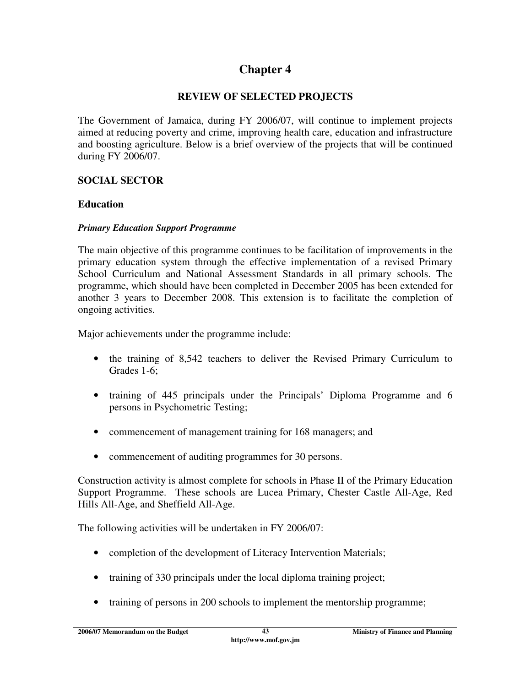# **Chapter 4**

### **REVIEW OF SELECTED PROJECTS**

The Government of Jamaica, during FY 2006/07, will continue to implement projects aimed at reducing poverty and crime, improving health care, education and infrastructure and boosting agriculture. Below is a brief overview of the projects that will be continued during FY 2006/07.

### **SOCIAL SECTOR**

#### **Education**

#### *Primary Education Support Programme*

The main objective of this programme continues to be facilitation of improvements in the primary education system through the effective implementation of a revised Primary School Curriculum and National Assessment Standards in all primary schools. The programme, which should have been completed in December 2005 has been extended for another 3 years to December 2008. This extension is to facilitate the completion of ongoing activities.

Major achievements under the programme include:

- the training of 8,542 teachers to deliver the Revised Primary Curriculum to Grades 1-6;
- training of 445 principals under the Principals' Diploma Programme and 6 persons in Psychometric Testing;
- commencement of management training for 168 managers; and
- commencement of auditing programmes for 30 persons.

Construction activity is almost complete for schools in Phase II of the Primary Education Support Programme. These schools are Lucea Primary, Chester Castle All-Age, Red Hills All-Age, and Sheffield All-Age.

The following activities will be undertaken in FY 2006/07:

- completion of the development of Literacy Intervention Materials;
- training of 330 principals under the local diploma training project;
- training of persons in 200 schools to implement the mentorship programme;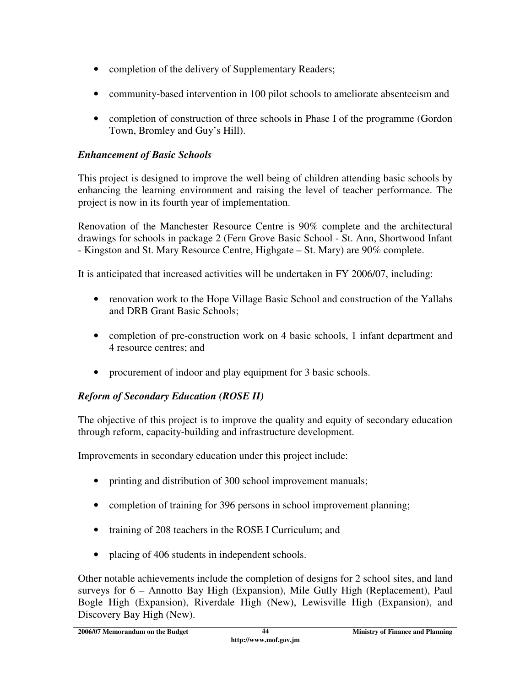- completion of the delivery of Supplementary Readers;
- community-based intervention in 100 pilot schools to ameliorate absenteeism and
- completion of construction of three schools in Phase I of the programme (Gordon Town, Bromley and Guy's Hill).

## *Enhancement of Basic Schools*

This project is designed to improve the well being of children attending basic schools by enhancing the learning environment and raising the level of teacher performance. The project is now in its fourth year of implementation.

Renovation of the Manchester Resource Centre is 90% complete and the architectural drawings for schools in package 2 (Fern Grove Basic School - St. Ann, Shortwood Infant - Kingston and St. Mary Resource Centre, Highgate – St. Mary) are 90% complete.

It is anticipated that increased activities will be undertaken in FY 2006/07, including:

- renovation work to the Hope Village Basic School and construction of the Yallahs and DRB Grant Basic Schools;
- completion of pre-construction work on 4 basic schools, 1 infant department and 4 resource centres; and
- procurement of indoor and play equipment for 3 basic schools.

## *Reform of Secondary Education (ROSE II)*

The objective of this project is to improve the quality and equity of secondary education through reform, capacity-building and infrastructure development.

Improvements in secondary education under this project include:

- printing and distribution of 300 school improvement manuals;
- completion of training for 396 persons in school improvement planning;
- training of 208 teachers in the ROSE I Curriculum; and
- placing of 406 students in independent schools.

Other notable achievements include the completion of designs for 2 school sites, and land surveys for 6 – Annotto Bay High (Expansion), Mile Gully High (Replacement), Paul Bogle High (Expansion), Riverdale High (New), Lewisville High (Expansion), and Discovery Bay High (New).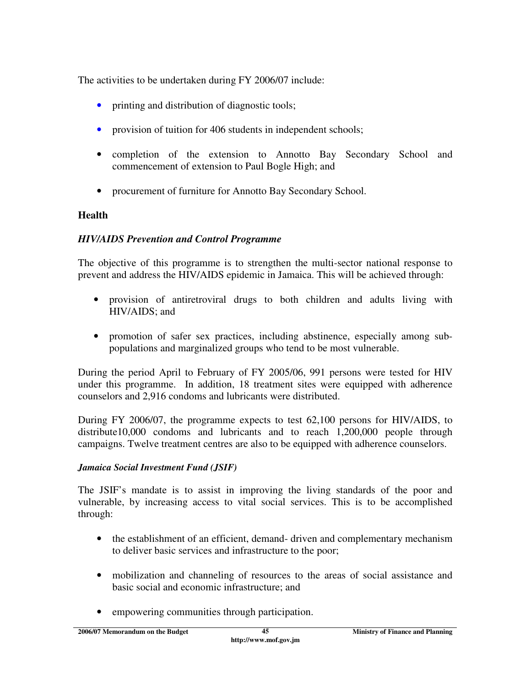The activities to be undertaken during FY 2006/07 include:

- printing and distribution of diagnostic tools;
- provision of tuition for 406 students in independent schools;
- completion of the extension to Annotto Bay Secondary School and commencement of extension to Paul Bogle High; and
- procurement of furniture for Annotto Bay Secondary School.

### **Health**

### *HIV/AIDS Prevention and Control Programme*

The objective of this programme is to strengthen the multi-sector national response to prevent and address the HIV/AIDS epidemic in Jamaica. This will be achieved through:

- provision of antiretroviral drugs to both children and adults living with HIV/AIDS; and
- promotion of safer sex practices, including abstinence, especially among subpopulations and marginalized groups who tend to be most vulnerable.

During the period April to February of FY 2005/06, 991 persons were tested for HIV under this programme. In addition, 18 treatment sites were equipped with adherence counselors and 2,916 condoms and lubricants were distributed.

During FY 2006/07, the programme expects to test 62,100 persons for HIV/AIDS, to distribute10,000 condoms and lubricants and to reach 1,200,000 people through campaigns. Twelve treatment centres are also to be equipped with adherence counselors.

### *Jamaica Social Investment Fund (JSIF)*

The JSIF's mandate is to assist in improving the living standards of the poor and vulnerable, by increasing access to vital social services. This is to be accomplished through:

- the establishment of an efficient, demand-driven and complementary mechanism to deliver basic services and infrastructure to the poor;
- mobilization and channeling of resources to the areas of social assistance and basic social and economic infrastructure; and
- empowering communities through participation.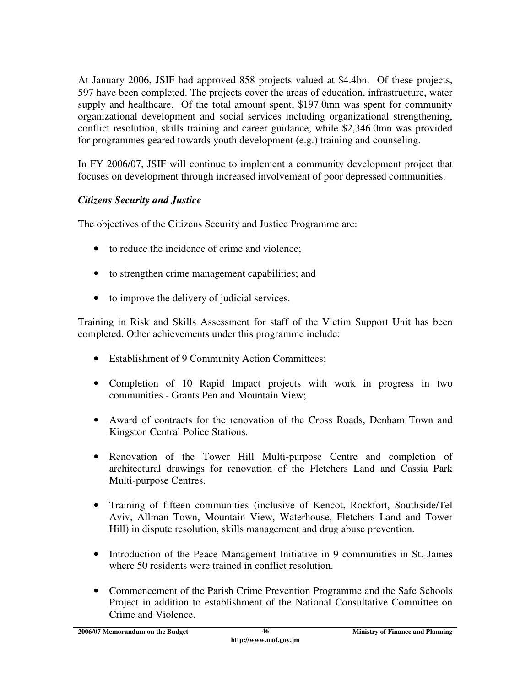At January 2006, JSIF had approved 858 projects valued at \$4.4bn. Of these projects, 597 have been completed. The projects cover the areas of education, infrastructure, water supply and healthcare. Of the total amount spent, \$197.0mn was spent for community organizational development and social services including organizational strengthening, conflict resolution, skills training and career guidance, while \$2,346.0mn was provided for programmes geared towards youth development (e.g.) training and counseling.

In FY 2006/07, JSIF will continue to implement a community development project that focuses on development through increased involvement of poor depressed communities.

## *Citizens Security and Justice*

The objectives of the Citizens Security and Justice Programme are:

- to reduce the incidence of crime and violence;
- to strengthen crime management capabilities; and
- to improve the delivery of judicial services.

Training in Risk and Skills Assessment for staff of the Victim Support Unit has been completed. Other achievements under this programme include:

- Establishment of 9 Community Action Committees;
- Completion of 10 Rapid Impact projects with work in progress in two communities - Grants Pen and Mountain View;
- Award of contracts for the renovation of the Cross Roads, Denham Town and Kingston Central Police Stations.
- Renovation of the Tower Hill Multi-purpose Centre and completion of architectural drawings for renovation of the Fletchers Land and Cassia Park Multi-purpose Centres.
- Training of fifteen communities (inclusive of Kencot, Rockfort, Southside/Tel Aviv, Allman Town, Mountain View, Waterhouse, Fletchers Land and Tower Hill) in dispute resolution, skills management and drug abuse prevention.
- Introduction of the Peace Management Initiative in 9 communities in St. James where 50 residents were trained in conflict resolution.
- Commencement of the Parish Crime Prevention Programme and the Safe Schools Project in addition to establishment of the National Consultative Committee on Crime and Violence.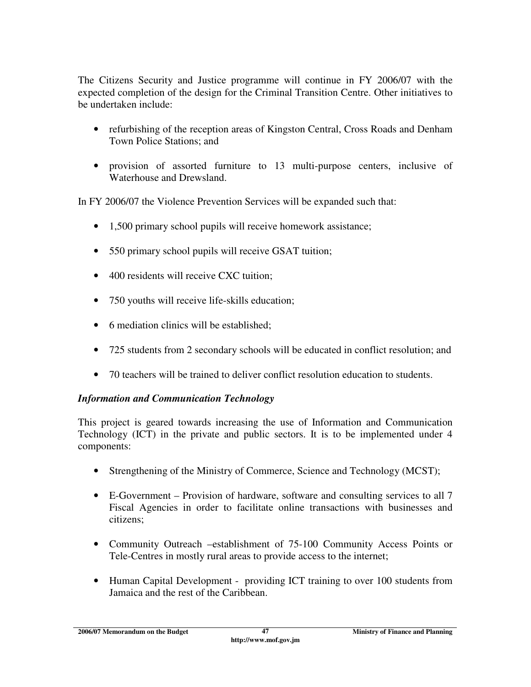The Citizens Security and Justice programme will continue in FY 2006/07 with the expected completion of the design for the Criminal Transition Centre. Other initiatives to be undertaken include:

- refurbishing of the reception areas of Kingston Central, Cross Roads and Denham Town Police Stations; and
- provision of assorted furniture to 13 multi-purpose centers, inclusive of Waterhouse and Drewsland.

In FY 2006/07 the Violence Prevention Services will be expanded such that:

- 1,500 primary school pupils will receive homework assistance;
- 550 primary school pupils will receive GSAT tuition;
- 400 residents will receive CXC tuition;
- 750 youths will receive life-skills education;
- 6 mediation clinics will be established:
- 725 students from 2 secondary schools will be educated in conflict resolution; and
- 70 teachers will be trained to deliver conflict resolution education to students.

### *Information and Communication Technology*

This project is geared towards increasing the use of Information and Communication Technology (ICT) in the private and public sectors. It is to be implemented under 4 components:

- Strengthening of the Ministry of Commerce, Science and Technology (MCST);
- E-Government Provision of hardware, software and consulting services to all 7 Fiscal Agencies in order to facilitate online transactions with businesses and citizens;
- Community Outreach –establishment of 75-100 Community Access Points or Tele-Centres in mostly rural areas to provide access to the internet;
- Human Capital Development providing ICT training to over 100 students from Jamaica and the rest of the Caribbean.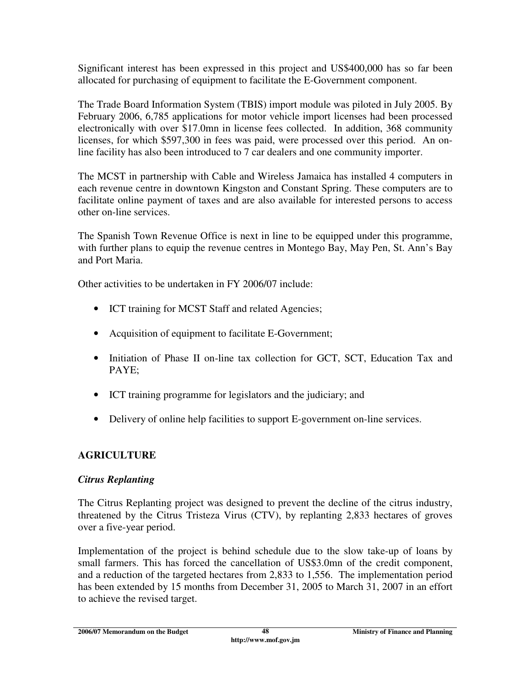Significant interest has been expressed in this project and US\$400,000 has so far been allocated for purchasing of equipment to facilitate the E-Government component.

The Trade Board Information System (TBIS) import module was piloted in July 2005. By February 2006, 6,785 applications for motor vehicle import licenses had been processed electronically with over \$17.0mn in license fees collected. In addition, 368 community licenses, for which \$597,300 in fees was paid, were processed over this period. An online facility has also been introduced to 7 car dealers and one community importer.

The MCST in partnership with Cable and Wireless Jamaica has installed 4 computers in each revenue centre in downtown Kingston and Constant Spring. These computers are to facilitate online payment of taxes and are also available for interested persons to access other on-line services.

The Spanish Town Revenue Office is next in line to be equipped under this programme, with further plans to equip the revenue centres in Montego Bay, May Pen, St. Ann's Bay and Port Maria.

Other activities to be undertaken in FY 2006/07 include:

- ICT training for MCST Staff and related Agencies;
- Acquisition of equipment to facilitate E-Government;
- Initiation of Phase II on-line tax collection for GCT, SCT, Education Tax and PAYE;
- ICT training programme for legislators and the judiciary; and
- Delivery of online help facilities to support E-government on-line services.

## **AGRICULTURE**

## *Citrus Replanting*

The Citrus Replanting project was designed to prevent the decline of the citrus industry, threatened by the Citrus Tristeza Virus (CTV), by replanting 2,833 hectares of groves over a five-year period.

Implementation of the project is behind schedule due to the slow take-up of loans by small farmers. This has forced the cancellation of US\$3.0mn of the credit component, and a reduction of the targeted hectares from 2,833 to 1,556. The implementation period has been extended by 15 months from December 31, 2005 to March 31, 2007 in an effort to achieve the revised target.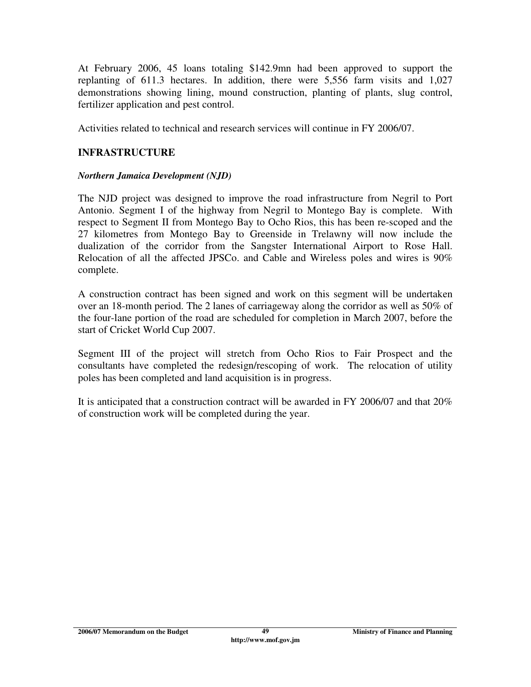At February 2006, 45 loans totaling \$142.9mn had been approved to support the replanting of 611.3 hectares. In addition, there were 5,556 farm visits and 1,027 demonstrations showing lining, mound construction, planting of plants, slug control, fertilizer application and pest control.

Activities related to technical and research services will continue in FY 2006/07.

### **INFRASTRUCTURE**

#### *Northern Jamaica Development (NJD)*

The NJD project was designed to improve the road infrastructure from Negril to Port Antonio. Segment I of the highway from Negril to Montego Bay is complete. With respect to Segment II from Montego Bay to Ocho Rios, this has been re-scoped and the 27 kilometres from Montego Bay to Greenside in Trelawny will now include the dualization of the corridor from the Sangster International Airport to Rose Hall. Relocation of all the affected JPSCo. and Cable and Wireless poles and wires is 90% complete.

A construction contract has been signed and work on this segment will be undertaken over an 18-month period. The 2 lanes of carriageway along the corridor as well as 50% of the four-lane portion of the road are scheduled for completion in March 2007, before the start of Cricket World Cup 2007.

Segment III of the project will stretch from Ocho Rios to Fair Prospect and the consultants have completed the redesign/rescoping of work. The relocation of utility poles has been completed and land acquisition is in progress.

It is anticipated that a construction contract will be awarded in FY 2006/07 and that 20% of construction work will be completed during the year.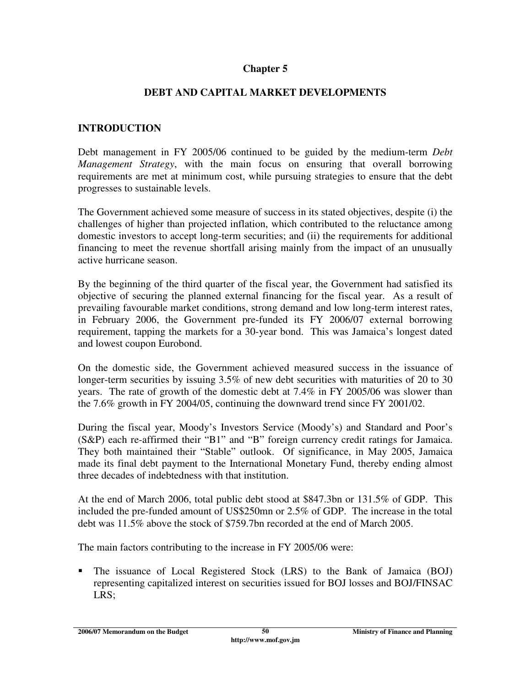### **Chapter 5**

### **DEBT AND CAPITAL MARKET DEVELOPMENTS**

#### **INTRODUCTION**

Debt management in FY 2005/06 continued to be guided by the medium-term *Debt Management Strategy*, with the main focus on ensuring that overall borrowing requirements are met at minimum cost, while pursuing strategies to ensure that the debt progresses to sustainable levels.

The Government achieved some measure of success in its stated objectives, despite (i) the challenges of higher than projected inflation, which contributed to the reluctance among domestic investors to accept long-term securities; and (ii) the requirements for additional financing to meet the revenue shortfall arising mainly from the impact of an unusually active hurricane season.

By the beginning of the third quarter of the fiscal year, the Government had satisfied its objective of securing the planned external financing for the fiscal year. As a result of prevailing favourable market conditions, strong demand and low long-term interest rates, in February 2006, the Government pre-funded its FY 2006/07 external borrowing requirement, tapping the markets for a 30-year bond. This was Jamaica's longest dated and lowest coupon Eurobond.

On the domestic side, the Government achieved measured success in the issuance of longer-term securities by issuing 3.5% of new debt securities with maturities of 20 to 30 years. The rate of growth of the domestic debt at 7.4% in FY 2005/06 was slower than the 7.6% growth in FY 2004/05, continuing the downward trend since FY 2001/02.

During the fiscal year, Moody's Investors Service (Moody's) and Standard and Poor's (S&P) each re-affirmed their "B1" and "B" foreign currency credit ratings for Jamaica. They both maintained their "Stable" outlook. Of significance, in May 2005, Jamaica made its final debt payment to the International Monetary Fund, thereby ending almost three decades of indebtedness with that institution.

At the end of March 2006, total public debt stood at \$847.3bn or 131.5% of GDP. This included the pre-funded amount of US\$250mn or 2.5% of GDP. The increase in the total debt was 11.5% above the stock of \$759.7bn recorded at the end of March 2005.

The main factors contributing to the increase in FY 2005/06 were:

 The issuance of Local Registered Stock (LRS) to the Bank of Jamaica (BOJ) representing capitalized interest on securities issued for BOJ losses and BOJ/FINSAC LRS;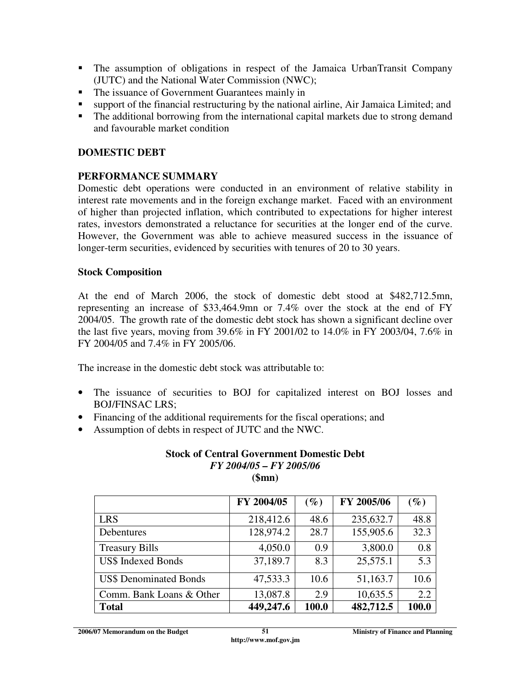- The assumption of obligations in respect of the Jamaica UrbanTransit Company (JUTC) and the National Water Commission (NWC);
- The issuance of Government Guarantees mainly in
- support of the financial restructuring by the national airline, Air Jamaica Limited; and
- The additional borrowing from the international capital markets due to strong demand and favourable market condition

### **DOMESTIC DEBT**

### **PERFORMANCE SUMMARY**

Domestic debt operations were conducted in an environment of relative stability in interest rate movements and in the foreign exchange market. Faced with an environment of higher than projected inflation, which contributed to expectations for higher interest rates, investors demonstrated a reluctance for securities at the longer end of the curve. However, the Government was able to achieve measured success in the issuance of longer-term securities, evidenced by securities with tenures of 20 to 30 years.

#### **Stock Composition**

At the end of March 2006, the stock of domestic debt stood at \$482,712.5mn, representing an increase of \$33,464.9mn or 7.4% over the stock at the end of FY 2004/05. The growth rate of the domestic debt stock has shown a significant decline over the last five years, moving from 39.6% in FY 2001/02 to 14.0% in FY 2003/04, 7.6% in FY 2004/05 and 7.4% in FY 2005/06.

The increase in the domestic debt stock was attributable to:

- The issuance of securities to BOJ for capitalized interest on BOJ losses and BOJ/FINSAC LRS;
- Financing of the additional requirements for the fiscal operations; and
- Assumption of debts in respect of JUTC and the NWC.

#### **Stock of Central Government Domestic Debt**  *FY 2004/05 – FY 2005/06*  **(\$mn)**

|                               | FY 2004/05 | $(\%)$ | FY 2005/06 | $(\%)$           |
|-------------------------------|------------|--------|------------|------------------|
| <b>LRS</b>                    | 218,412.6  | 48.6   | 235,632.7  | 48.8             |
| Debentures                    | 128,974.2  | 28.7   | 155,905.6  | 32.3             |
| <b>Treasury Bills</b>         | 4,050.0    | 0.9    | 3,800.0    | 0.8              |
| <b>US\$ Indexed Bonds</b>     | 37,189.7   | 8.3    | 25,575.1   | $\overline{5.3}$ |
| <b>US\$ Denominated Bonds</b> | 47,533.3   | 10.6   | 51,163.7   | 10.6             |
| Comm. Bank Loans & Other      | 13,087.8   | 2.9    | 10,635.5   | 2.2              |
| <b>Total</b>                  | 449,247.6  | 100.0  | 482,712.5  | 100.0            |

**2006/07 Memorandum on the Budget 51** 51 Ministry of Finance and Planning **Ministry of Finance 2006**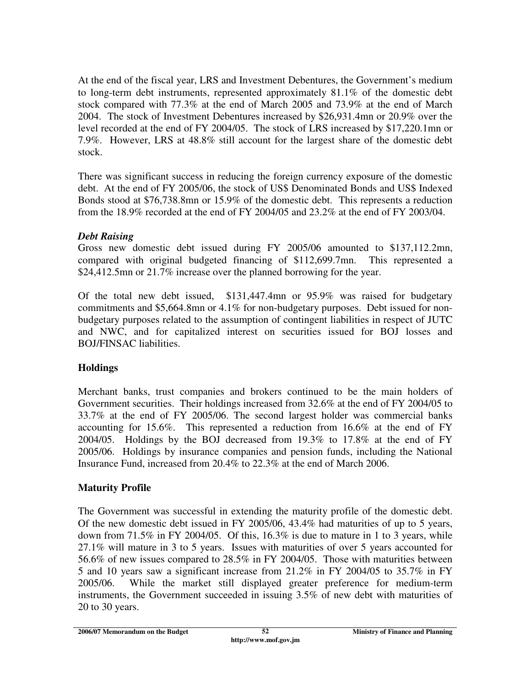At the end of the fiscal year, LRS and Investment Debentures, the Government's medium to long-term debt instruments, represented approximately 81.1% of the domestic debt stock compared with 77.3% at the end of March 2005 and 73.9% at the end of March 2004. The stock of Investment Debentures increased by \$26,931.4mn or 20.9% over the level recorded at the end of FY 2004/05. The stock of LRS increased by \$17,220.1mn or 7.9%. However, LRS at 48.8% still account for the largest share of the domestic debt stock.

There was significant success in reducing the foreign currency exposure of the domestic debt. At the end of FY 2005/06, the stock of US\$ Denominated Bonds and US\$ Indexed Bonds stood at \$76,738.8mn or 15.9% of the domestic debt. This represents a reduction from the 18.9% recorded at the end of FY 2004/05 and 23.2% at the end of FY 2003/04.

### *Debt Raising*

Gross new domestic debt issued during FY 2005/06 amounted to \$137,112.2mn, compared with original budgeted financing of \$112,699.7mn. This represented a \$24,412.5mn or 21.7% increase over the planned borrowing for the year.

Of the total new debt issued, \$131,447.4mn or 95.9% was raised for budgetary commitments and \$5,664.8mn or 4.1% for non-budgetary purposes. Debt issued for nonbudgetary purposes related to the assumption of contingent liabilities in respect of JUTC and NWC, and for capitalized interest on securities issued for BOJ losses and BOJ/FINSAC liabilities.

## **Holdings**

Merchant banks, trust companies and brokers continued to be the main holders of Government securities. Their holdings increased from 32.6% at the end of FY 2004/05 to 33.7% at the end of FY 2005/06. The second largest holder was commercial banks accounting for 15.6%. This represented a reduction from 16.6% at the end of FY 2004/05. Holdings by the BOJ decreased from 19.3% to 17.8% at the end of FY 2005/06. Holdings by insurance companies and pension funds, including the National Insurance Fund, increased from 20.4% to 22.3% at the end of March 2006.

## **Maturity Profile**

The Government was successful in extending the maturity profile of the domestic debt. Of the new domestic debt issued in FY 2005/06, 43.4% had maturities of up to 5 years, down from 71.5% in FY 2004/05. Of this, 16.3% is due to mature in 1 to 3 years, while 27.1% will mature in 3 to 5 years. Issues with maturities of over 5 years accounted for 56.6% of new issues compared to 28.5% in FY 2004/05. Those with maturities between 5 and 10 years saw a significant increase from 21.2% in FY 2004/05 to 35.7% in FY 2005/06. While the market still displayed greater preference for medium-term instruments, the Government succeeded in issuing 3.5% of new debt with maturities of 20 to 30 years.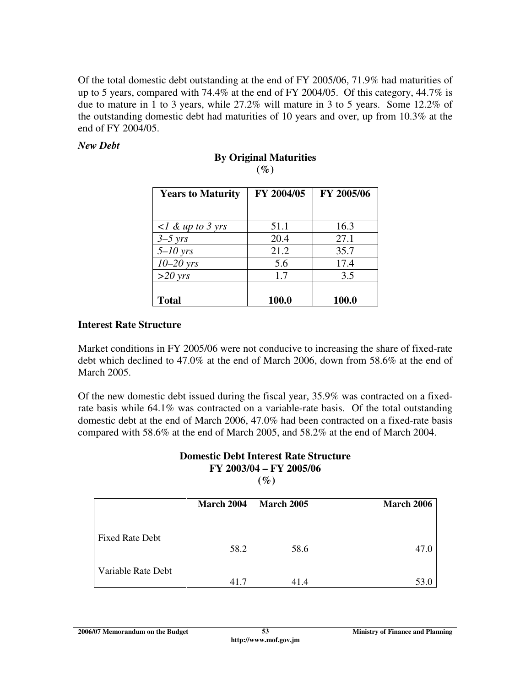Of the total domestic debt outstanding at the end of FY 2005/06, 71.9% had maturities of up to 5 years, compared with 74.4% at the end of FY 2004/05. Of this category, 44.7% is due to mature in 1 to 3 years, while 27.2% will mature in 3 to 5 years. Some 12.2% of the outstanding domestic debt had maturities of 10 years and over, up from 10.3% at the end of FY 2004/05.

#### *New Debt*

| <b>Years to Maturity</b>  | FY 2004/05 | FY 2005/06 |
|---------------------------|------------|------------|
| $\langle$ l & up to 3 yrs | 51.1       | 16.3       |
| $3-5$ yrs                 | 20.4       | 27.1       |
| $5-10$ yrs                | 21.2       | 35.7       |
| $10-20$ yrs               | 5.6        | 17.4       |
| $>20$ yrs                 | 1.7        | 3.5        |
| <b>Total</b>              | 100.0      | 100.0      |

#### **By Original Maturities (%)**

#### **Interest Rate Structure**

Market conditions in FY 2005/06 were not conducive to increasing the share of fixed-rate debt which declined to 47.0% at the end of March 2006, down from 58.6% at the end of March 2005.

Of the new domestic debt issued during the fiscal year, 35.9% was contracted on a fixedrate basis while 64.1% was contracted on a variable-rate basis. Of the total outstanding domestic debt at the end of March 2006, 47.0% had been contracted on a fixed-rate basis compared with 58.6% at the end of March 2005, and 58.2% at the end of March 2004.

### **Domestic Debt Interest Rate Structure FY 2003/04 – FY 2005/06**

 $(\%)$ 

|                        | March 2004 | <b>March 2005</b> | <b>March 2006</b> |
|------------------------|------------|-------------------|-------------------|
| <b>Fixed Rate Debt</b> | 58.2       | 58.6              | 47.0              |
| Variable Rate Debt     | 41.7       | 41.4              | 53.0              |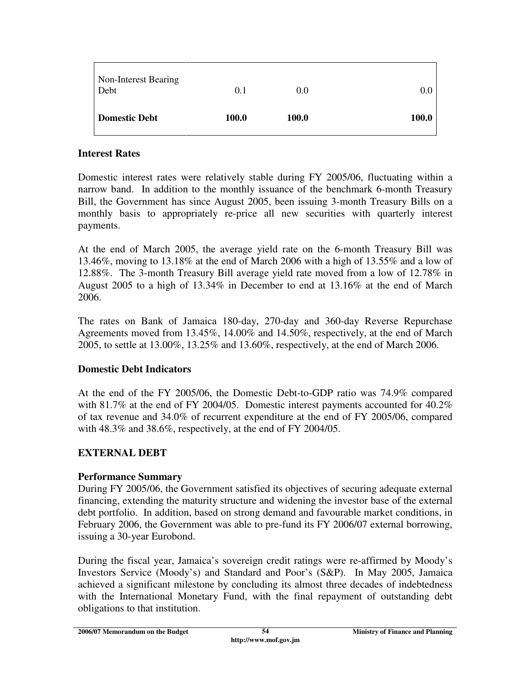| Non-Interest Bearing<br>Debt | 0.1          | 0.0   | 0.0   |
|------------------------------|--------------|-------|-------|
| <b>Domestic Debt</b>         | <b>100.0</b> | 100.0 | 100.0 |

#### **Interest Rates**

Domestic interest rates were relatively stable during FY 2005/06, fluctuating within a narrow band. In addition to the monthly issuance of the benchmark 6-month Treasury Bill, the Government has since August 2005, been issuing 3-month Treasury Bills on a monthly basis to appropriately re-price all new securities with quarterly interest payments.

At the end of March 2005, the average yield rate on the 6-month Treasury Bill was 13.46%, moving to 13.18% at the end of March 2006 with a high of 13.55% and a low of 12.88%. The 3-month Treasury Bill average yield rate moved from a low of 12.78% in August 2005 to a high of 13.34% in December to end at 13.16% at the end of March 2006.

The rates on Bank of Jamaica 180-day, 270-day and 360-day Reverse Repurchase Agreements moved from 13.45%, 14.00% and 14.50%, respectively, at the end of March 2005, to settle at 13.00%, 13.25% and 13.60%, respectively, at the end of March 2006.

#### **Domestic Debt Indicators**

At the end of the FY 2005/06, the Domestic Debt-to-GDP ratio was 74.9% compared with 81.7% at the end of FY 2004/05. Domestic interest payments accounted for 40.2% of tax revenue and 34.0% of recurrent expenditure at the end of FY 2005/06, compared with 48.3% and 38.6%, respectively, at the end of FY 2004/05.

#### **EXTERNAL DEBT**

#### **Performance Summary**

During FY 2005/06, the Government satisfied its objectives of securing adequate external financing, extending the maturity structure and widening the investor base of the external debt portfolio. In addition, based on strong demand and favourable market conditions, in February 2006, the Government was able to pre-fund its FY 2006/07 external borrowing, issuing a 30-year Eurobond.

During the fiscal year, Jamaica's sovereign credit ratings were re-affirmed by Moody's Investors Service (Moody's) and Standard and Poor's (S&P). In May 2005, Jamaica achieved a significant milestone by concluding its almost three decades of indebtedness with the International Monetary Fund, with the final repayment of outstanding debt obligations to that institution.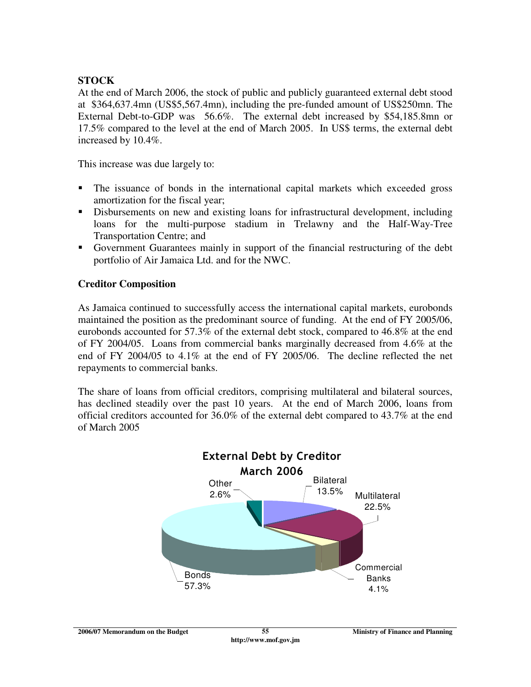### **STOCK**

At the end of March 2006, the stock of public and publicly guaranteed external debt stood at \$364,637.4mn (US\$5,567.4mn), including the pre-funded amount of US\$250mn. The External Debt-to-GDP was 56.6%. The external debt increased by \$54,185.8mn or 17.5% compared to the level at the end of March 2005. In US\$ terms, the external debt increased by 10.4%.

This increase was due largely to:

- The issuance of bonds in the international capital markets which exceeded gross amortization for the fiscal year;
- Disbursements on new and existing loans for infrastructural development, including loans for the multi-purpose stadium in Trelawny and the Half-Way-Tree Transportation Centre; and
- Government Guarantees mainly in support of the financial restructuring of the debt portfolio of Air Jamaica Ltd. and for the NWC.

### **Creditor Composition**

As Jamaica continued to successfully access the international capital markets, eurobonds maintained the position as the predominant source of funding. At the end of FY 2005/06, eurobonds accounted for 57.3% of the external debt stock, compared to 46.8% at the end of FY 2004/05. Loans from commercial banks marginally decreased from 4.6% at the end of FY 2004/05 to 4.1% at the end of FY 2005/06. The decline reflected the net repayments to commercial banks.

The share of loans from official creditors, comprising multilateral and bilateral sources, has declined steadily over the past 10 years. At the end of March 2006, loans from official creditors accounted for 36.0% of the external debt compared to 43.7% at the end of March 2005

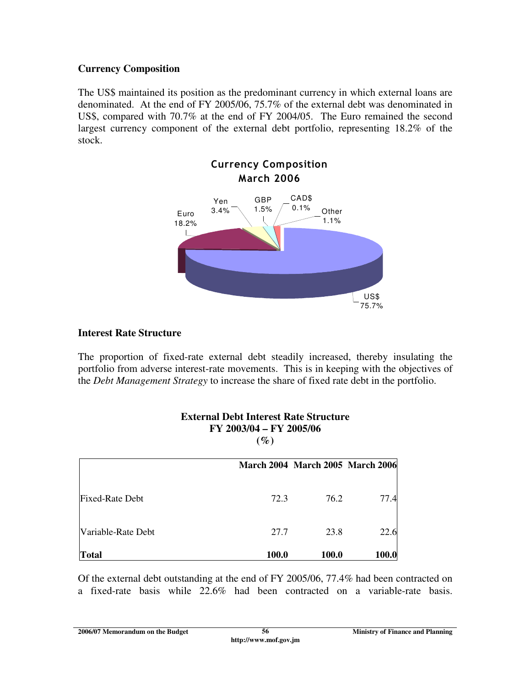### **Currency Composition**

The US\$ maintained its position as the predominant currency in which external loans are denominated. At the end of FY 2005/06, 75.7% of the external debt was denominated in US\$, compared with 70.7% at the end of FY 2004/05. The Euro remained the second largest currency component of the external debt portfolio, representing 18.2% of the stock.



### **Interest Rate Structure**

The proportion of fixed-rate external debt steadily increased, thereby insulating the portfolio from adverse interest-rate movements. This is in keeping with the objectives of the *Debt Management Strategy* to increase the share of fixed rate debt in the portfolio.

> **External Debt Interest Rate Structure FY 2003/04 – FY 2005/06**   $(0)$

|                        | $\sqrt{U}$   |                                         |       |  |
|------------------------|--------------|-----------------------------------------|-------|--|
|                        |              | <b>March 2004 March 2005 March 2006</b> |       |  |
| <b>Fixed-Rate Debt</b> | 72.3         | 76.2                                    | 77.4  |  |
| Variable-Rate Debt     | 27.7         | 23.8                                    | 22.6  |  |
| <b>Total</b>           | <b>100.0</b> | 100.0                                   | 100.0 |  |

#### Of the external debt outstanding at the end of FY 2005/06, 77.4% had been contracted on a fixed-rate basis while 22.6% had been contracted on a variable-rate basis.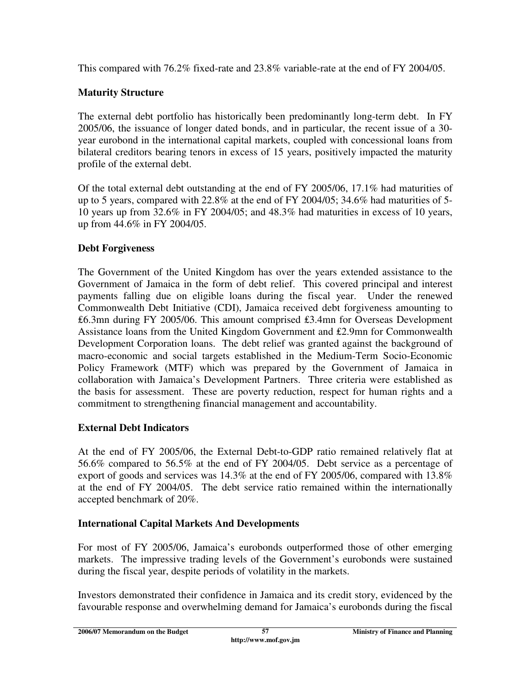This compared with 76.2% fixed-rate and 23.8% variable-rate at the end of FY 2004/05.

### **Maturity Structure**

The external debt portfolio has historically been predominantly long-term debt. In FY 2005/06, the issuance of longer dated bonds, and in particular, the recent issue of a 30 year eurobond in the international capital markets, coupled with concessional loans from bilateral creditors bearing tenors in excess of 15 years, positively impacted the maturity profile of the external debt.

Of the total external debt outstanding at the end of FY 2005/06, 17.1% had maturities of up to 5 years, compared with 22.8% at the end of FY 2004/05; 34.6% had maturities of 5- 10 years up from 32.6% in FY 2004/05; and 48.3% had maturities in excess of 10 years, up from 44.6% in FY 2004/05.

### **Debt Forgiveness**

The Government of the United Kingdom has over the years extended assistance to the Government of Jamaica in the form of debt relief. This covered principal and interest payments falling due on eligible loans during the fiscal year. Under the renewed Commonwealth Debt Initiative (CDI), Jamaica received debt forgiveness amounting to ₤6.3mn during FY 2005/06. This amount comprised ₤3.4mn for Overseas Development Assistance loans from the United Kingdom Government and ₤2.9mn for Commonwealth Development Corporation loans. The debt relief was granted against the background of macro-economic and social targets established in the Medium-Term Socio-Economic Policy Framework (MTF) which was prepared by the Government of Jamaica in collaboration with Jamaica's Development Partners. Three criteria were established as the basis for assessment. These are poverty reduction, respect for human rights and a commitment to strengthening financial management and accountability.

## **External Debt Indicators**

At the end of FY 2005/06, the External Debt-to-GDP ratio remained relatively flat at 56.6% compared to 56.5% at the end of FY 2004/05. Debt service as a percentage of export of goods and services was 14.3% at the end of FY 2005/06, compared with 13.8% at the end of FY 2004/05. The debt service ratio remained within the internationally accepted benchmark of 20%.

### **International Capital Markets And Developments**

For most of FY 2005/06, Jamaica's eurobonds outperformed those of other emerging markets. The impressive trading levels of the Government's eurobonds were sustained during the fiscal year, despite periods of volatility in the markets.

Investors demonstrated their confidence in Jamaica and its credit story, evidenced by the favourable response and overwhelming demand for Jamaica's eurobonds during the fiscal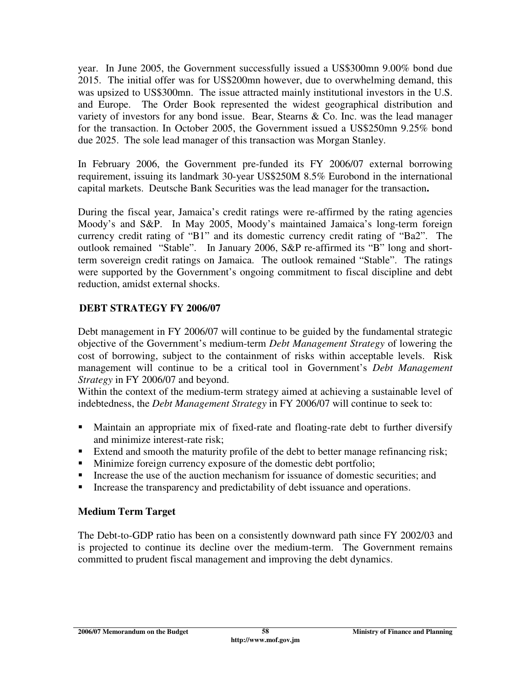year. In June 2005, the Government successfully issued a US\$300mn 9.00% bond due 2015. The initial offer was for US\$200mn however, due to overwhelming demand, this was upsized to US\$300mn. The issue attracted mainly institutional investors in the U.S. and Europe. The Order Book represented the widest geographical distribution and variety of investors for any bond issue. Bear, Stearns & Co. Inc. was the lead manager for the transaction. In October 2005, the Government issued a US\$250mn 9.25% bond due 2025. The sole lead manager of this transaction was Morgan Stanley.

In February 2006, the Government pre-funded its FY 2006/07 external borrowing requirement, issuing its landmark 30-year US\$250M 8.5% Eurobond in the international capital markets. Deutsche Bank Securities was the lead manager for the transaction**.** 

During the fiscal year, Jamaica's credit ratings were re-affirmed by the rating agencies Moody's and S&P. In May 2005, Moody's maintained Jamaica's long-term foreign currency credit rating of "B1" and its domestic currency credit rating of "Ba2". The outlook remained "Stable". In January 2006, S&P re-affirmed its "B" long and shortterm sovereign credit ratings on Jamaica. The outlook remained "Stable". The ratings were supported by the Government's ongoing commitment to fiscal discipline and debt reduction, amidst external shocks.

### **DEBT STRATEGY FY 2006/07**

Debt management in FY 2006/07 will continue to be guided by the fundamental strategic objective of the Government's medium-term *Debt Management Strategy* of lowering the cost of borrowing, subject to the containment of risks within acceptable levels. Risk management will continue to be a critical tool in Government's *Debt Management Strategy* in FY 2006/07 and beyond.

Within the context of the medium-term strategy aimed at achieving a sustainable level of indebtedness, the *Debt Management Strategy* in FY 2006/07 will continue to seek to:

- Maintain an appropriate mix of fixed-rate and floating-rate debt to further diversify and minimize interest-rate risk;
- Extend and smooth the maturity profile of the debt to better manage refinancing risk;
- Minimize foreign currency exposure of the domestic debt portfolio;
- Increase the use of the auction mechanism for issuance of domestic securities; and
- Increase the transparency and predictability of debt issuance and operations.

### **Medium Term Target**

The Debt-to-GDP ratio has been on a consistently downward path since FY 2002/03 and is projected to continue its decline over the medium-term. The Government remains committed to prudent fiscal management and improving the debt dynamics.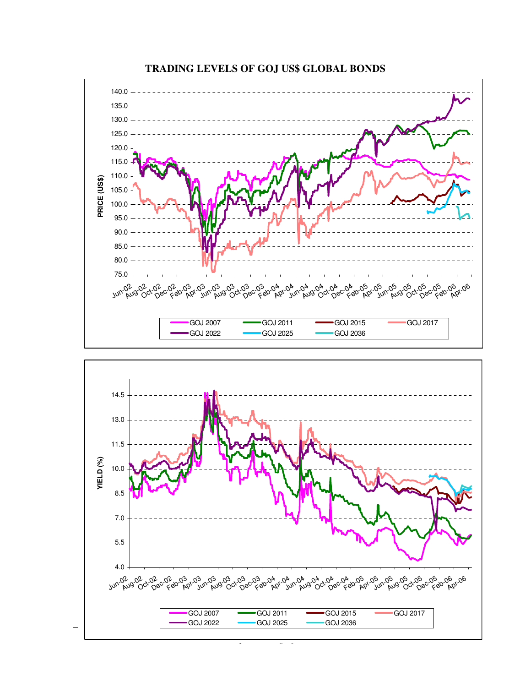

**TRADING LEVELS OF GOJ US\$ GLOBAL BONDS** 

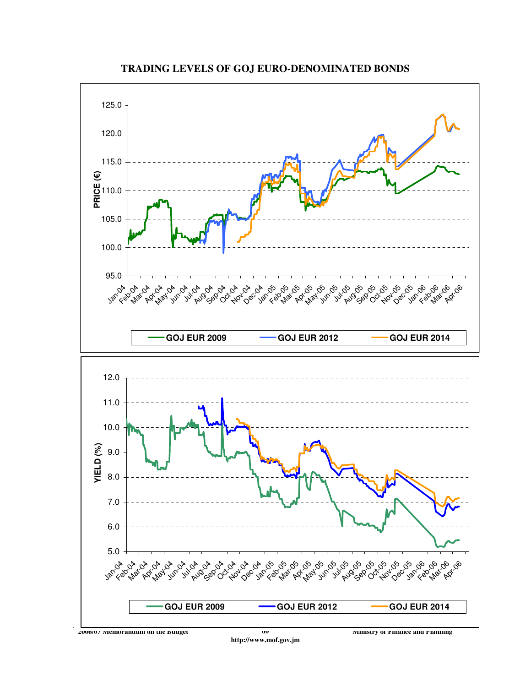

**TRADING LEVELS OF GOJ EURO-DENOMINATED BONDS**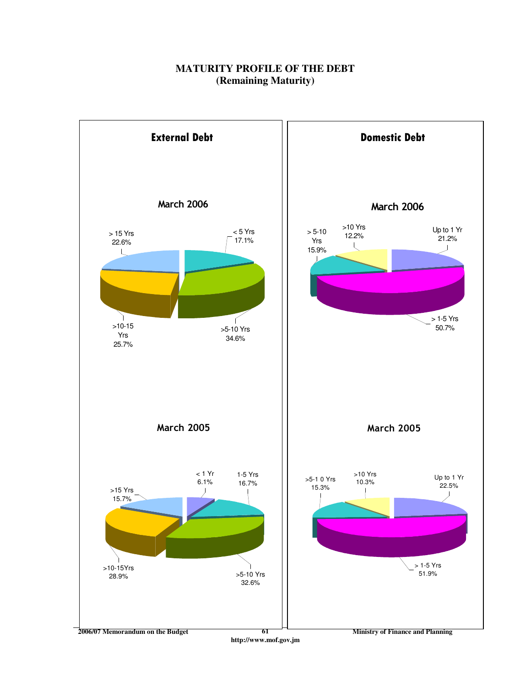### **MATURITY PROFILE OF THE DEBT (Remaining Maturity)**

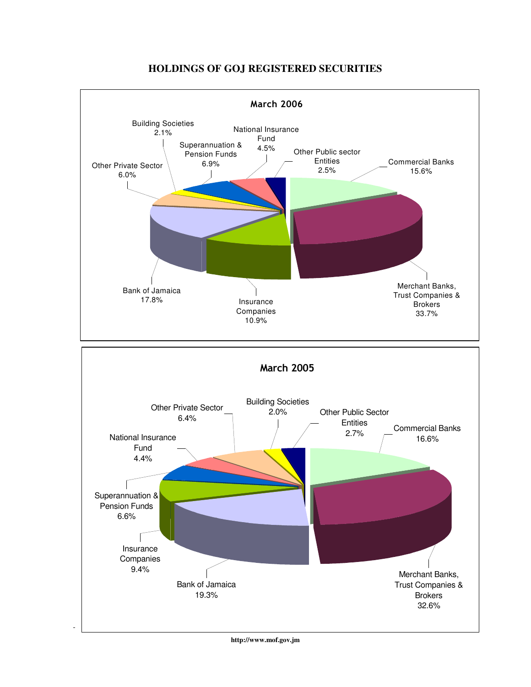

#### **HOLDINGS OF GOJ REGISTERED SECURITIES**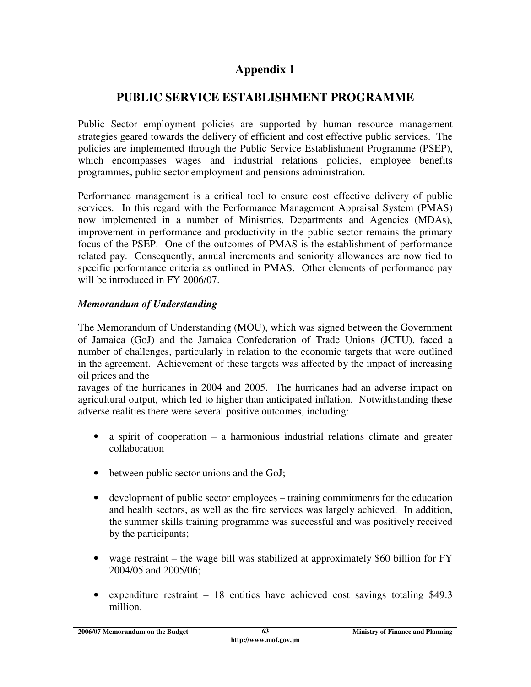# **Appendix 1**

# **PUBLIC SERVICE ESTABLISHMENT PROGRAMME**

Public Sector employment policies are supported by human resource management strategies geared towards the delivery of efficient and cost effective public services. The policies are implemented through the Public Service Establishment Programme (PSEP), which encompasses wages and industrial relations policies, employee benefits programmes, public sector employment and pensions administration.

Performance management is a critical tool to ensure cost effective delivery of public services. In this regard with the Performance Management Appraisal System (PMAS) now implemented in a number of Ministries, Departments and Agencies (MDAs), improvement in performance and productivity in the public sector remains the primary focus of the PSEP. One of the outcomes of PMAS is the establishment of performance related pay. Consequently, annual increments and seniority allowances are now tied to specific performance criteria as outlined in PMAS. Other elements of performance pay will be introduced in FY 2006/07.

### *Memorandum of Understanding*

The Memorandum of Understanding (MOU), which was signed between the Government of Jamaica (GoJ) and the Jamaica Confederation of Trade Unions (JCTU), faced a number of challenges, particularly in relation to the economic targets that were outlined in the agreement. Achievement of these targets was affected by the impact of increasing oil prices and the

ravages of the hurricanes in 2004 and 2005. The hurricanes had an adverse impact on agricultural output, which led to higher than anticipated inflation. Notwithstanding these adverse realities there were several positive outcomes, including:

- a spirit of cooperation a harmonious industrial relations climate and greater collaboration
- between public sector unions and the GoJ;
- development of public sector employees training commitments for the education and health sectors, as well as the fire services was largely achieved. In addition, the summer skills training programme was successful and was positively received by the participants;
- wage restraint the wage bill was stabilized at approximately \$60 billion for FY 2004/05 and 2005/06;
- expenditure restraint 18 entities have achieved cost savings totaling \$49.3 million.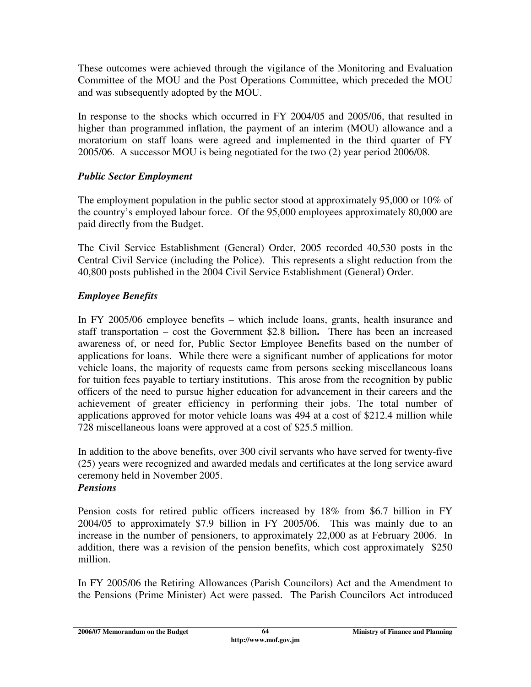These outcomes were achieved through the vigilance of the Monitoring and Evaluation Committee of the MOU and the Post Operations Committee, which preceded the MOU and was subsequently adopted by the MOU.

In response to the shocks which occurred in FY 2004/05 and 2005/06, that resulted in higher than programmed inflation, the payment of an interim (MOU) allowance and a moratorium on staff loans were agreed and implemented in the third quarter of FY 2005/06. A successor MOU is being negotiated for the two (2) year period 2006/08.

### *Public Sector Employment*

The employment population in the public sector stood at approximately 95,000 or 10% of the country's employed labour force. Of the 95,000 employees approximately 80,000 are paid directly from the Budget.

The Civil Service Establishment (General) Order, 2005 recorded 40,530 posts in the Central Civil Service (including the Police). This represents a slight reduction from the 40,800 posts published in the 2004 Civil Service Establishment (General) Order.

## *Employee Benefits*

In FY 2005/06 employee benefits – which include loans, grants, health insurance and staff transportation – cost the Government \$2.8 billion**.** There has been an increased awareness of, or need for, Public Sector Employee Benefits based on the number of applications for loans. While there were a significant number of applications for motor vehicle loans, the majority of requests came from persons seeking miscellaneous loans for tuition fees payable to tertiary institutions. This arose from the recognition by public officers of the need to pursue higher education for advancement in their careers and the achievement of greater efficiency in performing their jobs. The total number of applications approved for motor vehicle loans was 494 at a cost of \$212.4 million while 728 miscellaneous loans were approved at a cost of \$25.5 million.

In addition to the above benefits, over 300 civil servants who have served for twenty-five (25) years were recognized and awarded medals and certificates at the long service award ceremony held in November 2005.

### *Pensions*

Pension costs for retired public officers increased by 18% from \$6.7 billion in FY 2004/05 to approximately \$7.9 billion in FY 2005/06. This was mainly due to an increase in the number of pensioners, to approximately 22,000 as at February 2006. In addition, there was a revision of the pension benefits, which cost approximately \$250 million.

In FY 2005/06 the Retiring Allowances (Parish Councilors) Act and the Amendment to the Pensions (Prime Minister) Act were passed. The Parish Councilors Act introduced

**2006/07 Memorandum on the Budget 12006/07 Ministry of Finance and Planning 2006/07**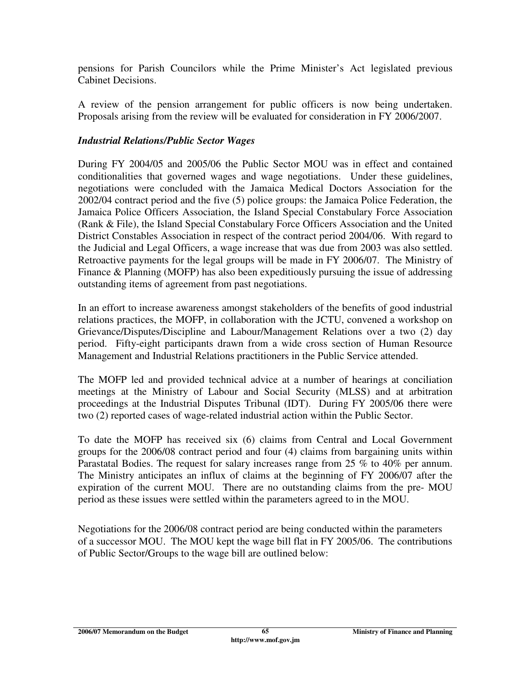pensions for Parish Councilors while the Prime Minister's Act legislated previous Cabinet Decisions.

A review of the pension arrangement for public officers is now being undertaken. Proposals arising from the review will be evaluated for consideration in FY 2006/2007.

### *Industrial Relations/Public Sector Wages*

During FY 2004/05 and 2005/06 the Public Sector MOU was in effect and contained conditionalities that governed wages and wage negotiations. Under these guidelines, negotiations were concluded with the Jamaica Medical Doctors Association for the 2002/04 contract period and the five (5) police groups: the Jamaica Police Federation, the Jamaica Police Officers Association, the Island Special Constabulary Force Association (Rank & File), the Island Special Constabulary Force Officers Association and the United District Constables Association in respect of the contract period 2004/06. With regard to the Judicial and Legal Officers, a wage increase that was due from 2003 was also settled. Retroactive payments for the legal groups will be made in FY 2006/07. The Ministry of Finance & Planning (MOFP) has also been expeditiously pursuing the issue of addressing outstanding items of agreement from past negotiations.

In an effort to increase awareness amongst stakeholders of the benefits of good industrial relations practices, the MOFP, in collaboration with the JCTU, convened a workshop on Grievance/Disputes/Discipline and Labour/Management Relations over a two (2) day period. Fifty-eight participants drawn from a wide cross section of Human Resource Management and Industrial Relations practitioners in the Public Service attended.

The MOFP led and provided technical advice at a number of hearings at conciliation meetings at the Ministry of Labour and Social Security (MLSS) and at arbitration proceedings at the Industrial Disputes Tribunal (IDT). During FY 2005/06 there were two (2) reported cases of wage-related industrial action within the Public Sector.

To date the MOFP has received six (6) claims from Central and Local Government groups for the 2006/08 contract period and four (4) claims from bargaining units within Parastatal Bodies. The request for salary increases range from 25 % to 40% per annum. The Ministry anticipates an influx of claims at the beginning of FY 2006/07 after the expiration of the current MOU. There are no outstanding claims from the pre- MOU period as these issues were settled within the parameters agreed to in the MOU.

Negotiations for the 2006/08 contract period are being conducted within the parameters of a successor MOU. The MOU kept the wage bill flat in FY 2005/06. The contributions of Public Sector/Groups to the wage bill are outlined below: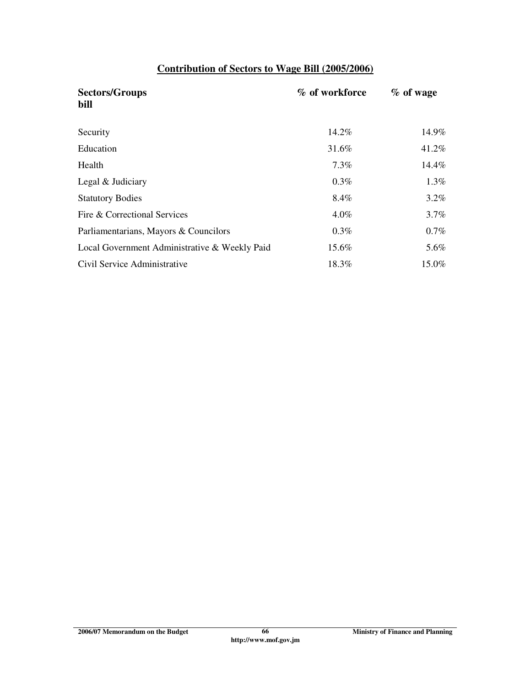## **Contribution of Sectors to Wage Bill (2005/2006)**

| <b>Sectors/Groups</b><br>bill                 | % of workforce | $%$ of wage |
|-----------------------------------------------|----------------|-------------|
| Security                                      | 14.2%          | 14.9%       |
| Education                                     | 31.6%          | 41.2%       |
| Health                                        | $7.3\%$        | 14.4%       |
| Legal & Judiciary                             | $0.3\%$        | $1.3\%$     |
| <b>Statutory Bodies</b>                       | 8.4%           | $3.2\%$     |
| Fire & Correctional Services                  | $4.0\%$        | $3.7\%$     |
| Parliamentarians, Mayors & Councilors         | 0.3%           | $0.7\%$     |
| Local Government Administrative & Weekly Paid | 15.6%          | 5.6%        |
| Civil Service Administrative                  | 18.3%          | 15.0%       |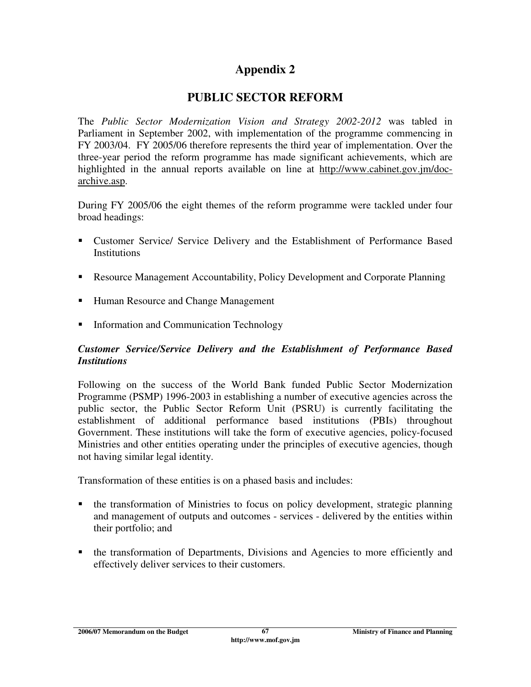# **Appendix 2**

# **PUBLIC SECTOR REFORM**

The *Public Sector Modernization Vision and Strategy 2002-2012* was tabled in Parliament in September 2002, with implementation of the programme commencing in FY 2003/04. FY 2005/06 therefore represents the third year of implementation. Over the three-year period the reform programme has made significant achievements, which are highlighted in the annual reports available on line at http://www.cabinet.gov.jm/docarchive.asp.

During FY 2005/06 the eight themes of the reform programme were tackled under four broad headings:

- Customer Service/ Service Delivery and the Establishment of Performance Based **Institutions**
- Resource Management Accountability, Policy Development and Corporate Planning
- Human Resource and Change Management
- **Information and Communication Technology**

#### *Customer Service/Service Delivery and the Establishment of Performance Based Institutions*

Following on the success of the World Bank funded Public Sector Modernization Programme (PSMP) 1996-2003 in establishing a number of executive agencies across the public sector, the Public Sector Reform Unit (PSRU) is currently facilitating the establishment of additional performance based institutions (PBIs) throughout Government. These institutions will take the form of executive agencies, policy-focused Ministries and other entities operating under the principles of executive agencies, though not having similar legal identity.

Transformation of these entities is on a phased basis and includes:

- the transformation of Ministries to focus on policy development, strategic planning and management of outputs and outcomes - services - delivered by the entities within their portfolio; and
- the transformation of Departments, Divisions and Agencies to more efficiently and effectively deliver services to their customers.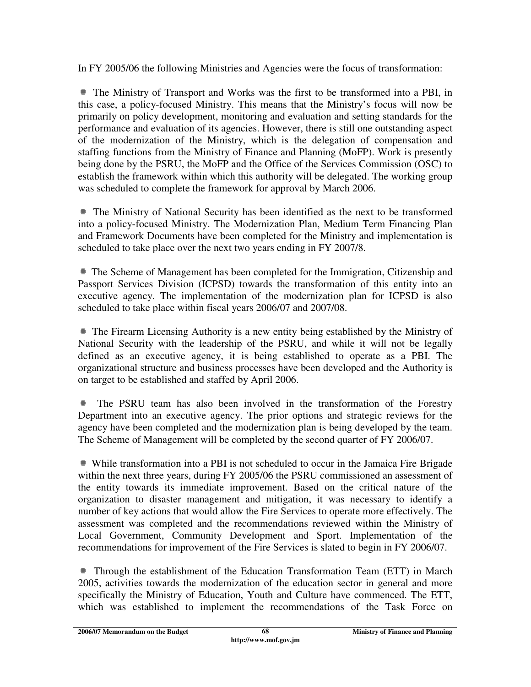In FY 2005/06 the following Ministries and Agencies were the focus of transformation:

 The Ministry of Transport and Works was the first to be transformed into a PBI, in this case, a policy-focused Ministry. This means that the Ministry's focus will now be primarily on policy development, monitoring and evaluation and setting standards for the performance and evaluation of its agencies. However, there is still one outstanding aspect of the modernization of the Ministry, which is the delegation of compensation and staffing functions from the Ministry of Finance and Planning (MoFP). Work is presently being done by the PSRU, the MoFP and the Office of the Services Commission (OSC) to establish the framework within which this authority will be delegated. The working group was scheduled to complete the framework for approval by March 2006.

 The Ministry of National Security has been identified as the next to be transformed into a policy-focused Ministry. The Modernization Plan, Medium Term Financing Plan and Framework Documents have been completed for the Ministry and implementation is scheduled to take place over the next two years ending in FY 2007/8.

 The Scheme of Management has been completed for the Immigration, Citizenship and Passport Services Division (ICPSD) towards the transformation of this entity into an executive agency. The implementation of the modernization plan for ICPSD is also scheduled to take place within fiscal years 2006/07 and 2007/08.

 The Firearm Licensing Authority is a new entity being established by the Ministry of National Security with the leadership of the PSRU, and while it will not be legally defined as an executive agency, it is being established to operate as a PBI. The organizational structure and business processes have been developed and the Authority is on target to be established and staffed by April 2006.

 The PSRU team has also been involved in the transformation of the Forestry Department into an executive agency. The prior options and strategic reviews for the agency have been completed and the modernization plan is being developed by the team. The Scheme of Management will be completed by the second quarter of FY 2006/07.

 While transformation into a PBI is not scheduled to occur in the Jamaica Fire Brigade within the next three years, during FY 2005/06 the PSRU commissioned an assessment of the entity towards its immediate improvement. Based on the critical nature of the organization to disaster management and mitigation, it was necessary to identify a number of key actions that would allow the Fire Services to operate more effectively. The assessment was completed and the recommendations reviewed within the Ministry of Local Government, Community Development and Sport. Implementation of the recommendations for improvement of the Fire Services is slated to begin in FY 2006/07.

 Through the establishment of the Education Transformation Team (ETT) in March 2005, activities towards the modernization of the education sector in general and more specifically the Ministry of Education, Youth and Culture have commenced. The ETT, which was established to implement the recommendations of the Task Force on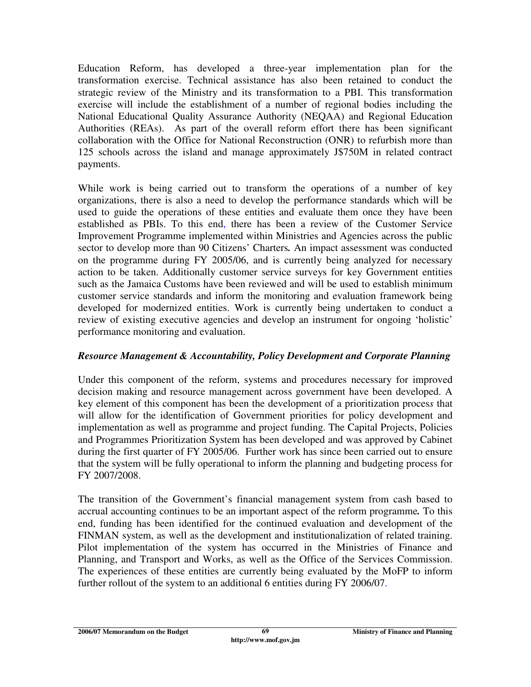Education Reform, has developed a three-year implementation plan for the transformation exercise. Technical assistance has also been retained to conduct the strategic review of the Ministry and its transformation to a PBI. This transformation exercise will include the establishment of a number of regional bodies including the National Educational Quality Assurance Authority (NEQAA) and Regional Education Authorities (REAs). As part of the overall reform effort there has been significant collaboration with the Office for National Reconstruction (ONR) to refurbish more than 125 schools across the island and manage approximately J\$750M in related contract payments.

While work is being carried out to transform the operations of a number of key organizations, there is also a need to develop the performance standards which will be used to guide the operations of these entities and evaluate them once they have been established as PBIs. To this end, there has been a review of the Customer Service Improvement Programme implemented within Ministries and Agencies across the public sector to develop more than 90 Citizens' Charters*.* An impact assessment was conducted on the programme during FY 2005/06, and is currently being analyzed for necessary action to be taken. Additionally customer service surveys for key Government entities such as the Jamaica Customs have been reviewed and will be used to establish minimum customer service standards and inform the monitoring and evaluation framework being developed for modernized entities. Work is currently being undertaken to conduct a review of existing executive agencies and develop an instrument for ongoing 'holistic' performance monitoring and evaluation.

### *Resource Management & Accountability, Policy Development and Corporate Planning*

Under this component of the reform, systems and procedures necessary for improved decision making and resource management across government have been developed. A key element of this component has been the development of a prioritization proces*s* that will allow for the identification of Government priorities for policy development and implementation as well as programme and project funding. The Capital Projects, Policies and Programmes Prioritization System has been developed and was approved by Cabinet during the first quarter of FY 2005/06. Further work has since been carried out to ensure that the system will be fully operational to inform the planning and budgeting process for FY 2007/2008.

The transition of the Government's financial management system from cash based to accrual accounting continues to be an important aspect of the reform programme*.* To this end, funding has been identified for the continued evaluation and development of the FINMAN system, as well as the development and institutionalization of related training. Pilot implementation of the system has occurred in the Ministries of Finance and Planning, and Transport and Works, as well as the Office of the Services Commission. The experiences of these entities are currently being evaluated by the MoFP to inform further rollout of the system to an additional 6 entities during FY 2006/07.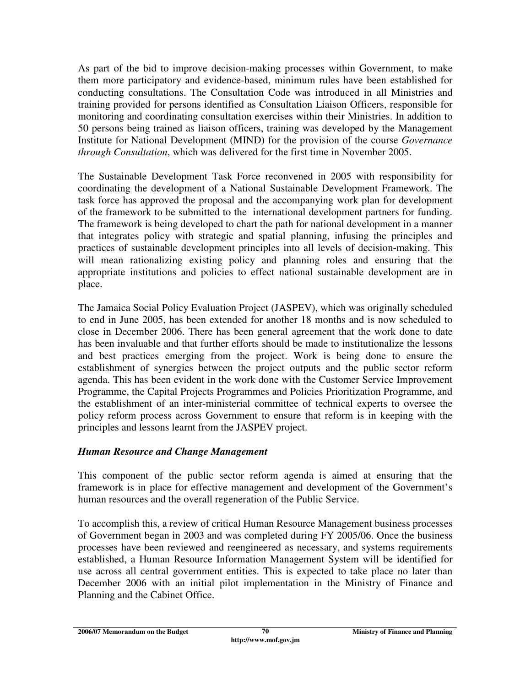As part of the bid to improve decision-making processes within Government, to make them more participatory and evidence-based, minimum rules have been established for conducting consultations. The Consultation Code was introduced in all Ministries and training provided for persons identified as Consultation Liaison Officers, responsible for monitoring and coordinating consultation exercises within their Ministries. In addition to 50 persons being trained as liaison officers, training was developed by the Management Institute for National Development (MIND) for the provision of the course *Governance through Consultation*, which was delivered for the first time in November 2005.

The Sustainable Development Task Force reconvened in 2005 with responsibility for coordinating the development of a National Sustainable Development Framework. The task force has approved the proposal and the accompanying work plan for development of the framework to be submitted to the international development partners for funding. The framework is being developed to chart the path for national development in a manner that integrates policy with strategic and spatial planning, infusing the principles and practices of sustainable development principles into all levels of decision-making. This will mean rationalizing existing policy and planning roles and ensuring that the appropriate institutions and policies to effect national sustainable development are in place.

The Jamaica Social Policy Evaluation Project (JASPEV), which was originally scheduled to end in June 2005, has been extended for another 18 months and is now scheduled to close in December 2006. There has been general agreement that the work done to date has been invaluable and that further efforts should be made to institutionalize the lessons and best practices emerging from the project. Work is being done to ensure the establishment of synergies between the project outputs and the public sector reform agenda. This has been evident in the work done with the Customer Service Improvement Programme, the Capital Projects Programmes and Policies Prioritization Programme, and the establishment of an inter-ministerial committee of technical experts to oversee the policy reform process across Government to ensure that reform is in keeping with the principles and lessons learnt from the JASPEV project.

### *Human Resource and Change Management*

This component of the public sector reform agenda is aimed at ensuring that the framework is in place for effective management and development of the Government's human resources and the overall regeneration of the Public Service.

To accomplish this, a review of critical Human Resource Management business processes of Government began in 2003 and was completed during FY 2005/06. Once the business processes have been reviewed and reengineered as necessary, and systems requirements established, a Human Resource Information Management System will be identified for use across all central government entities. This is expected to take place no later than December 2006 with an initial pilot implementation in the Ministry of Finance and Planning and the Cabinet Office.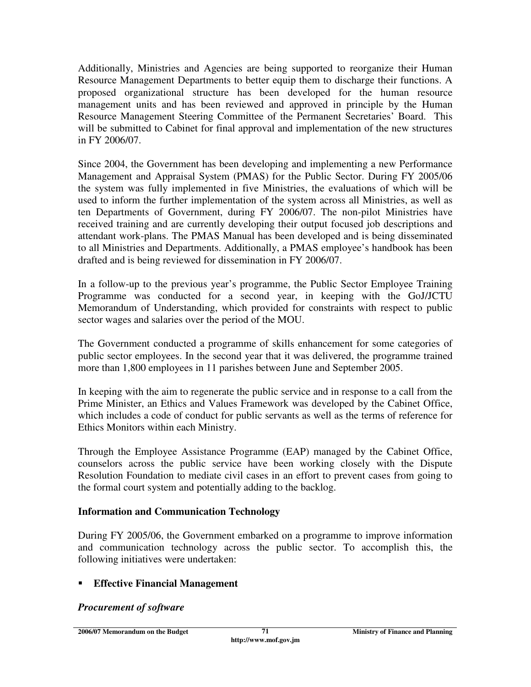Additionally, Ministries and Agencies are being supported to reorganize their Human Resource Management Departments to better equip them to discharge their functions. A proposed organizational structure has been developed for the human resource management units and has been reviewed and approved in principle by the Human Resource Management Steering Committee of the Permanent Secretaries' Board. This will be submitted to Cabinet for final approval and implementation of the new structures in FY 2006/07.

Since 2004, the Government has been developing and implementing a new Performance Management and Appraisal System (PMAS) for the Public Sector. During FY 2005/06 the system was fully implemented in five Ministries, the evaluations of which will be used to inform the further implementation of the system across all Ministries, as well as ten Departments of Government, during FY 2006/07. The non-pilot Ministries have received training and are currently developing their output focused job descriptions and attendant work-plans. The PMAS Manual has been developed and is being disseminated to all Ministries and Departments. Additionally, a PMAS employee's handbook has been drafted and is being reviewed for dissemination in FY 2006/07.

In a follow-up to the previous year's programme, the Public Sector Employee Training Programme was conducted for a second year, in keeping with the GoJ/JCTU Memorandum of Understanding, which provided for constraints with respect to public sector wages and salaries over the period of the MOU.

The Government conducted a programme of skills enhancement for some categories of public sector employees. In the second year that it was delivered, the programme trained more than 1,800 employees in 11 parishes between June and September 2005.

In keeping with the aim to regenerate the public service and in response to a call from the Prime Minister, an Ethics and Values Framework was developed by the Cabinet Office, which includes a code of conduct for public servants as well as the terms of reference for Ethics Monitors within each Ministry.

Through the Employee Assistance Programme (EAP) managed by the Cabinet Office, counselors across the public service have been working closely with the Dispute Resolution Foundation to mediate civil cases in an effort to prevent cases from going to the formal court system and potentially adding to the backlog.

### **Information and Communication Technology**

During FY 2005/06, the Government embarked on a programme to improve information and communication technology across the public sector. To accomplish this, the following initiatives were undertaken:

### **Effective Financial Management**

#### *Procurement of software*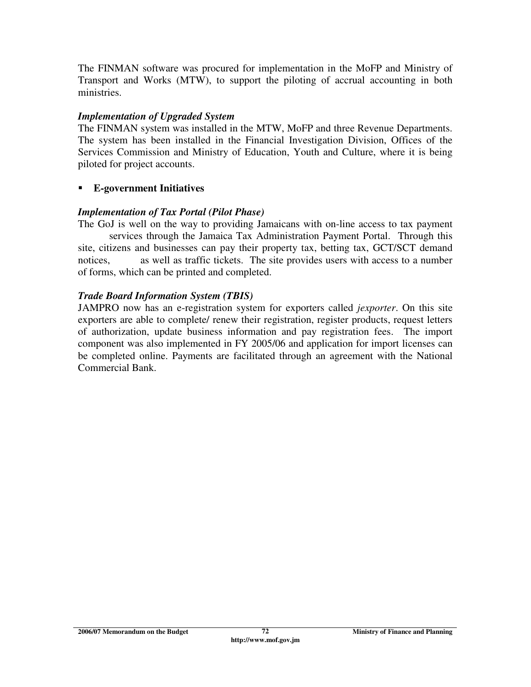The FINMAN software was procured for implementation in the MoFP and Ministry of Transport and Works (MTW), to support the piloting of accrual accounting in both ministries.

#### *Implementation of Upgraded System*

The FINMAN system was installed in the MTW, MoFP and three Revenue Departments. The system has been installed in the Financial Investigation Division, Offices of the Services Commission and Ministry of Education, Youth and Culture, where it is being piloted for project accounts.

### **E-government Initiatives**

### *Implementation of Tax Portal (Pilot Phase)*

The GoJ is well on the way to providing Jamaicans with on-line access to tax payment services through the Jamaica Tax Administration Payment Portal. Through this site, citizens and businesses can pay their property tax, betting tax, GCT/SCT demand notices, as well as traffic tickets. The site provides users with access to a number of forms, which can be printed and completed.

### *Trade Board Information System (TBIS)*

JAMPRO now has an e-registration system for exporters called *jexporter*. On this site exporters are able to complete/ renew their registration, register products, request letters of authorization, update business information and pay registration fees. The import component was also implemented in FY 2005/06 and application for import licenses can be completed online. Payments are facilitated through an agreement with the National Commercial Bank.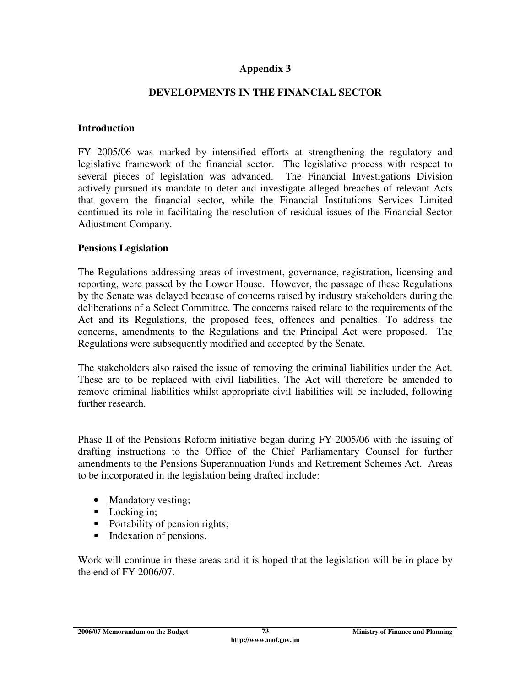### **Appendix 3**

### **DEVELOPMENTS IN THE FINANCIAL SECTOR**

#### **Introduction**

FY 2005/06 was marked by intensified efforts at strengthening the regulatory and legislative framework of the financial sector. The legislative process with respect to several pieces of legislation was advanced. The Financial Investigations Division actively pursued its mandate to deter and investigate alleged breaches of relevant Acts that govern the financial sector, while the Financial Institutions Services Limited continued its role in facilitating the resolution of residual issues of the Financial Sector Adjustment Company.

#### **Pensions Legislation**

The Regulations addressing areas of investment, governance, registration, licensing and reporting, were passed by the Lower House. However, the passage of these Regulations by the Senate was delayed because of concerns raised by industry stakeholders during the deliberations of a Select Committee. The concerns raised relate to the requirements of the Act and its Regulations, the proposed fees, offences and penalties. To address the concerns, amendments to the Regulations and the Principal Act were proposed. The Regulations were subsequently modified and accepted by the Senate.

The stakeholders also raised the issue of removing the criminal liabilities under the Act. These are to be replaced with civil liabilities. The Act will therefore be amended to remove criminal liabilities whilst appropriate civil liabilities will be included, following further research.

Phase II of the Pensions Reform initiative began during FY 2005/06 with the issuing of drafting instructions to the Office of the Chief Parliamentary Counsel for further amendments to the Pensions Superannuation Funds and Retirement Schemes Act. Areas to be incorporated in the legislation being drafted include:

- Mandatory vesting;
- Locking in:
- Portability of pension rights;
- Indexation of pensions.

Work will continue in these areas and it is hoped that the legislation will be in place by the end of FY 2006/07.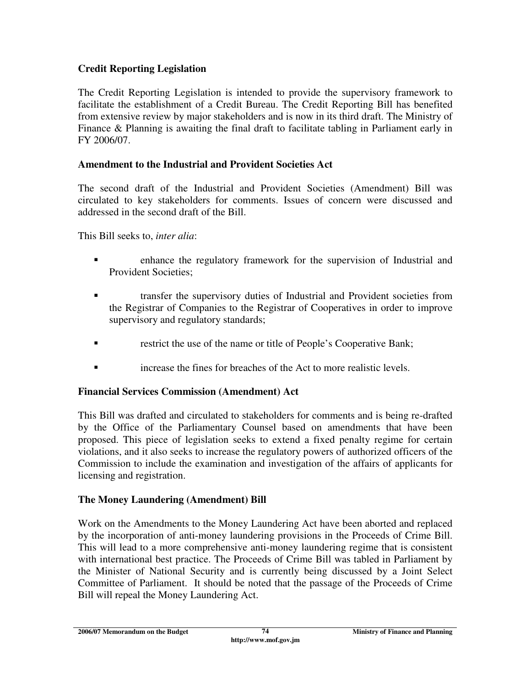# **Credit Reporting Legislation**

The Credit Reporting Legislation is intended to provide the supervisory framework to facilitate the establishment of a Credit Bureau. The Credit Reporting Bill has benefited from extensive review by major stakeholders and is now in its third draft. The Ministry of Finance & Planning is awaiting the final draft to facilitate tabling in Parliament early in FY 2006/07.

# **Amendment to the Industrial and Provident Societies Act**

The second draft of the Industrial and Provident Societies (Amendment) Bill was circulated to key stakeholders for comments. Issues of concern were discussed and addressed in the second draft of the Bill.

This Bill seeks to, *inter alia*:

- enhance the regulatory framework for the supervision of Industrial and Provident Societies;
- transfer the supervisory duties of Industrial and Provident societies from the Registrar of Companies to the Registrar of Cooperatives in order to improve supervisory and regulatory standards;
- restrict the use of the name or title of People's Cooperative Bank;
- increase the fines for breaches of the Act to more realistic levels.

# **Financial Services Commission (Amendment) Act**

This Bill was drafted and circulated to stakeholders for comments and is being re-drafted by the Office of the Parliamentary Counsel based on amendments that have been proposed. This piece of legislation seeks to extend a fixed penalty regime for certain violations, and it also seeks to increase the regulatory powers of authorized officers of the Commission to include the examination and investigation of the affairs of applicants for licensing and registration.

# **The Money Laundering (Amendment) Bill**

Work on the Amendments to the Money Laundering Act have been aborted and replaced by the incorporation of anti-money laundering provisions in the Proceeds of Crime Bill. This will lead to a more comprehensive anti-money laundering regime that is consistent with international best practice. The Proceeds of Crime Bill was tabled in Parliament by the Minister of National Security and is currently being discussed by a Joint Select Committee of Parliament. It should be noted that the passage of the Proceeds of Crime Bill will repeal the Money Laundering Act.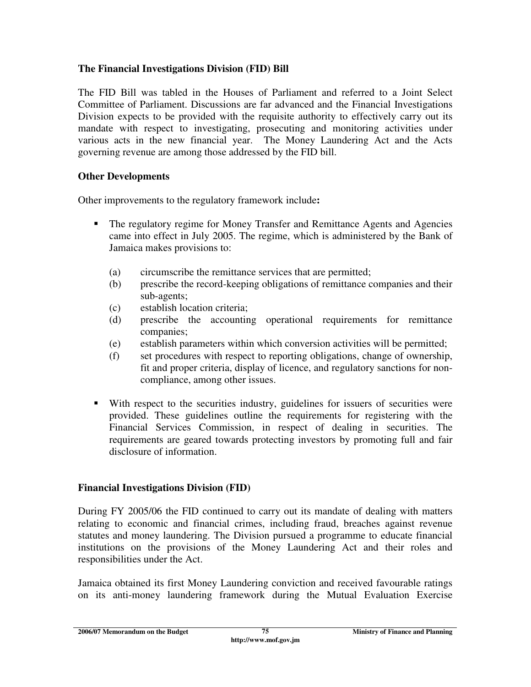### **The Financial Investigations Division (FID) Bill**

The FID Bill was tabled in the Houses of Parliament and referred to a Joint Select Committee of Parliament. Discussions are far advanced and the Financial Investigations Division expects to be provided with the requisite authority to effectively carry out its mandate with respect to investigating, prosecuting and monitoring activities under various acts in the new financial year. The Money Laundering Act and the Acts governing revenue are among those addressed by the FID bill.

### **Other Developments**

Other improvements to the regulatory framework include**:** 

- The regulatory regime for Money Transfer and Remittance Agents and Agencies came into effect in July 2005. The regime, which is administered by the Bank of Jamaica makes provisions to:
	- (a) circumscribe the remittance services that are permitted;
	- (b) prescribe the record-keeping obligations of remittance companies and their sub-agents;
	- (c) establish location criteria;
	- (d) prescribe the accounting operational requirements for remittance companies;
	- (e) establish parameters within which conversion activities will be permitted;
	- (f) set procedures with respect to reporting obligations, change of ownership, fit and proper criteria, display of licence, and regulatory sanctions for noncompliance, among other issues.
- With respect to the securities industry, guidelines for issuers of securities were provided. These guidelines outline the requirements for registering with the Financial Services Commission, in respect of dealing in securities. The requirements are geared towards protecting investors by promoting full and fair disclosure of information.

### **Financial Investigations Division (FID)**

During FY 2005/06 the FID continued to carry out its mandate of dealing with matters relating to economic and financial crimes, including fraud, breaches against revenue statutes and money laundering. The Division pursued a programme to educate financial institutions on the provisions of the Money Laundering Act and their roles and responsibilities under the Act.

Jamaica obtained its first Money Laundering conviction and received favourable ratings on its anti-money laundering framework during the Mutual Evaluation Exercise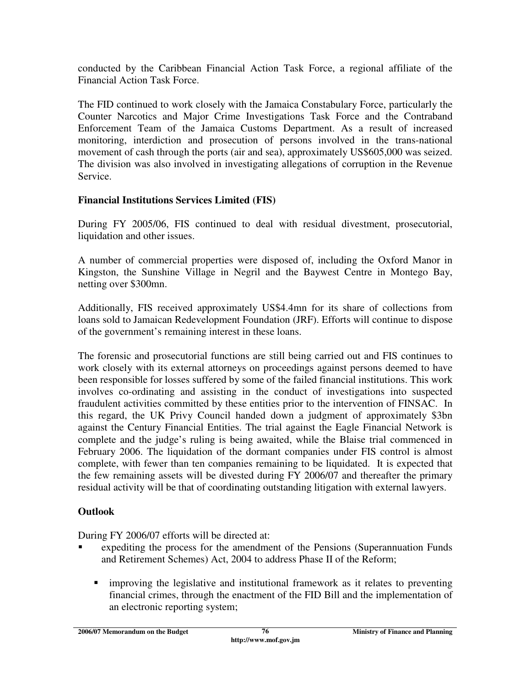conducted by the Caribbean Financial Action Task Force, a regional affiliate of the Financial Action Task Force.

The FID continued to work closely with the Jamaica Constabulary Force, particularly the Counter Narcotics and Major Crime Investigations Task Force and the Contraband Enforcement Team of the Jamaica Customs Department. As a result of increased monitoring, interdiction and prosecution of persons involved in the trans-national movement of cash through the ports (air and sea), approximately US\$605,000 was seized. The division was also involved in investigating allegations of corruption in the Revenue Service.

# **Financial Institutions Services Limited (FIS)**

During FY 2005/06, FIS continued to deal with residual divestment, prosecutorial, liquidation and other issues.

A number of commercial properties were disposed of, including the Oxford Manor in Kingston, the Sunshine Village in Negril and the Baywest Centre in Montego Bay, netting over \$300mn.

Additionally, FIS received approximately US\$4.4mn for its share of collections from loans sold to Jamaican Redevelopment Foundation (JRF). Efforts will continue to dispose of the government's remaining interest in these loans.

The forensic and prosecutorial functions are still being carried out and FIS continues to work closely with its external attorneys on proceedings against persons deemed to have been responsible for losses suffered by some of the failed financial institutions. This work involves co-ordinating and assisting in the conduct of investigations into suspected fraudulent activities committed by these entities prior to the intervention of FINSAC. In this regard, the UK Privy Council handed down a judgment of approximately \$3bn against the Century Financial Entities. The trial against the Eagle Financial Network is complete and the judge's ruling is being awaited, while the Blaise trial commenced in February 2006. The liquidation of the dormant companies under FIS control is almost complete, with fewer than ten companies remaining to be liquidated. It is expected that the few remaining assets will be divested during FY 2006/07 and thereafter the primary residual activity will be that of coordinating outstanding litigation with external lawyers.

# **Outlook**

During FY 2006/07 efforts will be directed at:

- expediting the process for the amendment of the Pensions (Superannuation Funds and Retirement Schemes) Act, 2004 to address Phase II of the Reform;
	- improving the legislative and institutional framework as it relates to preventing financial crimes, through the enactment of the FID Bill and the implementation of an electronic reporting system;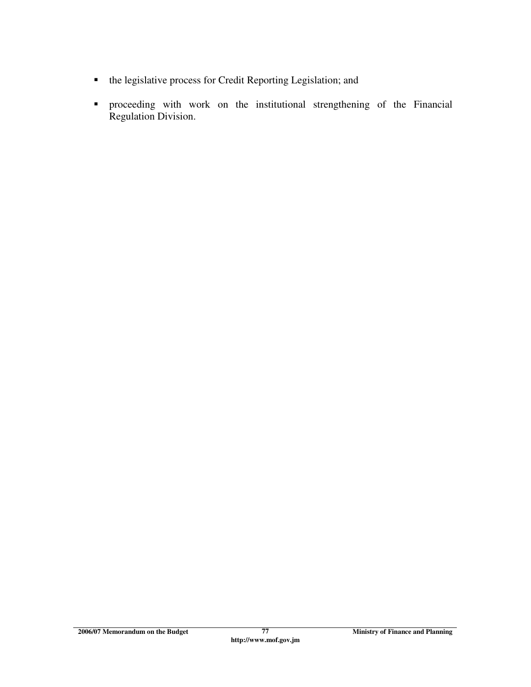- the legislative process for Credit Reporting Legislation; and
- proceeding with work on the institutional strengthening of the Financial Regulation Division.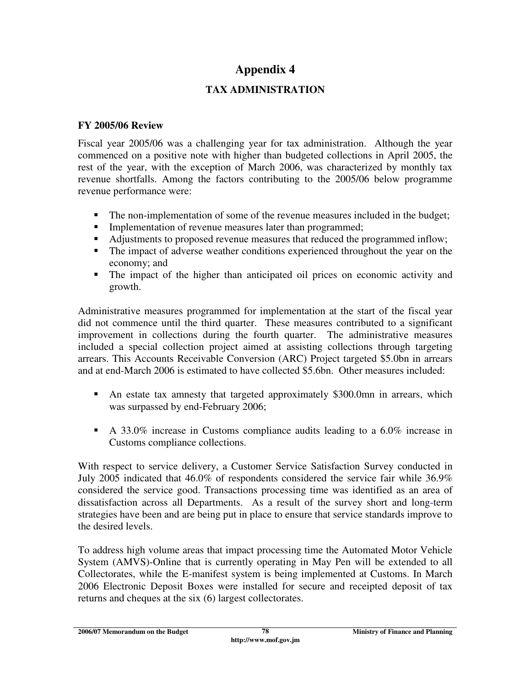# **Appendix 4**

# **TAX ADMINISTRATION**

### **FY 2005/06 Review**

Fiscal year 2005/06 was a challenging year for tax administration. Although the year commenced on a positive note with higher than budgeted collections in April 2005, the rest of the year, with the exception of March 2006, was characterized by monthly tax revenue shortfalls. Among the factors contributing to the 2005/06 below programme revenue performance were:

- The non-implementation of some of the revenue measures included in the budget;
- **Implementation of revenue measures later than programmed;**
- Adjustments to proposed revenue measures that reduced the programmed inflow;
- The impact of adverse weather conditions experienced throughout the year on the economy; and
- The impact of the higher than anticipated oil prices on economic activity and growth.

Administrative measures programmed for implementation at the start of the fiscal year did not commence until the third quarter. These measures contributed to a significant improvement in collections during the fourth quarter. The administrative measures included a special collection project aimed at assisting collections through targeting arrears. This Accounts Receivable Conversion (ARC) Project targeted \$5.0bn in arrears and at end-March 2006 is estimated to have collected \$5.6bn. Other measures included:

- An estate tax amnesty that targeted approximately \$300.0mn in arrears, which was surpassed by end-February 2006;
- A 33.0% increase in Customs compliance audits leading to a 6.0% increase in Customs compliance collections.

With respect to service delivery, a Customer Service Satisfaction Survey conducted in July 2005 indicated that 46.0% of respondents considered the service fair while 36.9% considered the service good. Transactions processing time was identified as an area of dissatisfaction across all Departments. As a result of the survey short and long-term strategies have been and are being put in place to ensure that service standards improve to the desired levels.

To address high volume areas that impact processing time the Automated Motor Vehicle System (AMVS)-Online that is currently operating in May Pen will be extended to all Collectorates, while the E-manifest system is being implemented at Customs. In March 2006 Electronic Deposit Boxes were installed for secure and receipted deposit of tax returns and cheques at the six (6) largest collectorates.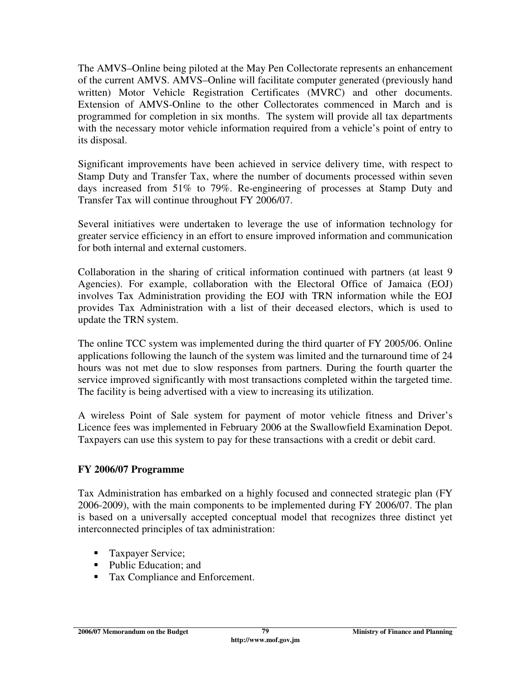The AMVS–Online being piloted at the May Pen Collectorate represents an enhancement of the current AMVS. AMVS–Online will facilitate computer generated (previously hand written) Motor Vehicle Registration Certificates (MVRC) and other documents. Extension of AMVS-Online to the other Collectorates commenced in March and is programmed for completion in six months. The system will provide all tax departments with the necessary motor vehicle information required from a vehicle's point of entry to its disposal.

Significant improvements have been achieved in service delivery time, with respect to Stamp Duty and Transfer Tax, where the number of documents processed within seven days increased from 51% to 79%. Re-engineering of processes at Stamp Duty and Transfer Tax will continue throughout FY 2006/07.

Several initiatives were undertaken to leverage the use of information technology for greater service efficiency in an effort to ensure improved information and communication for both internal and external customers.

Collaboration in the sharing of critical information continued with partners (at least 9 Agencies). For example, collaboration with the Electoral Office of Jamaica (EOJ) involves Tax Administration providing the EOJ with TRN information while the EOJ provides Tax Administration with a list of their deceased electors, which is used to update the TRN system.

The online TCC system was implemented during the third quarter of FY 2005/06. Online applications following the launch of the system was limited and the turnaround time of 24 hours was not met due to slow responses from partners. During the fourth quarter the service improved significantly with most transactions completed within the targeted time. The facility is being advertised with a view to increasing its utilization.

A wireless Point of Sale system for payment of motor vehicle fitness and Driver's Licence fees was implemented in February 2006 at the Swallowfield Examination Depot. Taxpayers can use this system to pay for these transactions with a credit or debit card.

# **FY 2006/07 Programme**

Tax Administration has embarked on a highly focused and connected strategic plan (FY 2006-2009), with the main components to be implemented during FY 2006/07. The plan is based on a universally accepted conceptual model that recognizes three distinct yet interconnected principles of tax administration:

- **Taxpayer Service;**
- Public Education: and
- Tax Compliance and Enforcement.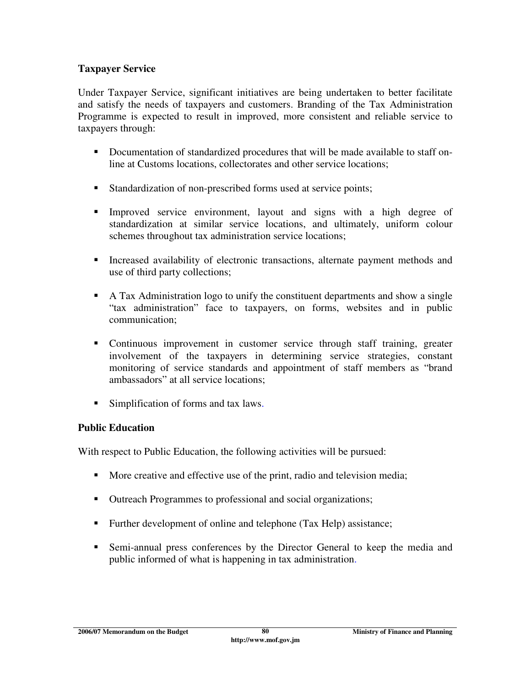### **Taxpayer Service**

Under Taxpayer Service, significant initiatives are being undertaken to better facilitate and satisfy the needs of taxpayers and customers. Branding of the Tax Administration Programme is expected to result in improved, more consistent and reliable service to taxpayers through:

- Documentation of standardized procedures that will be made available to staff online at Customs locations, collectorates and other service locations;
- Standardization of non-prescribed forms used at service points;
- Improved service environment, layout and signs with a high degree of standardization at similar service locations, and ultimately, uniform colour schemes throughout tax administration service locations;
- Increased availability of electronic transactions, alternate payment methods and use of third party collections;
- A Tax Administration logo to unify the constituent departments and show a single "tax administration" face to taxpayers, on forms, websites and in public communication;
- Continuous improvement in customer service through staff training, greater involvement of the taxpayers in determining service strategies, constant monitoring of service standards and appointment of staff members as "brand ambassadors" at all service locations;
- Simplification of forms and tax laws.

# **Public Education**

With respect to Public Education, the following activities will be pursued:

- More creative and effective use of the print, radio and television media;
- Outreach Programmes to professional and social organizations;
- Further development of online and telephone (Tax Help) assistance;
- Semi-annual press conferences by the Director General to keep the media and public informed of what is happening in tax administration.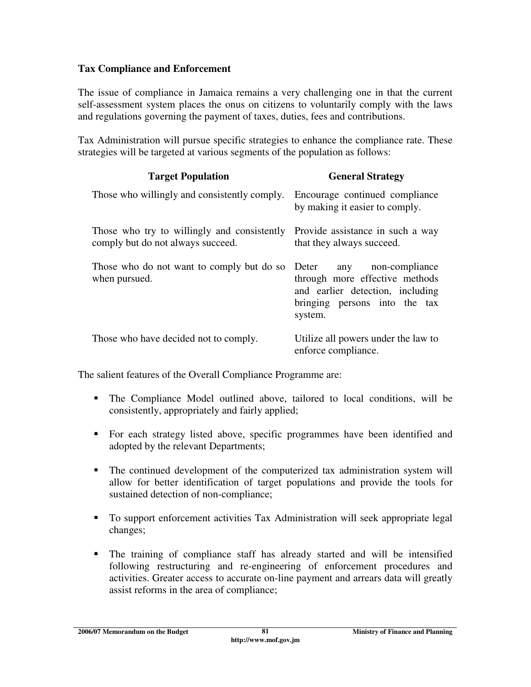### **Tax Compliance and Enforcement**

The issue of compliance in Jamaica remains a very challenging one in that the current self-assessment system places the onus on citizens to voluntarily comply with the laws and regulations governing the payment of taxes, duties, fees and contributions.

Tax Administration will pursue specific strategies to enhance the compliance rate. These strategies will be targeted at various segments of the population as follows:

| <b>Target Population</b>                                                         | <b>General Strategy</b>                                                                                                                          |
|----------------------------------------------------------------------------------|--------------------------------------------------------------------------------------------------------------------------------------------------|
| Those who willingly and consistently comply.                                     | Encourage continued compliance<br>by making it easier to comply.                                                                                 |
| Those who try to willingly and consistently<br>comply but do not always succeed. | Provide assistance in such a way<br>that they always succeed.                                                                                    |
| Those who do not want to comply but do so<br>when pursued.                       | non-compliance<br>Deter<br>any<br>through more effective methods<br>and earlier detection, including<br>bringing persons into the tax<br>system. |
| Those who have decided not to comply.                                            | Utilize all powers under the law to<br>enforce compliance.                                                                                       |

The salient features of the Overall Compliance Programme are:

- The Compliance Model outlined above, tailored to local conditions, will be consistently, appropriately and fairly applied;
- For each strategy listed above, specific programmes have been identified and adopted by the relevant Departments;
- The continued development of the computerized tax administration system will allow for better identification of target populations and provide the tools for sustained detection of non-compliance;
- To support enforcement activities Tax Administration will seek appropriate legal changes;
- The training of compliance staff has already started and will be intensified following restructuring and re-engineering of enforcement procedures and activities. Greater access to accurate on-line payment and arrears data will greatly assist reforms in the area of compliance;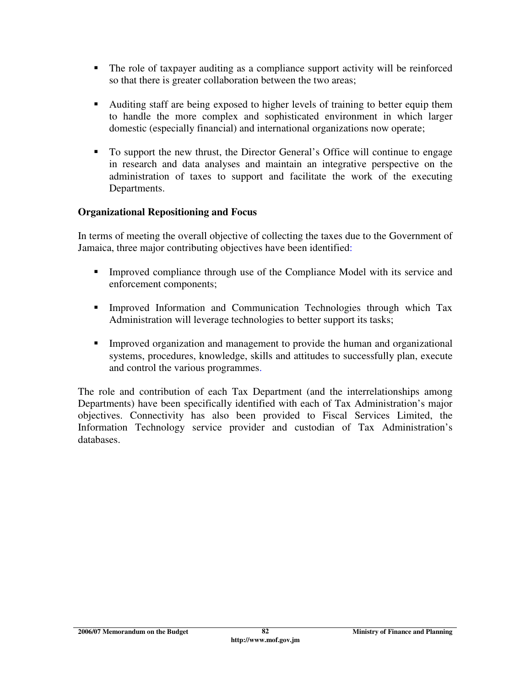- The role of taxpayer auditing as a compliance support activity will be reinforced so that there is greater collaboration between the two areas;
- Auditing staff are being exposed to higher levels of training to better equip them to handle the more complex and sophisticated environment in which larger domestic (especially financial) and international organizations now operate;
- To support the new thrust, the Director General's Office will continue to engage in research and data analyses and maintain an integrative perspective on the administration of taxes to support and facilitate the work of the executing Departments.

# **Organizational Repositioning and Focus**

In terms of meeting the overall objective of collecting the taxes due to the Government of Jamaica, three major contributing objectives have been identified:

- Improved compliance through use of the Compliance Model with its service and enforcement components;
- **Improved Information and Communication Technologies through which Tax** Administration will leverage technologies to better support its tasks;
- Improved organization and management to provide the human and organizational systems, procedures, knowledge, skills and attitudes to successfully plan, execute and control the various programmes.

The role and contribution of each Tax Department (and the interrelationships among Departments) have been specifically identified with each of Tax Administration's major objectives. Connectivity has also been provided to Fiscal Services Limited, the Information Technology service provider and custodian of Tax Administration's databases.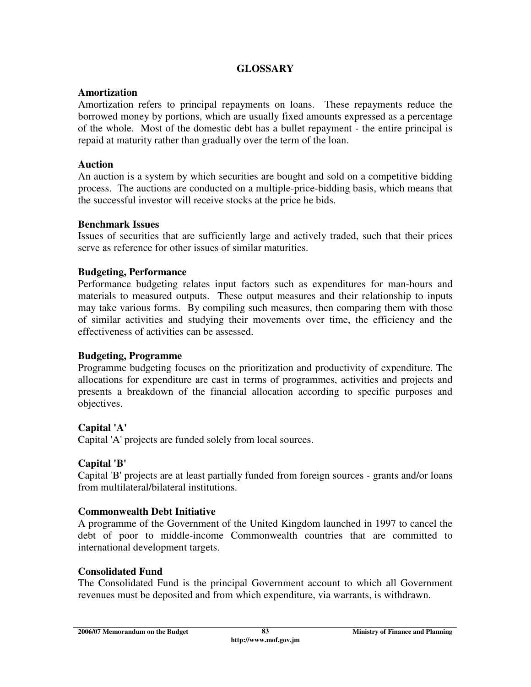### **GLOSSARY**

#### **Amortization**

Amortization refers to principal repayments on loans. These repayments reduce the borrowed money by portions, which are usually fixed amounts expressed as a percentage of the whole. Most of the domestic debt has a bullet repayment - the entire principal is repaid at maturity rather than gradually over the term of the loan.

#### **Auction**

An auction is a system by which securities are bought and sold on a competitive bidding process. The auctions are conducted on a multiple-price-bidding basis, which means that the successful investor will receive stocks at the price he bids.

#### **Benchmark Issues**

Issues of securities that are sufficiently large and actively traded, such that their prices serve as reference for other issues of similar maturities.

#### **Budgeting, Performance**

Performance budgeting relates input factors such as expenditures for man-hours and materials to measured outputs. These output measures and their relationship to inputs may take various forms. By compiling such measures, then comparing them with those of similar activities and studying their movements over time, the efficiency and the effectiveness of activities can be assessed.

### **Budgeting, Programme**

Programme budgeting focuses on the prioritization and productivity of expenditure. The allocations for expenditure are cast in terms of programmes, activities and projects and presents a breakdown of the financial allocation according to specific purposes and objectives.

### **Capital 'A'**

Capital 'A' projects are funded solely from local sources.

### **Capital 'B'**

Capital 'B' projects are at least partially funded from foreign sources - grants and/or loans from multilateral/bilateral institutions.

#### **Commonwealth Debt Initiative**

A programme of the Government of the United Kingdom launched in 1997 to cancel the debt of poor to middle-income Commonwealth countries that are committed to international development targets.

#### **Consolidated Fund**

The Consolidated Fund is the principal Government account to which all Government revenues must be deposited and from which expenditure, via warrants, is withdrawn.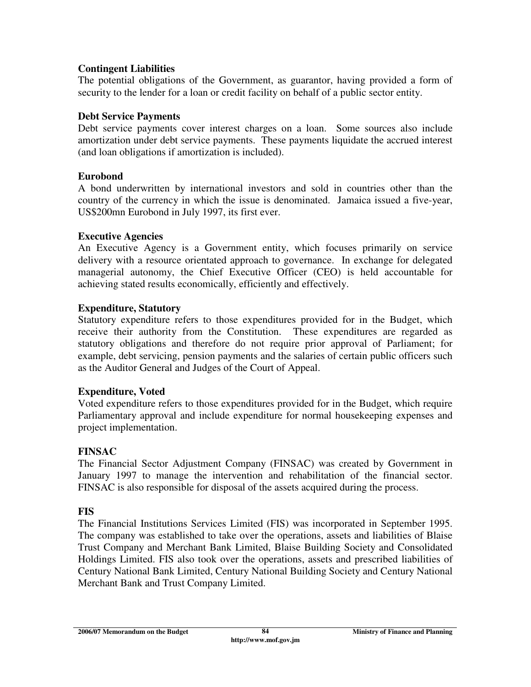### **Contingent Liabilities**

The potential obligations of the Government, as guarantor, having provided a form of security to the lender for a loan or credit facility on behalf of a public sector entity.

### **Debt Service Payments**

Debt service payments cover interest charges on a loan. Some sources also include amortization under debt service payments. These payments liquidate the accrued interest (and loan obligations if amortization is included).

### **Eurobond**

A bond underwritten by international investors and sold in countries other than the country of the currency in which the issue is denominated. Jamaica issued a five-year, US\$200mn Eurobond in July 1997, its first ever.

### **Executive Agencies**

An Executive Agency is a Government entity, which focuses primarily on service delivery with a resource orientated approach to governance. In exchange for delegated managerial autonomy, the Chief Executive Officer (CEO) is held accountable for achieving stated results economically, efficiently and effectively.

### **Expenditure, Statutory**

Statutory expenditure refers to those expenditures provided for in the Budget, which receive their authority from the Constitution. These expenditures are regarded as statutory obligations and therefore do not require prior approval of Parliament; for example, debt servicing, pension payments and the salaries of certain public officers such as the Auditor General and Judges of the Court of Appeal.

### **Expenditure, Voted**

Voted expenditure refers to those expenditures provided for in the Budget, which require Parliamentary approval and include expenditure for normal housekeeping expenses and project implementation.

# **FINSAC**

The Financial Sector Adjustment Company (FINSAC) was created by Government in January 1997 to manage the intervention and rehabilitation of the financial sector. FINSAC is also responsible for disposal of the assets acquired during the process.

# **FIS**

The Financial Institutions Services Limited (FIS) was incorporated in September 1995. The company was established to take over the operations, assets and liabilities of Blaise Trust Company and Merchant Bank Limited, Blaise Building Society and Consolidated Holdings Limited. FIS also took over the operations, assets and prescribed liabilities of Century National Bank Limited, Century National Building Society and Century National Merchant Bank and Trust Company Limited.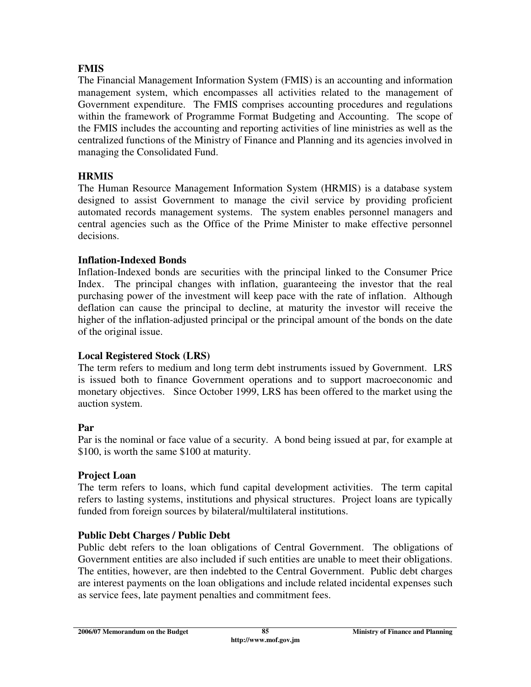# **FMIS**

The Financial Management Information System (FMIS) is an accounting and information management system, which encompasses all activities related to the management of Government expenditure. The FMIS comprises accounting procedures and regulations within the framework of Programme Format Budgeting and Accounting. The scope of the FMIS includes the accounting and reporting activities of line ministries as well as the centralized functions of the Ministry of Finance and Planning and its agencies involved in managing the Consolidated Fund.

### **HRMIS**

The Human Resource Management Information System (HRMIS) is a database system designed to assist Government to manage the civil service by providing proficient automated records management systems. The system enables personnel managers and central agencies such as the Office of the Prime Minister to make effective personnel decisions.

### **Inflation-Indexed Bonds**

Inflation-Indexed bonds are securities with the principal linked to the Consumer Price Index. The principal changes with inflation, guaranteeing the investor that the real purchasing power of the investment will keep pace with the rate of inflation. Although deflation can cause the principal to decline, at maturity the investor will receive the higher of the inflation-adjusted principal or the principal amount of the bonds on the date of the original issue.

# **Local Registered Stock (LRS)**

The term refers to medium and long term debt instruments issued by Government. LRS is issued both to finance Government operations and to support macroeconomic and monetary objectives. Since October 1999, LRS has been offered to the market using the auction system.

### **Par**

Par is the nominal or face value of a security. A bond being issued at par, for example at \$100, is worth the same \$100 at maturity.

### **Project Loan**

The term refers to loans, which fund capital development activities. The term capital refers to lasting systems, institutions and physical structures. Project loans are typically funded from foreign sources by bilateral/multilateral institutions.

### **Public Debt Charges / Public Debt**

Public debt refers to the loan obligations of Central Government. The obligations of Government entities are also included if such entities are unable to meet their obligations. The entities, however, are then indebted to the Central Government. Public debt charges are interest payments on the loan obligations and include related incidental expenses such as service fees, late payment penalties and commitment fees.